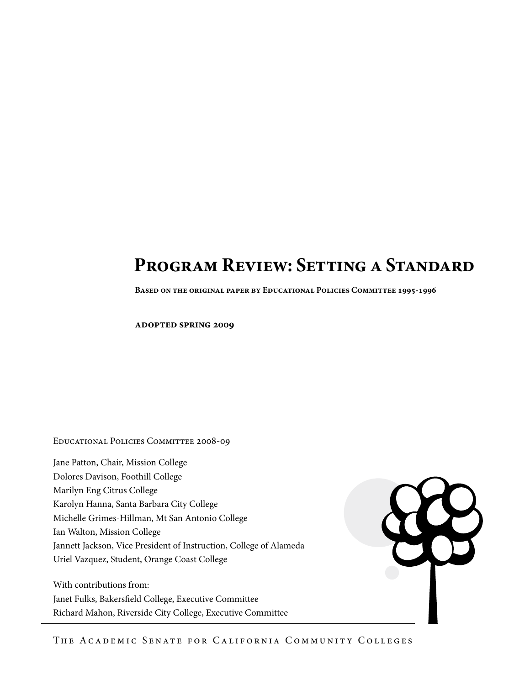# **Program Review: Setting a Standard**

**Based on the original paper by Educational Policies Committee 1995-1996**

**adopted spring 2009**

Educational Policies Committee 2008-09

Jane Patton, Chair, Mission College Dolores Davison, Foothill College Marilyn Eng Citrus College Karolyn Hanna, Santa Barbara City College Michelle Grimes-Hillman, Mt San Antonio College Ian Walton, Mission College Jannett Jackson, Vice President of Instruction, College of Alameda Uriel Vazquez, Student, Orange Coast College

With contributions from: Janet Fulks, Bakersfield College, Executive Committee Richard Mahon, Riverside City College, Executive Committee



The Academic Senate for California Community Colleges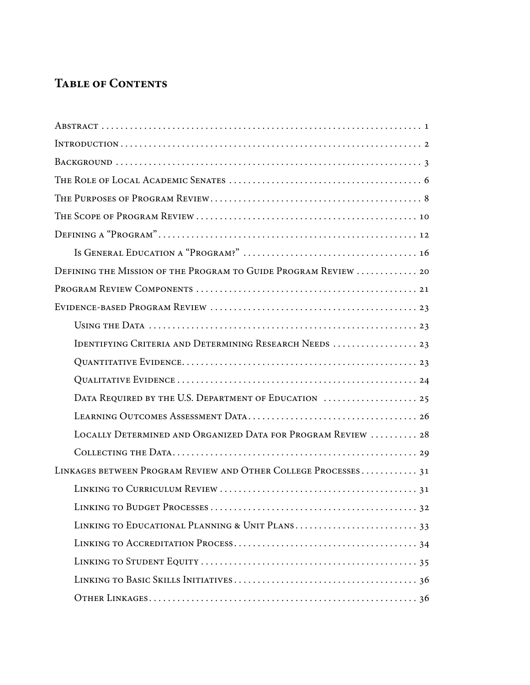## **Table of Contents**

| DEFINING THE MISSION OF THE PROGRAM TO GUIDE PROGRAM REVIEW  20 |
|-----------------------------------------------------------------|
|                                                                 |
|                                                                 |
|                                                                 |
| IDENTIFYING CRITERIA AND DETERMINING RESEARCH NEEDS  23         |
|                                                                 |
|                                                                 |
| DATA REQUIRED BY THE U.S. DEPARTMENT OF EDUCATION  25           |
|                                                                 |
| LOCALLY DETERMINED AND ORGANIZED DATA FOR PROGRAM REVIEW  28    |
|                                                                 |
| LINKAGES BETWEEN PROGRAM REVIEW AND OTHER COLLEGE PROCESSES31   |
|                                                                 |
|                                                                 |
|                                                                 |
|                                                                 |
|                                                                 |
|                                                                 |
|                                                                 |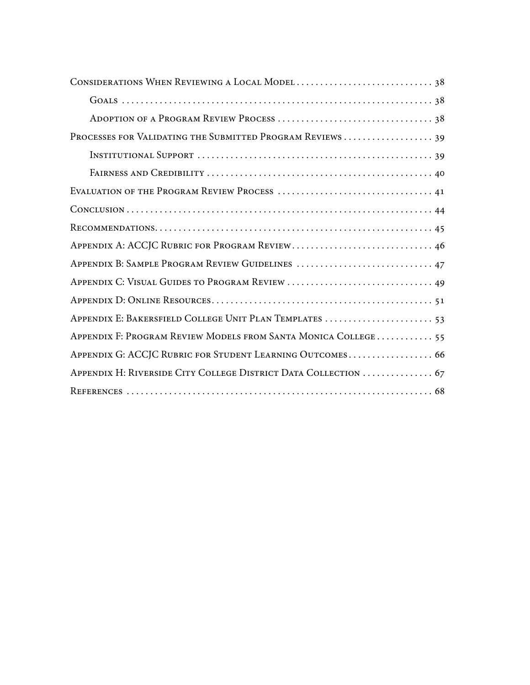| PROCESSES FOR VALIDATING THE SUBMITTED PROGRAM REVIEWS  39      |
|-----------------------------------------------------------------|
|                                                                 |
|                                                                 |
|                                                                 |
|                                                                 |
|                                                                 |
|                                                                 |
| APPENDIX B: SAMPLE PROGRAM REVIEW GUIDELINES  47                |
|                                                                 |
|                                                                 |
| APPENDIX E: BAKERSFIELD COLLEGE UNIT PLAN TEMPLATES  53         |
| APPENDIX F: PROGRAM REVIEW MODELS FROM SANTA MONICA COLLEGE 55  |
| APPENDIX G: ACCJC RUBRIC FOR STUDENT LEARNING OUTCOMES 66       |
| APPENDIX H: RIVERSIDE CITY COLLEGE DISTRICT DATA COLLECTION  67 |
|                                                                 |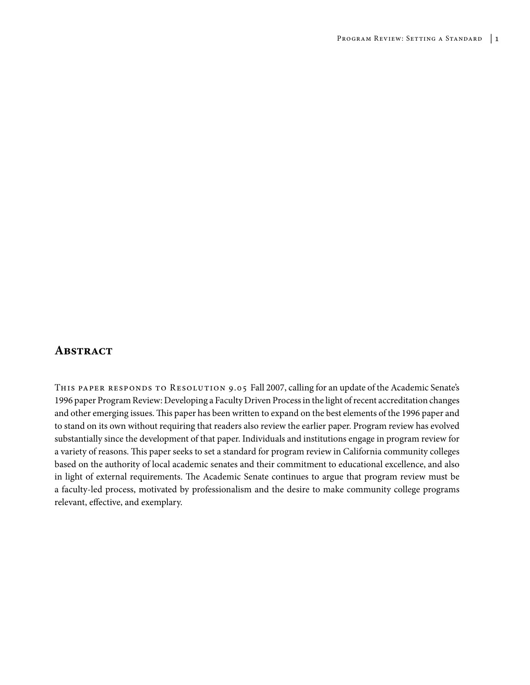### **Abstract**

This paper responds to Resolution 9.05 Fall 2007, calling for an update of the Academic Senate's 1996 paper Program Review: Developing a Faculty Driven Process in the light of recent accreditation changes and other emerging issues. This paper has been written to expand on the best elements of the 1996 paper and to stand on its own without requiring that readers also review the earlier paper. Program review has evolved substantially since the development of that paper. Individuals and institutions engage in program review for a variety of reasons. This paper seeks to set a standard for program review in California community colleges based on the authority of local academic senates and their commitment to educational excellence, and also in light of external requirements. The Academic Senate continues to argue that program review must be a faculty-led process, motivated by professionalism and the desire to make community college programs relevant, effective, and exemplary.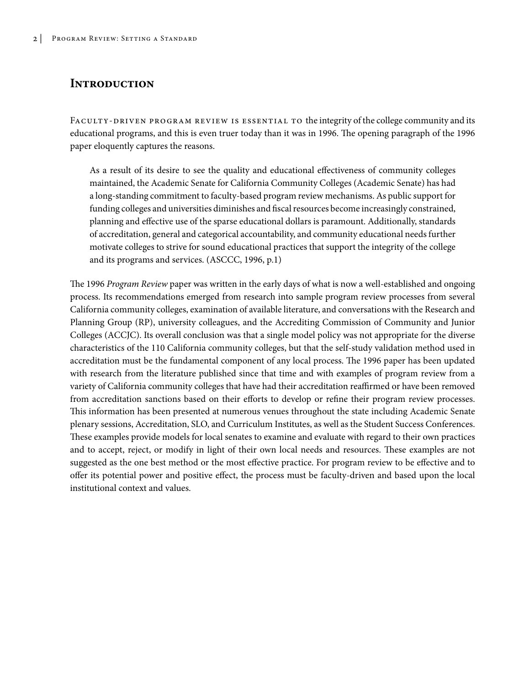## **Introduction**

FACULTY-DRIVEN PROGRAM REVIEW IS ESSENTIAL TO the integrity of the college community and its educational programs, and this is even truer today than it was in 1996. The opening paragraph of the 1996 paper eloquently captures the reasons.

As a result of its desire to see the quality and educational effectiveness of community colleges maintained, the Academic Senate for California Community Colleges (Academic Senate) has had a long-standing commitment to faculty-based program review mechanisms. As public support for funding colleges and universities diminishes and fiscal resources become increasingly constrained, planning and effective use of the sparse educational dollars is paramount. Additionally, standards of accreditation, general and categorical accountability, and community educational needs further motivate colleges to strive for sound educational practices that support the integrity of the college and its programs and services. (ASCCC, 1996, p.1)

The 1996 *Program Review* paper was written in the early days of what is now a well-established and ongoing process. Its recommendations emerged from research into sample program review processes from several California community colleges, examination of available literature, and conversations with the Research and Planning Group (RP), university colleagues, and the Accrediting Commission of Community and Junior Colleges (ACCJC). Its overall conclusion was that a single model policy was not appropriate for the diverse characteristics of the 110 California community colleges, but that the self-study validation method used in accreditation must be the fundamental component of any local process. The 1996 paper has been updated with research from the literature published since that time and with examples of program review from a variety of California community colleges that have had their accreditation reaffirmed or have been removed from accreditation sanctions based on their efforts to develop or refine their program review processes. This information has been presented at numerous venues throughout the state including Academic Senate plenary sessions, Accreditation, SLO, and Curriculum Institutes, as well as the Student Success Conferences. These examples provide models for local senates to examine and evaluate with regard to their own practices and to accept, reject, or modify in light of their own local needs and resources. These examples are not suggested as the one best method or the most effective practice. For program review to be effective and to offer its potential power and positive effect, the process must be faculty-driven and based upon the local institutional context and values.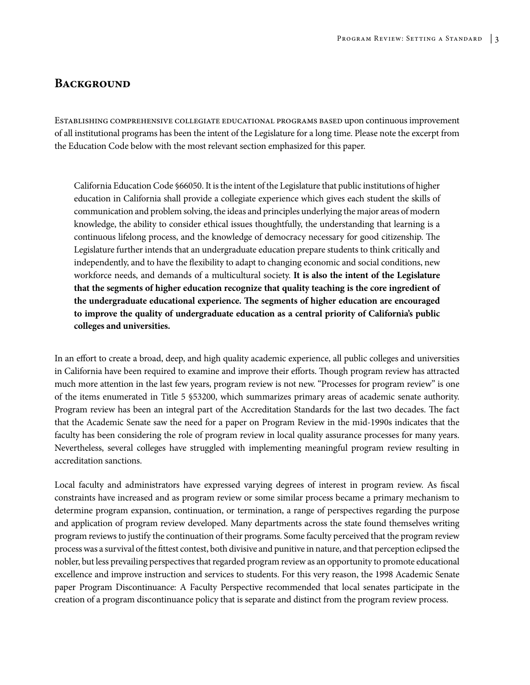### **Background**

Establishing comprehensive collegiate educational programs based upon continuous improvement of all institutional programs has been the intent of the Legislature for a long time. Please note the excerpt from the Education Code below with the most relevant section emphasized for this paper.

California Education Code §66050. It is the intent of the Legislature that public institutions of higher education in California shall provide a collegiate experience which gives each student the skills of communication and problem solving, the ideas and principles underlying the major areas of modern knowledge, the ability to consider ethical issues thoughtfully, the understanding that learning is a continuous lifelong process, and the knowledge of democracy necessary for good citizenship. The Legislature further intends that an undergraduate education prepare students to think critically and independently, and to have the flexibility to adapt to changing economic and social conditions, new workforce needs, and demands of a multicultural society. **It is also the intent of the Legislature that the segments of higher education recognize that quality teaching is the core ingredient of the undergraduate educational experience. The segments of higher education are encouraged to improve the quality of undergraduate education as a central priority of California's public colleges and universities.**

In an effort to create a broad, deep, and high quality academic experience, all public colleges and universities in California have been required to examine and improve their efforts. Though program review has attracted much more attention in the last few years, program review is not new. "Processes for program review" is one of the items enumerated in Title 5 §53200, which summarizes primary areas of academic senate authority. Program review has been an integral part of the Accreditation Standards for the last two decades. The fact that the Academic Senate saw the need for a paper on Program Review in the mid-1990s indicates that the faculty has been considering the role of program review in local quality assurance processes for many years. Nevertheless, several colleges have struggled with implementing meaningful program review resulting in accreditation sanctions.

Local faculty and administrators have expressed varying degrees of interest in program review. As fiscal constraints have increased and as program review or some similar process became a primary mechanism to determine program expansion, continuation, or termination, a range of perspectives regarding the purpose and application of program review developed. Many departments across the state found themselves writing program reviews to justify the continuation of their programs. Some faculty perceived that the program review process was a survival of the fittest contest, both divisive and punitive in nature, and that perception eclipsed the nobler, but less prevailing perspectives that regarded program review as an opportunity to promote educational excellence and improve instruction and services to students. For this very reason, the 1998 Academic Senate paper Program Discontinuance: A Faculty Perspective recommended that local senates participate in the creation of a program discontinuance policy that is separate and distinct from the program review process.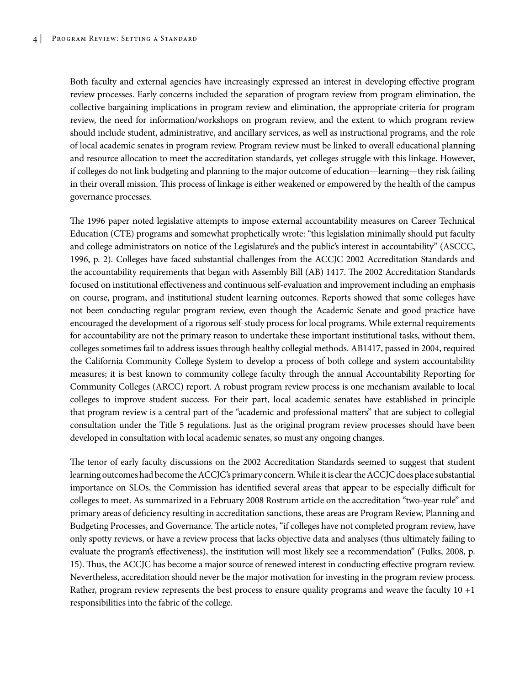Both faculty and external agencies have increasingly expressed an interest in developing effective program review processes. Early concerns included the separation of program review from program elimination, the collective bargaining implications in program review and elimination, the appropriate criteria for program review, the need for information/workshops on program review, and the extent to which program review should include student, administrative, and ancillary services, as well as instructional programs, and the role of local academic senates in program review. Program review must be linked to overall educational planning and resource allocation to meet the accreditation standards, yet colleges struggle with this linkage. However, if colleges do not link budgeting and planning to the major outcome of education—learning—they risk failing in their overall mission. This process of linkage is either weakened or empowered by the health of the campus governance processes.

The 1996 paper noted legislative attempts to impose external accountability measures on Career Technical Education (CTE) programs and somewhat prophetically wrote: "this legislation minimally should put faculty and college administrators on notice of the Legislature's and the public's interest in accountability" (ASCCC, 1996, p. 2). Colleges have faced substantial challenges from the ACCJC 2002 Accreditation Standards and the accountability requirements that began with Assembly Bill (AB) 1417. The 2002 Accreditation Standards focused on institutional effectiveness and continuous self-evaluation and improvement including an emphasis on course, program, and institutional student learning outcomes. Reports showed that some colleges have not been conducting regular program review, even though the Academic Senate and good practice have encouraged the development of a rigorous self-study process for local programs. While external requirements for accountability are not the primary reason to undertake these important institutional tasks, without them, colleges sometimes fail to address issues through healthy collegial methods. AB1417, passed in 2004, required the California Community College System to develop a process of both college and system accountability measures; it is best known to community college faculty through the annual Accountability Reporting for Community Colleges (ARCC) report. A robust program review process is one mechanism available to local colleges to improve student success. For their part, local academic senates have established in principle that program review is a central part of the "academic and professional matters" that are subject to collegial consultation under the Title 5 regulations. Just as the original program review processes should have been developed in consultation with local academic senates, so must any ongoing changes.

The tenor of early faculty discussions on the 2002 Accreditation Standards seemed to suggest that student learning outcomes had become the ACCJC's primary concern. While it is clear the ACCJC does place substantial importance on SLOs, the Commission has identified several areas that appear to be especially difficult for colleges to meet. As summarized in a February 2008 Rostrum article on the accreditation "two-year rule" and primary areas of deficiency resulting in accreditation sanctions, these areas are Program Review, Planning and Budgeting Processes, and Governance. The article notes, "if colleges have not completed program review, have only spotty reviews, or have a review process that lacks objective data and analyses (thus ultimately failing to evaluate the program's effectiveness), the institution will most likely see a recommendation" (Fulks, 2008, p. 15). Thus, the ACCJC has become a major source of renewed interest in conducting effective program review. Nevertheless, accreditation should never be the major motivation for investing in the program review process. Rather, program review represents the best process to ensure quality programs and weave the faculty 10 +1 responsibilities into the fabric of the college.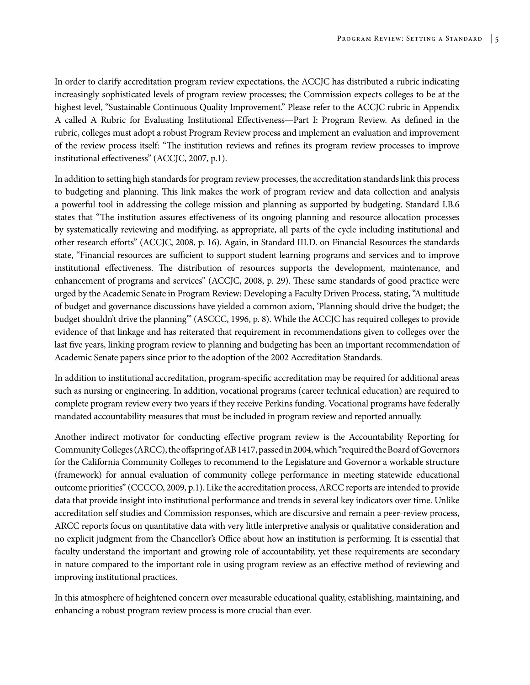In order to clarify accreditation program review expectations, the ACCJC has distributed a rubric indicating increasingly sophisticated levels of program review processes; the Commission expects colleges to be at the highest level, "Sustainable Continuous Quality Improvement." Please refer to the ACCJC rubric in Appendix A called A Rubric for Evaluating Institutional Effectiveness—Part I: Program Review. As defined in the rubric, colleges must adopt a robust Program Review process and implement an evaluation and improvement of the review process itself: "The institution reviews and refines its program review processes to improve institutional effectiveness" (ACCJC, 2007, p.1).

In addition to setting high standards for program review processes, the accreditation standards link this process to budgeting and planning. This link makes the work of program review and data collection and analysis a powerful tool in addressing the college mission and planning as supported by budgeting. Standard I.B.6 states that "The institution assures effectiveness of its ongoing planning and resource allocation processes by systematically reviewing and modifying, as appropriate, all parts of the cycle including institutional and other research efforts" (ACCJC, 2008, p. 16). Again, in Standard III.D. on Financial Resources the standards state, "Financial resources are sufficient to support student learning programs and services and to improve institutional effectiveness. The distribution of resources supports the development, maintenance, and enhancement of programs and services" (ACCJC, 2008, p. 29). These same standards of good practice were urged by the Academic Senate in Program Review: Developing a Faculty Driven Process, stating, "A multitude of budget and governance discussions have yielded a common axiom, 'Planning should drive the budget; the budget shouldn't drive the planning'" (ASCCC, 1996, p. 8). While the ACCJC has required colleges to provide evidence of that linkage and has reiterated that requirement in recommendations given to colleges over the last five years, linking program review to planning and budgeting has been an important recommendation of Academic Senate papers since prior to the adoption of the 2002 Accreditation Standards.

In addition to institutional accreditation, program-specific accreditation may be required for additional areas such as nursing or engineering. In addition, vocational programs (career technical education) are required to complete program review every two years if they receive Perkins funding. Vocational programs have federally mandated accountability measures that must be included in program review and reported annually.

Another indirect motivator for conducting effective program review is the Accountability Reporting for Community Colleges (ARCC), the offspring of AB 1417, passed in 2004, which "required the Board of Governors for the California Community Colleges to recommend to the Legislature and Governor a workable structure (framework) for annual evaluation of community college performance in meeting statewide educational outcome priorities" (CCCCO, 2009, p.1). Like the accreditation process, ARCC reports are intended to provide data that provide insight into institutional performance and trends in several key indicators over time. Unlike accreditation self studies and Commission responses, which are discursive and remain a peer-review process, ARCC reports focus on quantitative data with very little interpretive analysis or qualitative consideration and no explicit judgment from the Chancellor's Office about how an institution is performing. It is essential that faculty understand the important and growing role of accountability, yet these requirements are secondary in nature compared to the important role in using program review as an effective method of reviewing and improving institutional practices.

In this atmosphere of heightened concern over measurable educational quality, establishing, maintaining, and enhancing a robust program review process is more crucial than ever.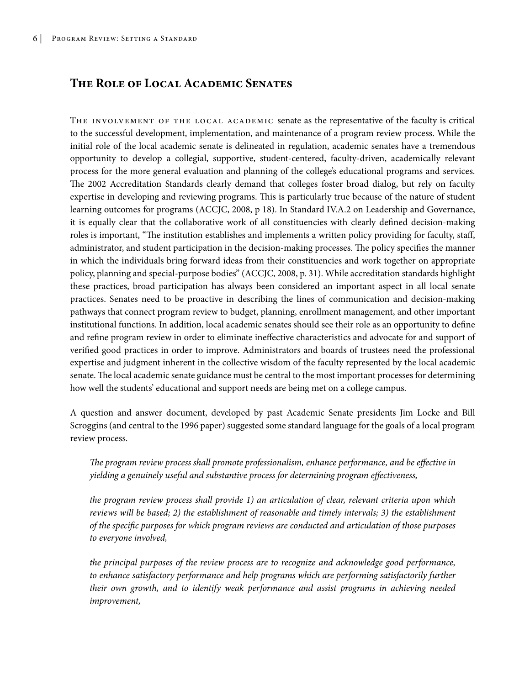### **The Role of Local Academic Senates**

THE INVOLVEMENT OF THE LOCAL ACADEMIC senate as the representative of the faculty is critical to the successful development, implementation, and maintenance of a program review process. While the initial role of the local academic senate is delineated in regulation, academic senates have a tremendous opportunity to develop a collegial, supportive, student-centered, faculty-driven, academically relevant process for the more general evaluation and planning of the college's educational programs and services. The 2002 Accreditation Standards clearly demand that colleges foster broad dialog, but rely on faculty expertise in developing and reviewing programs. This is particularly true because of the nature of student learning outcomes for programs (ACCJC, 2008, p 18). In Standard IV.A.2 on Leadership and Governance, it is equally clear that the collaborative work of all constituencies with clearly defined decision-making roles is important, "The institution establishes and implements a written policy providing for faculty, staff, administrator, and student participation in the decision-making processes. The policy specifies the manner in which the individuals bring forward ideas from their constituencies and work together on appropriate policy, planning and special-purpose bodies" (ACCJC, 2008, p. 31). While accreditation standards highlight these practices, broad participation has always been considered an important aspect in all local senate practices. Senates need to be proactive in describing the lines of communication and decision-making pathways that connect program review to budget, planning, enrollment management, and other important institutional functions. In addition, local academic senates should see their role as an opportunity to define and refine program review in order to eliminate ineffective characteristics and advocate for and support of verified good practices in order to improve. Administrators and boards of trustees need the professional expertise and judgment inherent in the collective wisdom of the faculty represented by the local academic senate. The local academic senate guidance must be central to the most important processes for determining how well the students' educational and support needs are being met on a college campus.

A question and answer document, developed by past Academic Senate presidents Jim Locke and Bill Scroggins (and central to the 1996 paper) suggested some standard language for the goals of a local program review process.

*The program review process shall promote professionalism, enhance performance, and be effective in yielding a genuinely useful and substantive process for determining program effectiveness,*

*the program review process shall provide 1) an articulation of clear, relevant criteria upon which reviews will be based; 2) the establishment of reasonable and timely intervals; 3) the establishment of the specific purposes for which program reviews are conducted and articulation of those purposes to everyone involved,*

*the principal purposes of the review process are to recognize and acknowledge good performance, to enhance satisfactory performance and help programs which are performing satisfactorily further their own growth, and to identify weak performance and assist programs in achieving needed improvement,*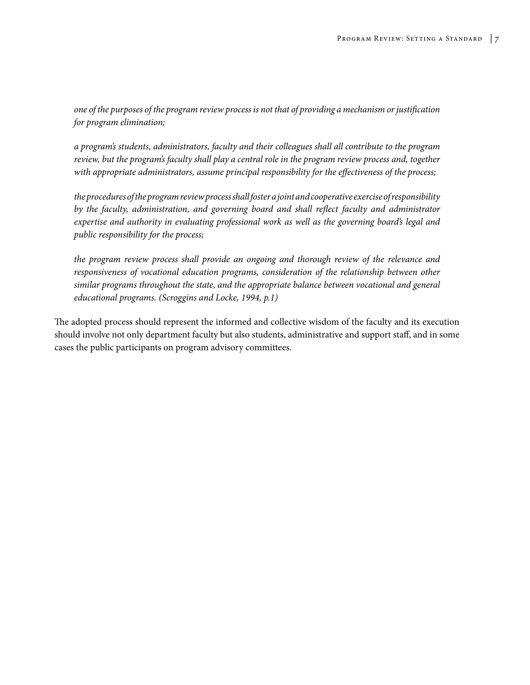*one of the purposes of the program review process is not that of providing a mechanism or justification for program elimination;*

*a program's students, administrators, faculty and their colleagues shall all contribute to the program review, but the program's faculty shall play a central role in the program review process and, together with appropriate administrators, assume principal responsibility for the effectiveness of the process;* 

*the procedures of the program review process shall foster a joint and cooperative exercise of responsibility by the faculty, administration, and governing board and shall reflect faculty and administrator expertise and authority in evaluating professional work as well as the governing board's legal and public responsibility for the process;*

*the program review process shall provide an ongoing and thorough review of the relevance and responsiveness of vocational education programs, consideration of the relationship between other similar programs throughout the state, and the appropriate balance between vocational and general educational programs. (Scroggins and Locke, 1994, p.1)*

The adopted process should represent the informed and collective wisdom of the faculty and its execution should involve not only department faculty but also students, administrative and support staff, and in some cases the public participants on program advisory committees.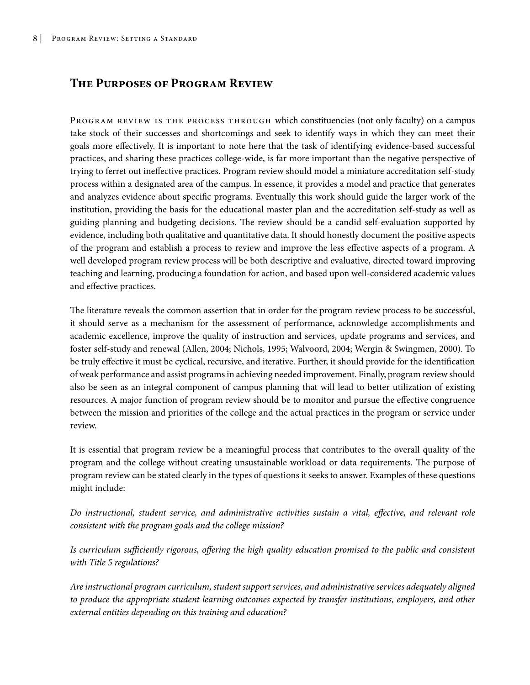## **The Purposes of Program Review**

PROGRAM REVIEW IS THE PROCESS THROUGH which constituencies (not only faculty) on a campus take stock of their successes and shortcomings and seek to identify ways in which they can meet their goals more effectively. It is important to note here that the task of identifying evidence-based successful practices, and sharing these practices college-wide, is far more important than the negative perspective of trying to ferret out ineffective practices. Program review should model a miniature accreditation self-study process within a designated area of the campus. In essence, it provides a model and practice that generates and analyzes evidence about specific programs. Eventually this work should guide the larger work of the institution, providing the basis for the educational master plan and the accreditation self-study as well as guiding planning and budgeting decisions. The review should be a candid self-evaluation supported by evidence, including both qualitative and quantitative data. It should honestly document the positive aspects of the program and establish a process to review and improve the less effective aspects of a program. A well developed program review process will be both descriptive and evaluative, directed toward improving teaching and learning, producing a foundation for action, and based upon well-considered academic values and effective practices.

The literature reveals the common assertion that in order for the program review process to be successful, it should serve as a mechanism for the assessment of performance, acknowledge accomplishments and academic excellence, improve the quality of instruction and services, update programs and services, and foster self-study and renewal (Allen, 2004; Nichols, 1995; Walvoord, 2004; Wergin & Swingmen, 2000). To be truly effective it must be cyclical, recursive, and iterative. Further, it should provide for the identification of weak performance and assist programs in achieving needed improvement. Finally, program review should also be seen as an integral component of campus planning that will lead to better utilization of existing resources. A major function of program review should be to monitor and pursue the effective congruence between the mission and priorities of the college and the actual practices in the program or service under review.

It is essential that program review be a meaningful process that contributes to the overall quality of the program and the college without creating unsustainable workload or data requirements. The purpose of program review can be stated clearly in the types of questions it seeks to answer. Examples of these questions might include:

*Do instructional, student service, and administrative activities sustain a vital, effective, and relevant role consistent with the program goals and the college mission?*

*Is curriculum sufficiently rigorous, offering the high quality education promised to the public and consistent with Title 5 regulations?*

*Are instructional program curriculum, student support services, and administrative services adequately aligned to produce the appropriate student learning outcomes expected by transfer institutions, employers, and other external entities depending on this training and education?*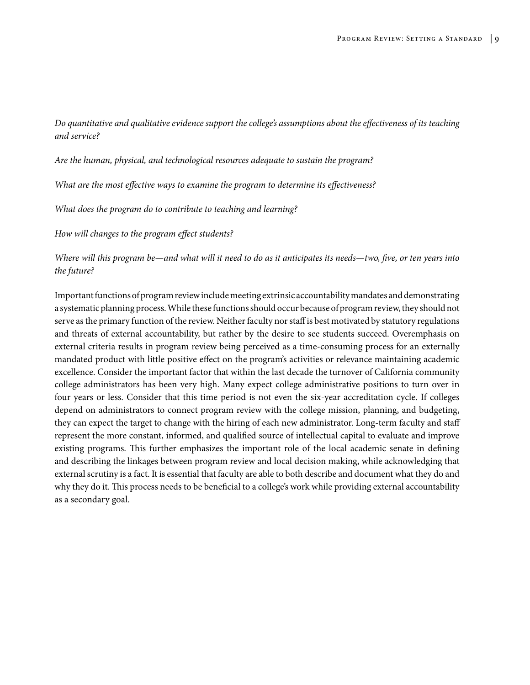*Do quantitative and qualitative evidence support the college's assumptions about the effectiveness of its teaching and service?*

*Are the human, physical, and technological resources adequate to sustain the program?*

*What are the most effective ways to examine the program to determine its effectiveness?*

*What does the program do to contribute to teaching and learning?*

*How will changes to the program effect students?*

*Where will this program be—and what will it need to do as it anticipates its needs—two, five, or ten years into the future?*

Important functions of program review include meeting extrinsic accountability mandates and demonstrating a systematic planning process. While these functions should occur because of program review, they should not serve as the primary function of the review. Neither faculty nor staff is best motivated by statutory regulations and threats of external accountability, but rather by the desire to see students succeed. Overemphasis on external criteria results in program review being perceived as a time-consuming process for an externally mandated product with little positive effect on the program's activities or relevance maintaining academic excellence. Consider the important factor that within the last decade the turnover of California community college administrators has been very high. Many expect college administrative positions to turn over in four years or less. Consider that this time period is not even the six-year accreditation cycle. If colleges depend on administrators to connect program review with the college mission, planning, and budgeting, they can expect the target to change with the hiring of each new administrator. Long-term faculty and staff represent the more constant, informed, and qualified source of intellectual capital to evaluate and improve existing programs. This further emphasizes the important role of the local academic senate in defining and describing the linkages between program review and local decision making, while acknowledging that external scrutiny is a fact. It is essential that faculty are able to both describe and document what they do and why they do it. This process needs to be beneficial to a college's work while providing external accountability as a secondary goal.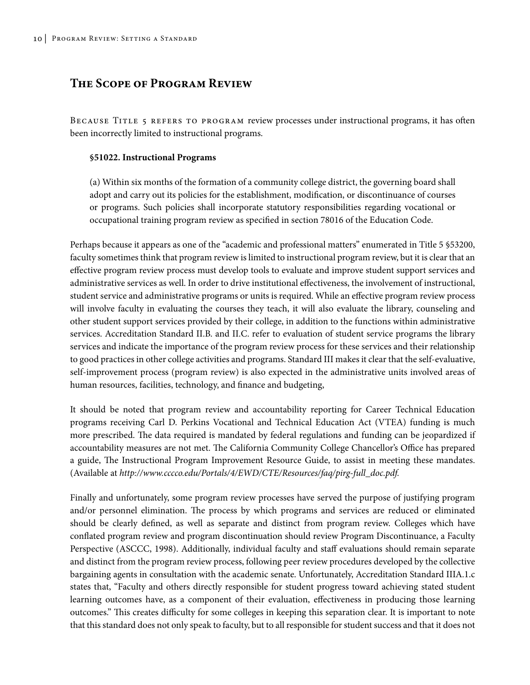### **The Scope of Program Review**

Because Title 5 refers to program review processes under instructional programs, it has often been incorrectly limited to instructional programs.

#### **§51022. Instructional Programs**

(a) Within six months of the formation of a community college district, the governing board shall adopt and carry out its policies for the establishment, modification, or discontinuance of courses or programs. Such policies shall incorporate statutory responsibilities regarding vocational or occupational training program review as specified in section 78016 of the Education Code.

Perhaps because it appears as one of the "academic and professional matters" enumerated in Title 5 §53200, faculty sometimes think that program review is limited to instructional program review, but it is clear that an effective program review process must develop tools to evaluate and improve student support services and administrative services as well. In order to drive institutional effectiveness, the involvement of instructional, student service and administrative programs or units is required. While an effective program review process will involve faculty in evaluating the courses they teach, it will also evaluate the library, counseling and other student support services provided by their college, in addition to the functions within administrative services. Accreditation Standard II.B. and II.C. refer to evaluation of student service programs the library services and indicate the importance of the program review process for these services and their relationship to good practices in other college activities and programs. Standard III makes it clear that the self-evaluative, self-improvement process (program review) is also expected in the administrative units involved areas of human resources, facilities, technology, and finance and budgeting,

It should be noted that program review and accountability reporting for Career Technical Education programs receiving Carl D. Perkins Vocational and Technical Education Act (VTEA) funding is much more prescribed. The data required is mandated by federal regulations and funding can be jeopardized if accountability measures are not met. The California Community College Chancellor's Office has prepared a guide, The Instructional Program Improvement Resource Guide, to assist in meeting these mandates. (Available at *http://www.cccco.edu/Portals/4/EWD/CTE/Resources/faq/pirg-full\_doc.pdf.*

Finally and unfortunately, some program review processes have served the purpose of justifying program and/or personnel elimination. The process by which programs and services are reduced or eliminated should be clearly defined, as well as separate and distinct from program review. Colleges which have conflated program review and program discontinuation should review Program Discontinuance, a Faculty Perspective (ASCCC, 1998). Additionally, individual faculty and staff evaluations should remain separate and distinct from the program review process, following peer review procedures developed by the collective bargaining agents in consultation with the academic senate. Unfortunately, Accreditation Standard IIIA.1.c states that, "Faculty and others directly responsible for student progress toward achieving stated student learning outcomes have, as a component of their evaluation, effectiveness in producing those learning outcomes." This creates difficulty for some colleges in keeping this separation clear. It is important to note that this standard does not only speak to faculty, but to all responsible for student success and that it does not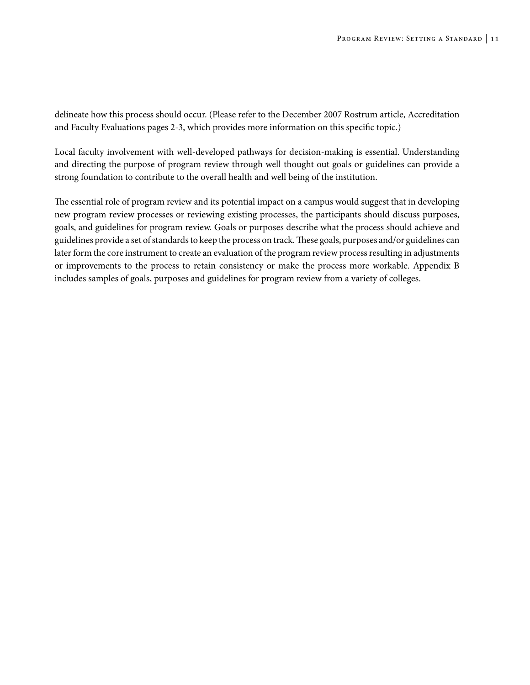delineate how this process should occur. (Please refer to the December 2007 Rostrum article, Accreditation and Faculty Evaluations pages 2-3, which provides more information on this specific topic.)

Local faculty involvement with well-developed pathways for decision-making is essential. Understanding and directing the purpose of program review through well thought out goals or guidelines can provide a strong foundation to contribute to the overall health and well being of the institution.

The essential role of program review and its potential impact on a campus would suggest that in developing new program review processes or reviewing existing processes, the participants should discuss purposes, goals, and guidelines for program review. Goals or purposes describe what the process should achieve and guidelines provide a set of standards to keep the process on track. These goals, purposes and/or guidelines can later form the core instrument to create an evaluation of the program review process resulting in adjustments or improvements to the process to retain consistency or make the process more workable. Appendix B includes samples of goals, purposes and guidelines for program review from a variety of colleges.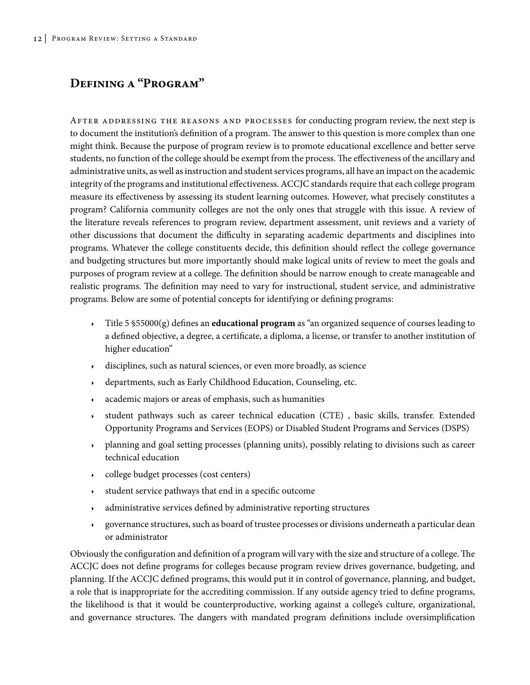## **Defining a "Program"**

After addressing the reasons and processes for conducting program review, the next step is to document the institution's definition of a program. The answer to this question is more complex than one might think. Because the purpose of program review is to promote educational excellence and better serve students, no function of the college should be exempt from the process. The effectiveness of the ancillary and administrative units, as well as instruction and student services programs, all have an impact on the academic integrity of the programs and institutional effectiveness. ACCJC standards require that each college program measure its effectiveness by assessing its student learning outcomes. However, what precisely constitutes a program? California community colleges are not the only ones that struggle with this issue. A review of the literature reveals references to program review, department assessment, unit reviews and a variety of other discussions that document the difficulty in separating academic departments and disciplines into programs. Whatever the college constituents decide, this definition should reflect the college governance and budgeting structures but more importantly should make logical units of review to meet the goals and purposes of program review at a college. The definition should be narrow enough to create manageable and realistic programs. The definition may need to vary for instructional, student service, and administrative programs. Below are some of potential concepts for identifying or defining programs:

- <sup>4</sup> Title 5 §55000(g) defines an **educational program** as "an organized sequence of courses leading to a defined objective, a degree, a certificate, a diploma, a license, or transfer to another institution of higher education"
- disciplines, such as natural sciences, or even more broadly, as science
- <sup>4</sup> departments, such as Early Childhood Education, Counseling, etc.
- academic majors or areas of emphasis, such as humanities
- <sup>4</sup> student pathways such as career technical education (CTE) , basic skills, transfer. Extended Opportunity Programs and Services (EOPS) or Disabled Student Programs and Services (DSPS)
- <sup>4</sup> planning and goal setting processes (planning units), possibly relating to divisions such as career technical education
- college budget processes (cost centers)
- $\cdot$  student service pathways that end in a specific outcome
- <sup>4</sup> administrative services defined by administrative reporting structures
- <sup>4</sup> governance structures, such as board of trustee processes or divisions underneath a particular dean or administrator

Obviously the configuration and definition of a program will vary with the size and structure of a college. The ACCJC does not define programs for colleges because program review drives governance, budgeting, and planning. If the ACCJC defined programs, this would put it in control of governance, planning, and budget, a role that is inappropriate for the accrediting commission. If any outside agency tried to define programs, the likelihood is that it would be counterproductive, working against a college's culture, organizational, and governance structures. The dangers with mandated program definitions include oversimplification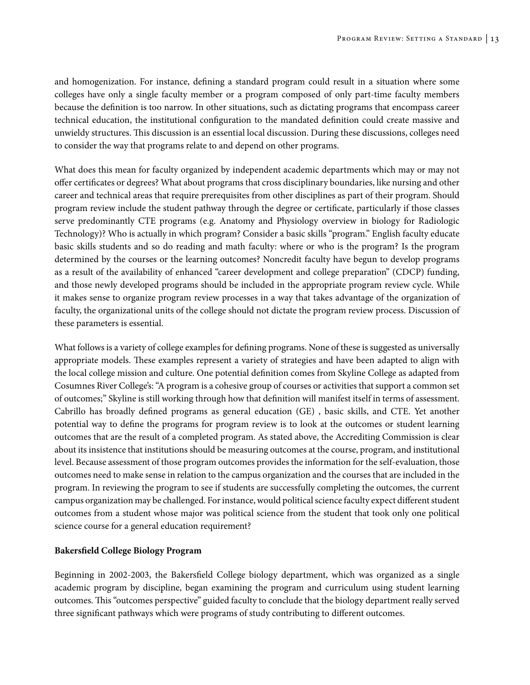and homogenization. For instance, defining a standard program could result in a situation where some colleges have only a single faculty member or a program composed of only part-time faculty members because the definition is too narrow. In other situations, such as dictating programs that encompass career technical education, the institutional configuration to the mandated definition could create massive and unwieldy structures. This discussion is an essential local discussion. During these discussions, colleges need to consider the way that programs relate to and depend on other programs.

What does this mean for faculty organized by independent academic departments which may or may not offer certificates or degrees? What about programs that cross disciplinary boundaries, like nursing and other career and technical areas that require prerequisites from other disciplines as part of their program. Should program review include the student pathway through the degree or certificate, particularly if those classes serve predominantly CTE programs (e.g. Anatomy and Physiology overview in biology for Radiologic Technology)? Who is actually in which program? Consider a basic skills "program." English faculty educate basic skills students and so do reading and math faculty: where or who is the program? Is the program determined by the courses or the learning outcomes? Noncredit faculty have begun to develop programs as a result of the availability of enhanced "career development and college preparation" (CDCP) funding, and those newly developed programs should be included in the appropriate program review cycle. While it makes sense to organize program review processes in a way that takes advantage of the organization of faculty, the organizational units of the college should not dictate the program review process. Discussion of these parameters is essential.

What follows is a variety of college examples for defining programs. None of these is suggested as universally appropriate models. These examples represent a variety of strategies and have been adapted to align with the local college mission and culture. One potential definition comes from Skyline College as adapted from Cosumnes River College's: "A program is a cohesive group of courses or activities that support a common set of outcomes;" Skyline is still working through how that definition will manifest itself in terms of assessment. Cabrillo has broadly defined programs as general education (GE) , basic skills, and CTE. Yet another potential way to define the programs for program review is to look at the outcomes or student learning outcomes that are the result of a completed program. As stated above, the Accrediting Commission is clear about its insistence that institutions should be measuring outcomes at the course, program, and institutional level. Because assessment of those program outcomes provides the information for the self-evaluation, those outcomes need to make sense in relation to the campus organization and the courses that are included in the program. In reviewing the program to see if students are successfully completing the outcomes, the current campus organization may be challenged. For instance, would political science faculty expect different student outcomes from a student whose major was political science from the student that took only one political science course for a general education requirement?

#### **Bakersfield College Biology Program**

Beginning in 2002-2003, the Bakersfield College biology department, which was organized as a single academic program by discipline, began examining the program and curriculum using student learning outcomes. This "outcomes perspective" guided faculty to conclude that the biology department really served three significant pathways which were programs of study contributing to different outcomes.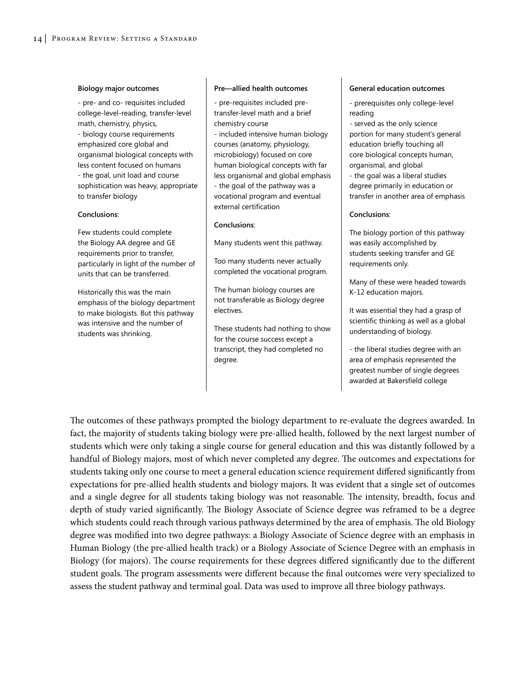#### **Biology major outcomes**

- pre- and co- requisites included college-level-reading, transfer-level math, chemistry, physics, - biology course requirements emphasized core global and organismal biological concepts with less content focused on humans - the goal, unit load and course sophistication was heavy, appropriate to transfer biology

#### **Conclusions**:

Few students could complete the Biology AA degree and GE requirements prior to transfer, particularly in light of the number of units that can be transferred.

Historically this was the main emphasis of the biology department to make biologists. But this pathway was intensive and the number of students was shrinking.

#### **Pre—allied health outcomes**

- pre-requisites included pretransfer-level math and a brief chemistry course

- included intensive human biology courses (anatomy, physiology, microbiology) focused on core human biological concepts with far less organismal and global emphasis - the goal of the pathway was a vocational program and eventual external certification

#### **Conclusions**:

Many students went this pathway.

Too many students never actually completed the vocational program.

The human biology courses are not transferable as Biology degree electives.

These students had nothing to show for the course success except a transcript, they had completed no degree.

#### **General education outcomes**

- prerequisites only college-level reading

- served as the only science portion for many student's general education briefly touching all core biological concepts human, organismal, and global - the goal was a liberal studies degree primarily in education or transfer in another area of emphasis

#### **Conclusions**:

The biology portion of this pathway was easily accomplished by students seeking transfer and GE requirements only.

Many of these were headed towards K-12 education majors.

It was essential they had a grasp of scientific thinking as well as a global understanding of biology.

- the liberal studies degree with an area of emphasis represented the greatest number of single degrees awarded at Bakersfield college

The outcomes of these pathways prompted the biology department to re-evaluate the degrees awarded. In fact, the majority of students taking biology were pre-allied health, followed by the next largest number of students which were only taking a single course for general education and this was distantly followed by a handful of Biology majors, most of which never completed any degree. The outcomes and expectations for students taking only one course to meet a general education science requirement differed significantly from expectations for pre-allied health students and biology majors. It was evident that a single set of outcomes and a single degree for all students taking biology was not reasonable. The intensity, breadth, focus and depth of study varied significantly. The Biology Associate of Science degree was reframed to be a degree which students could reach through various pathways determined by the area of emphasis. The old Biology degree was modified into two degree pathways: a Biology Associate of Science degree with an emphasis in Human Biology (the pre-allied health track) or a Biology Associate of Science Degree with an emphasis in Biology (for majors). The course requirements for these degrees differed significantly due to the different student goals. The program assessments were different because the final outcomes were very specialized to assess the student pathway and terminal goal. Data was used to improve all three biology pathways.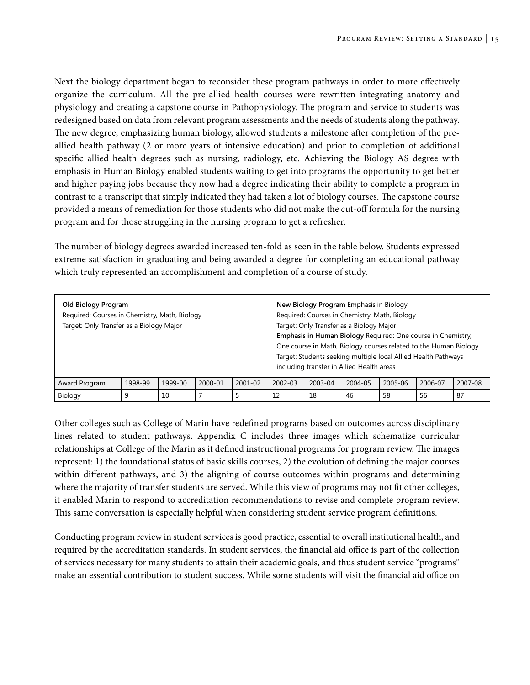Next the biology department began to reconsider these program pathways in order to more effectively organize the curriculum. All the pre-allied health courses were rewritten integrating anatomy and physiology and creating a capstone course in Pathophysiology. The program and service to students was redesigned based on data from relevant program assessments and the needs of students along the pathway. The new degree, emphasizing human biology, allowed students a milestone after completion of the preallied health pathway (2 or more years of intensive education) and prior to completion of additional specific allied health degrees such as nursing, radiology, etc. Achieving the Biology AS degree with emphasis in Human Biology enabled students waiting to get into programs the opportunity to get better and higher paying jobs because they now had a degree indicating their ability to complete a program in contrast to a transcript that simply indicated they had taken a lot of biology courses. The capstone course provided a means of remediation for those students who did not make the cut-off formula for the nursing program and for those struggling in the nursing program to get a refresher.

The number of biology degrees awarded increased ten-fold as seen in the table below. Students expressed extreme satisfaction in graduating and being awarded a degree for completing an educational pathway which truly represented an accomplishment and completion of a course of study.

| Old Biology Program<br>Required: Courses in Chemistry, Math, Biology<br>Target: Only Transfer as a Biology Major |         |         |         |             |             |         | New Biology Program Emphasis in Biology<br>Target: Only Transfer as a Biology Major<br>including transfer in Allied Health areas | Required: Courses in Chemistry, Math, Biology | Emphasis in Human Biology Required: One course in Chemistry,<br>One course in Math, Biology courses related to the Human Biology<br>Target: Students seeking multiple local Allied Health Pathways |         |
|------------------------------------------------------------------------------------------------------------------|---------|---------|---------|-------------|-------------|---------|----------------------------------------------------------------------------------------------------------------------------------|-----------------------------------------------|----------------------------------------------------------------------------------------------------------------------------------------------------------------------------------------------------|---------|
| Award Program                                                                                                    | 1998-99 | 1999-00 | 2000-01 | $2001 - 02$ | $2002 - 03$ | 2003-04 | 2004-05                                                                                                                          | 2005-06                                       | 2006-07                                                                                                                                                                                            | 2007-08 |
| Biology                                                                                                          | 9       | 10      |         |             | 12          | 18      | 46                                                                                                                               | 58                                            | 56                                                                                                                                                                                                 | 87      |

Other colleges such as College of Marin have redefined programs based on outcomes across disciplinary lines related to student pathways. Appendix C includes three images which schematize curricular relationships at College of the Marin as it defined instructional programs for program review. The images represent: 1) the foundational status of basic skills courses, 2) the evolution of defining the major courses within different pathways, and 3) the aligning of course outcomes within programs and determining where the majority of transfer students are served. While this view of programs may not fit other colleges, it enabled Marin to respond to accreditation recommendations to revise and complete program review. This same conversation is especially helpful when considering student service program definitions.

Conducting program review in student services is good practice, essential to overall institutional health, and required by the accreditation standards. In student services, the financial aid office is part of the collection of services necessary for many students to attain their academic goals, and thus student service "programs" make an essential contribution to student success. While some students will visit the financial aid office on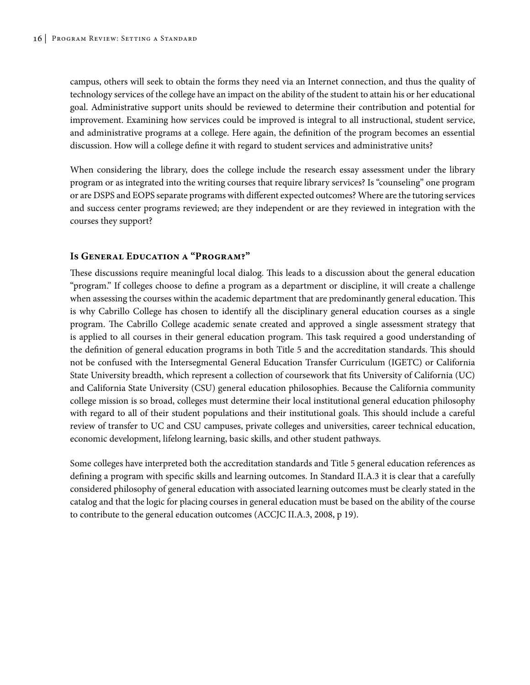campus, others will seek to obtain the forms they need via an Internet connection, and thus the quality of technology services of the college have an impact on the ability of the student to attain his or her educational goal. Administrative support units should be reviewed to determine their contribution and potential for improvement. Examining how services could be improved is integral to all instructional, student service, and administrative programs at a college. Here again, the definition of the program becomes an essential discussion. How will a college define it with regard to student services and administrative units?

When considering the library, does the college include the research essay assessment under the library program or as integrated into the writing courses that require library services? Is "counseling" one program or are DSPS and EOPS separate programs with different expected outcomes? Where are the tutoring services and success center programs reviewed; are they independent or are they reviewed in integration with the courses they support?

#### **Is General Education a "Program?"**

These discussions require meaningful local dialog. This leads to a discussion about the general education "program." If colleges choose to define a program as a department or discipline, it will create a challenge when assessing the courses within the academic department that are predominantly general education. This is why Cabrillo College has chosen to identify all the disciplinary general education courses as a single program. The Cabrillo College academic senate created and approved a single assessment strategy that is applied to all courses in their general education program. This task required a good understanding of the definition of general education programs in both Title 5 and the accreditation standards. This should not be confused with the Intersegmental General Education Transfer Curriculum (IGETC) or California State University breadth, which represent a collection of coursework that fits University of California (UC) and California State University (CSU) general education philosophies. Because the California community college mission is so broad, colleges must determine their local institutional general education philosophy with regard to all of their student populations and their institutional goals. This should include a careful review of transfer to UC and CSU campuses, private colleges and universities, career technical education, economic development, lifelong learning, basic skills, and other student pathways.

Some colleges have interpreted both the accreditation standards and Title 5 general education references as defining a program with specific skills and learning outcomes. In Standard II.A.3 it is clear that a carefully considered philosophy of general education with associated learning outcomes must be clearly stated in the catalog and that the logic for placing courses in general education must be based on the ability of the course to contribute to the general education outcomes (ACCJC II.A.3, 2008, p 19).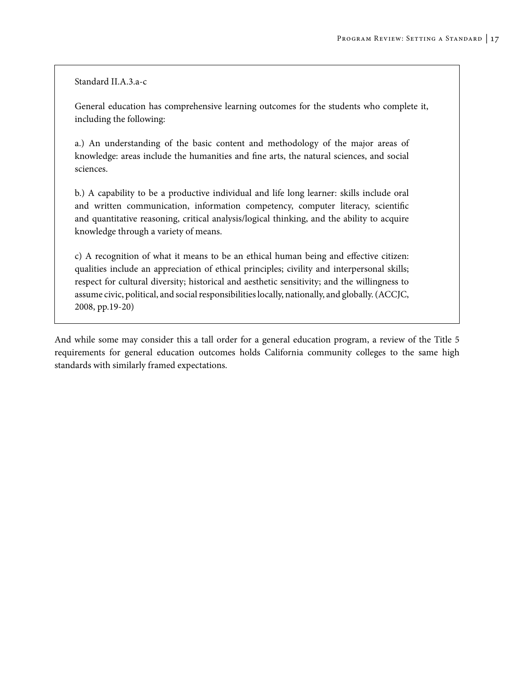Standard II.A.3.a-c

General education has comprehensive learning outcomes for the students who complete it, including the following:

a.) An understanding of the basic content and methodology of the major areas of knowledge: areas include the humanities and fine arts, the natural sciences, and social sciences.

b.) A capability to be a productive individual and life long learner: skills include oral and written communication, information competency, computer literacy, scientific and quantitative reasoning, critical analysis/logical thinking, and the ability to acquire knowledge through a variety of means.

c) A recognition of what it means to be an ethical human being and effective citizen: qualities include an appreciation of ethical principles; civility and interpersonal skills; respect for cultural diversity; historical and aesthetic sensitivity; and the willingness to assume civic, political, and social responsibilities locally, nationally, and globally. (ACCJC, 2008, pp.19-20)

And while some may consider this a tall order for a general education program, a review of the Title 5 requirements for general education outcomes holds California community colleges to the same high standards with similarly framed expectations.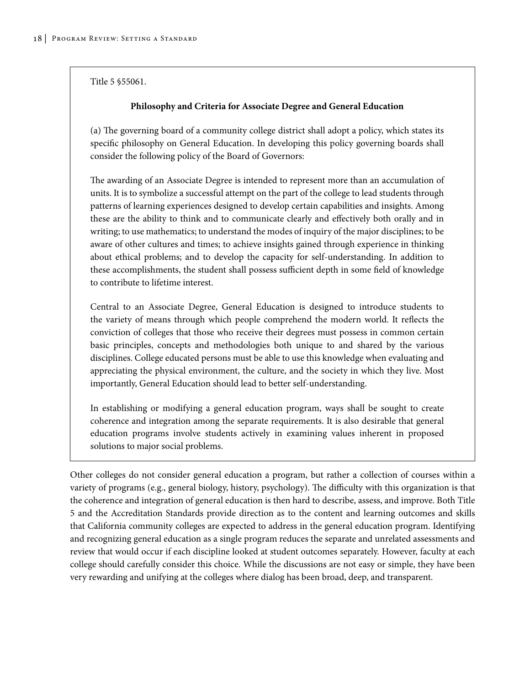Title 5 §55061.

#### **Philosophy and Criteria for Associate Degree and General Education**

(a) The governing board of a community college district shall adopt a policy, which states its specific philosophy on General Education. In developing this policy governing boards shall consider the following policy of the Board of Governors:

The awarding of an Associate Degree is intended to represent more than an accumulation of units. It is to symbolize a successful attempt on the part of the college to lead students through patterns of learning experiences designed to develop certain capabilities and insights. Among these are the ability to think and to communicate clearly and effectively both orally and in writing; to use mathematics; to understand the modes of inquiry of the major disciplines; to be aware of other cultures and times; to achieve insights gained through experience in thinking about ethical problems; and to develop the capacity for self-understanding. In addition to these accomplishments, the student shall possess sufficient depth in some field of knowledge to contribute to lifetime interest.

Central to an Associate Degree, General Education is designed to introduce students to the variety of means through which people comprehend the modern world. It reflects the conviction of colleges that those who receive their degrees must possess in common certain basic principles, concepts and methodologies both unique to and shared by the various disciplines. College educated persons must be able to use this knowledge when evaluating and appreciating the physical environment, the culture, and the society in which they live. Most importantly, General Education should lead to better self-understanding.

In establishing or modifying a general education program, ways shall be sought to create coherence and integration among the separate requirements. It is also desirable that general education programs involve students actively in examining values inherent in proposed solutions to major social problems.

Other colleges do not consider general education a program, but rather a collection of courses within a variety of programs (e.g., general biology, history, psychology). The difficulty with this organization is that the coherence and integration of general education is then hard to describe, assess, and improve. Both Title 5 and the Accreditation Standards provide direction as to the content and learning outcomes and skills that California community colleges are expected to address in the general education program. Identifying and recognizing general education as a single program reduces the separate and unrelated assessments and review that would occur if each discipline looked at student outcomes separately. However, faculty at each college should carefully consider this choice. While the discussions are not easy or simple, they have been very rewarding and unifying at the colleges where dialog has been broad, deep, and transparent.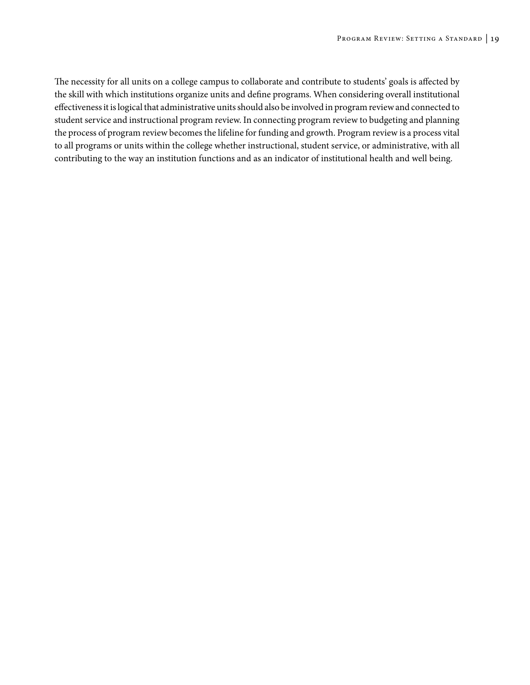The necessity for all units on a college campus to collaborate and contribute to students' goals is affected by the skill with which institutions organize units and define programs. When considering overall institutional effectiveness it is logical that administrative units should also be involved in program review and connected to student service and instructional program review. In connecting program review to budgeting and planning the process of program review becomes the lifeline for funding and growth. Program review is a process vital to all programs or units within the college whether instructional, student service, or administrative, with all contributing to the way an institution functions and as an indicator of institutional health and well being.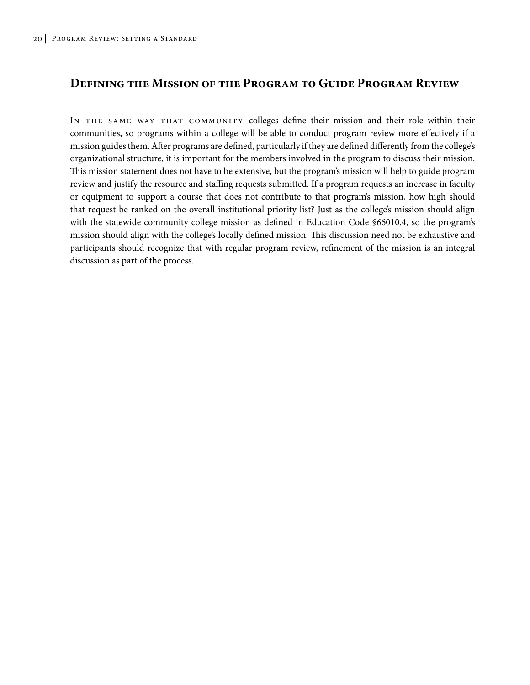### **Defining the Mission of the Program to Guide Program Review**

In the same way that community colleges define their mission and their role within their communities, so programs within a college will be able to conduct program review more effectively if a mission guides them. After programs are defined, particularly if they are defined differently from the college's organizational structure, it is important for the members involved in the program to discuss their mission. This mission statement does not have to be extensive, but the program's mission will help to guide program review and justify the resource and staffing requests submitted. If a program requests an increase in faculty or equipment to support a course that does not contribute to that program's mission, how high should that request be ranked on the overall institutional priority list? Just as the college's mission should align with the statewide community college mission as defined in Education Code §66010.4, so the program's mission should align with the college's locally defined mission. This discussion need not be exhaustive and participants should recognize that with regular program review, refinement of the mission is an integral discussion as part of the process.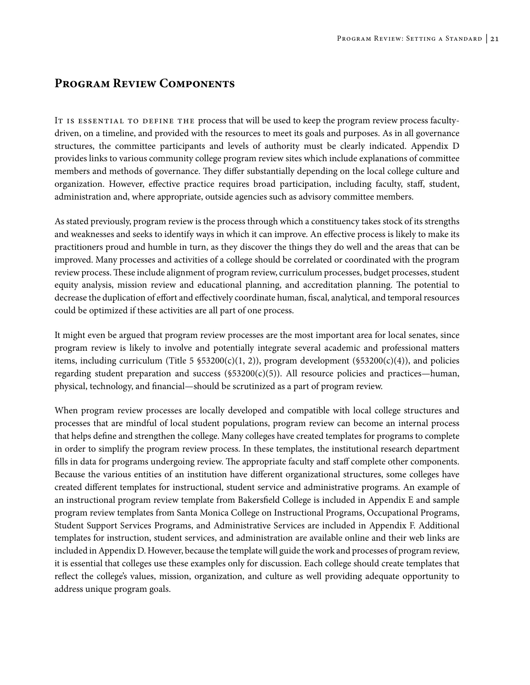### **Program Review Components**

IT IS ESSENTIAL TO DEFINE THE process that will be used to keep the program review process facultydriven, on a timeline, and provided with the resources to meet its goals and purposes. As in all governance structures, the committee participants and levels of authority must be clearly indicated. Appendix D provides links to various community college program review sites which include explanations of committee members and methods of governance. They differ substantially depending on the local college culture and organization. However, effective practice requires broad participation, including faculty, staff, student, administration and, where appropriate, outside agencies such as advisory committee members.

As stated previously, program review is the process through which a constituency takes stock of its strengths and weaknesses and seeks to identify ways in which it can improve. An effective process is likely to make its practitioners proud and humble in turn, as they discover the things they do well and the areas that can be improved. Many processes and activities of a college should be correlated or coordinated with the program review process. These include alignment of program review, curriculum processes, budget processes, student equity analysis, mission review and educational planning, and accreditation planning. The potential to decrease the duplication of effort and effectively coordinate human, fiscal, analytical, and temporal resources could be optimized if these activities are all part of one process.

It might even be argued that program review processes are the most important area for local senates, since program review is likely to involve and potentially integrate several academic and professional matters items, including curriculum (Title 5  $$53200(c)(1, 2)$ ), program development (\$53200(c)(4)), and policies regarding student preparation and success ( $$53200(c)(5)$ ). All resource policies and practices—human, physical, technology, and financial—should be scrutinized as a part of program review.

When program review processes are locally developed and compatible with local college structures and processes that are mindful of local student populations, program review can become an internal process that helps define and strengthen the college. Many colleges have created templates for programs to complete in order to simplify the program review process. In these templates, the institutional research department fills in data for programs undergoing review. The appropriate faculty and staff complete other components. Because the various entities of an institution have different organizational structures, some colleges have created different templates for instructional, student service and administrative programs. An example of an instructional program review template from Bakersfield College is included in Appendix E and sample program review templates from Santa Monica College on Instructional Programs, Occupational Programs, Student Support Services Programs, and Administrative Services are included in Appendix F. Additional templates for instruction, student services, and administration are available online and their web links are included in Appendix D. However, because the template will guide the work and processes of program review, it is essential that colleges use these examples only for discussion. Each college should create templates that reflect the college's values, mission, organization, and culture as well providing adequate opportunity to address unique program goals.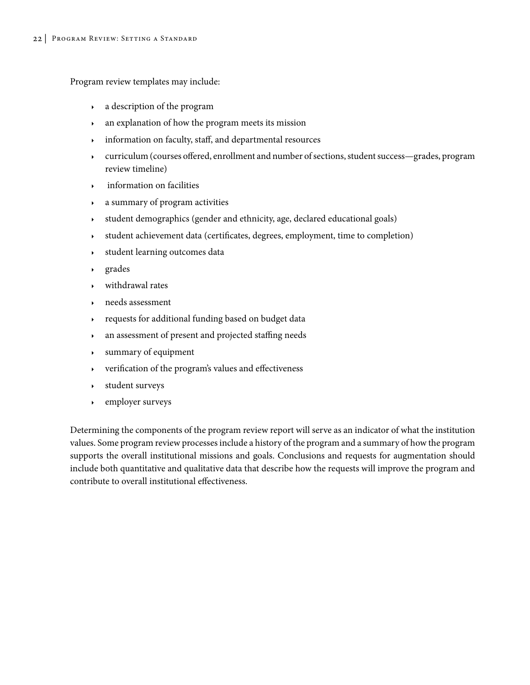Program review templates may include:

- $\rightarrow$  a description of the program
- <sup>4</sup> an explanation of how the program meets its mission
- <sup>4</sup> information on faculty, staff, and departmental resources
- <sup>4</sup> curriculum (courses offered, enrollment and number of sections, student success—grades, program review timeline)
- <sup>4</sup> information on facilities
- $\lambda$  a summary of program activities
- <sup>4</sup> student demographics (gender and ethnicity, age, declared educational goals)
- <sup>4</sup> student achievement data (certificates, degrees, employment, time to completion)
- <sup>4</sup> student learning outcomes data
- $\rightarrow$  grades
- withdrawal rates
- needs assessment
- requests for additional funding based on budget data
- <sup>4</sup> an assessment of present and projected staffing needs
- $\rightarrow$  summary of equipment
- $\rightarrow$  verification of the program's values and effectiveness
- student surveys
- $\cdot$  employer surveys

Determining the components of the program review report will serve as an indicator of what the institution values. Some program review processes include a history of the program and a summary of how the program supports the overall institutional missions and goals. Conclusions and requests for augmentation should include both quantitative and qualitative data that describe how the requests will improve the program and contribute to overall institutional effectiveness.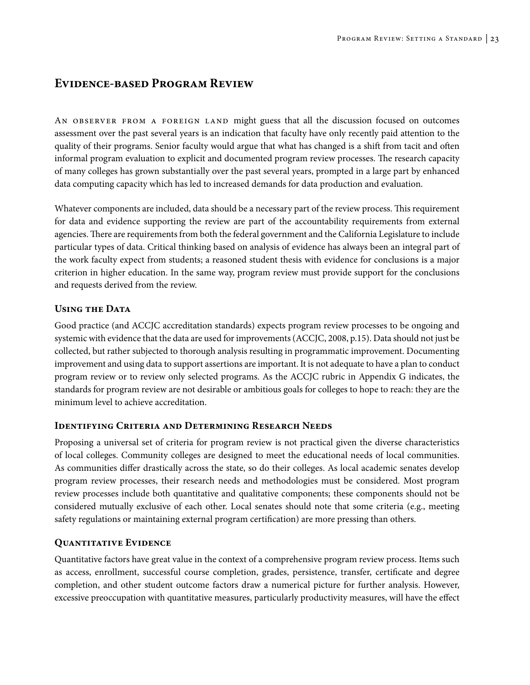## **Evidence-based Program Review**

An observer from a foreign land might guess that all the discussion focused on outcomes assessment over the past several years is an indication that faculty have only recently paid attention to the quality of their programs. Senior faculty would argue that what has changed is a shift from tacit and often informal program evaluation to explicit and documented program review processes. The research capacity of many colleges has grown substantially over the past several years, prompted in a large part by enhanced data computing capacity which has led to increased demands for data production and evaluation.

Whatever components are included, data should be a necessary part of the review process. This requirement for data and evidence supporting the review are part of the accountability requirements from external agencies. There are requirements from both the federal government and the California Legislature to include particular types of data. Critical thinking based on analysis of evidence has always been an integral part of the work faculty expect from students; a reasoned student thesis with evidence for conclusions is a major criterion in higher education. In the same way, program review must provide support for the conclusions and requests derived from the review.

### **Using the Data**

Good practice (and ACCJC accreditation standards) expects program review processes to be ongoing and systemic with evidence that the data are used for improvements (ACCJC, 2008, p.15). Data should not just be collected, but rather subjected to thorough analysis resulting in programmatic improvement. Documenting improvement and using data to support assertions are important. It is not adequate to have a plan to conduct program review or to review only selected programs. As the ACCJC rubric in Appendix G indicates, the standards for program review are not desirable or ambitious goals for colleges to hope to reach: they are the minimum level to achieve accreditation.

#### **Identifying Criteria and Determining Research Needs**

Proposing a universal set of criteria for program review is not practical given the diverse characteristics of local colleges. Community colleges are designed to meet the educational needs of local communities. As communities differ drastically across the state, so do their colleges. As local academic senates develop program review processes, their research needs and methodologies must be considered. Most program review processes include both quantitative and qualitative components; these components should not be considered mutually exclusive of each other. Local senates should note that some criteria (e.g., meeting safety regulations or maintaining external program certification) are more pressing than others.

### **Quantitative Evidence**

Quantitative factors have great value in the context of a comprehensive program review process. Items such as access, enrollment, successful course completion, grades, persistence, transfer, certificate and degree completion, and other student outcome factors draw a numerical picture for further analysis. However, excessive preoccupation with quantitative measures, particularly productivity measures, will have the effect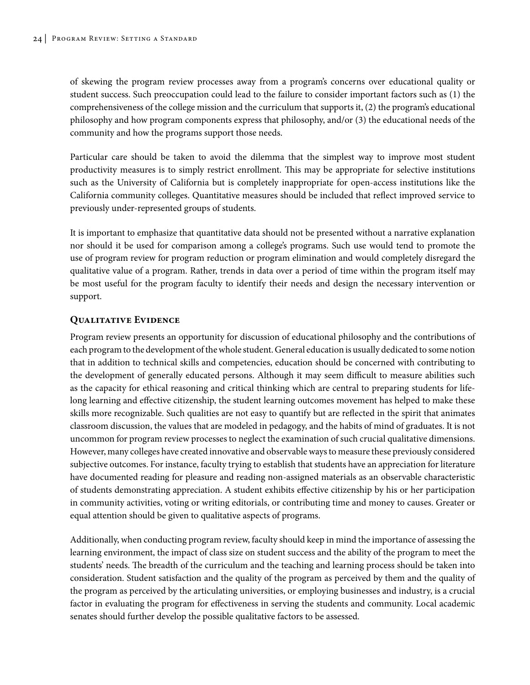of skewing the program review processes away from a program's concerns over educational quality or student success. Such preoccupation could lead to the failure to consider important factors such as (1) the comprehensiveness of the college mission and the curriculum that supports it, (2) the program's educational philosophy and how program components express that philosophy, and/or (3) the educational needs of the community and how the programs support those needs.

Particular care should be taken to avoid the dilemma that the simplest way to improve most student productivity measures is to simply restrict enrollment. This may be appropriate for selective institutions such as the University of California but is completely inappropriate for open-access institutions like the California community colleges. Quantitative measures should be included that reflect improved service to previously under-represented groups of students.

It is important to emphasize that quantitative data should not be presented without a narrative explanation nor should it be used for comparison among a college's programs. Such use would tend to promote the use of program review for program reduction or program elimination and would completely disregard the qualitative value of a program. Rather, trends in data over a period of time within the program itself may be most useful for the program faculty to identify their needs and design the necessary intervention or support.

#### **Qualitative Evidence**

Program review presents an opportunity for discussion of educational philosophy and the contributions of each program to the development of the whole student. General education is usually dedicated to some notion that in addition to technical skills and competencies, education should be concerned with contributing to the development of generally educated persons. Although it may seem difficult to measure abilities such as the capacity for ethical reasoning and critical thinking which are central to preparing students for lifelong learning and effective citizenship, the student learning outcomes movement has helped to make these skills more recognizable. Such qualities are not easy to quantify but are reflected in the spirit that animates classroom discussion, the values that are modeled in pedagogy, and the habits of mind of graduates. It is not uncommon for program review processes to neglect the examination of such crucial qualitative dimensions. However, many colleges have created innovative and observable ways to measure these previously considered subjective outcomes. For instance, faculty trying to establish that students have an appreciation for literature have documented reading for pleasure and reading non-assigned materials as an observable characteristic of students demonstrating appreciation. A student exhibits effective citizenship by his or her participation in community activities, voting or writing editorials, or contributing time and money to causes. Greater or equal attention should be given to qualitative aspects of programs.

Additionally, when conducting program review, faculty should keep in mind the importance of assessing the learning environment, the impact of class size on student success and the ability of the program to meet the students' needs. The breadth of the curriculum and the teaching and learning process should be taken into consideration. Student satisfaction and the quality of the program as perceived by them and the quality of the program as perceived by the articulating universities, or employing businesses and industry, is a crucial factor in evaluating the program for effectiveness in serving the students and community. Local academic senates should further develop the possible qualitative factors to be assessed.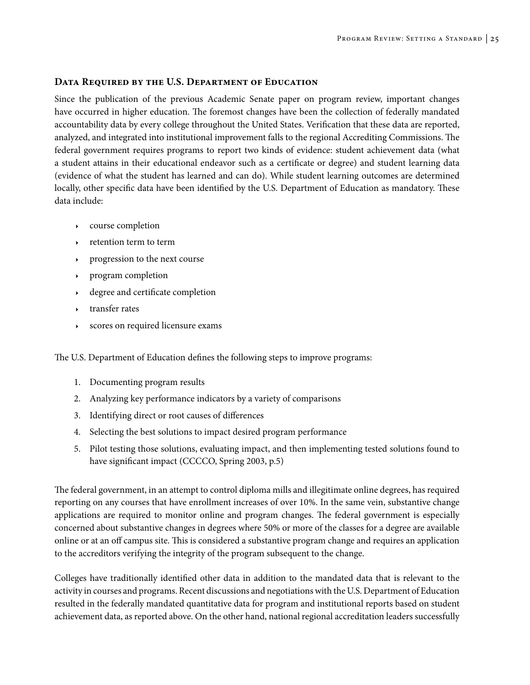#### **Data Required by the U.S. Department of Education**

Since the publication of the previous Academic Senate paper on program review, important changes have occurred in higher education. The foremost changes have been the collection of federally mandated accountability data by every college throughout the United States. Verification that these data are reported, analyzed, and integrated into institutional improvement falls to the regional Accrediting Commissions. The federal government requires programs to report two kinds of evidence: student achievement data (what a student attains in their educational endeavor such as a certificate or degree) and student learning data (evidence of what the student has learned and can do). While student learning outcomes are determined locally, other specific data have been identified by the U.S. Department of Education as mandatory. These data include:

- <sup>4</sup> course completion
- $\rightarrow$  retention term to term
- progression to the next course
- program completion
- $\rightarrow$  degree and certificate completion
- $\rightarrow$  transfer rates
- scores on required licensure exams

The U.S. Department of Education defines the following steps to improve programs:

- 1. Documenting program results
- 2. Analyzing key performance indicators by a variety of comparisons
- 3. Identifying direct or root causes of differences
- 4. Selecting the best solutions to impact desired program performance
- 5. Pilot testing those solutions, evaluating impact, and then implementing tested solutions found to have significant impact (CCCCO, Spring 2003, p.5)

The federal government, in an attempt to control diploma mills and illegitimate online degrees, has required reporting on any courses that have enrollment increases of over 10%. In the same vein, substantive change applications are required to monitor online and program changes. The federal government is especially concerned about substantive changes in degrees where 50% or more of the classes for a degree are available online or at an off campus site. This is considered a substantive program change and requires an application to the accreditors verifying the integrity of the program subsequent to the change.

Colleges have traditionally identified other data in addition to the mandated data that is relevant to the activity in courses and programs. Recent discussions and negotiations with the U.S. Department of Education resulted in the federally mandated quantitative data for program and institutional reports based on student achievement data, as reported above. On the other hand, national regional accreditation leaders successfully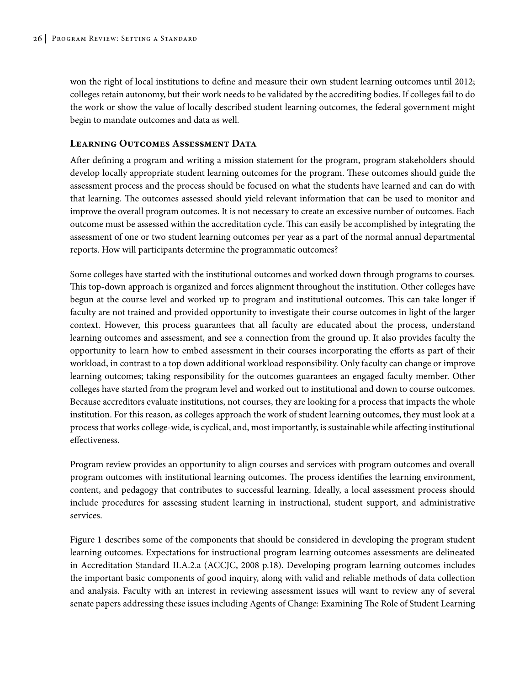won the right of local institutions to define and measure their own student learning outcomes until 2012; colleges retain autonomy, but their work needs to be validated by the accrediting bodies. If colleges fail to do the work or show the value of locally described student learning outcomes, the federal government might begin to mandate outcomes and data as well.

#### **Learning Outcomes Assessment Data**

After defining a program and writing a mission statement for the program, program stakeholders should develop locally appropriate student learning outcomes for the program. These outcomes should guide the assessment process and the process should be focused on what the students have learned and can do with that learning. The outcomes assessed should yield relevant information that can be used to monitor and improve the overall program outcomes. It is not necessary to create an excessive number of outcomes. Each outcome must be assessed within the accreditation cycle. This can easily be accomplished by integrating the assessment of one or two student learning outcomes per year as a part of the normal annual departmental reports. How will participants determine the programmatic outcomes?

Some colleges have started with the institutional outcomes and worked down through programs to courses. This top-down approach is organized and forces alignment throughout the institution. Other colleges have begun at the course level and worked up to program and institutional outcomes. This can take longer if faculty are not trained and provided opportunity to investigate their course outcomes in light of the larger context. However, this process guarantees that all faculty are educated about the process, understand learning outcomes and assessment, and see a connection from the ground up. It also provides faculty the opportunity to learn how to embed assessment in their courses incorporating the efforts as part of their workload, in contrast to a top down additional workload responsibility. Only faculty can change or improve learning outcomes; taking responsibility for the outcomes guarantees an engaged faculty member. Other colleges have started from the program level and worked out to institutional and down to course outcomes. Because accreditors evaluate institutions, not courses, they are looking for a process that impacts the whole institution. For this reason, as colleges approach the work of student learning outcomes, they must look at a process that works college-wide, is cyclical, and, most importantly, is sustainable while affecting institutional effectiveness.

Program review provides an opportunity to align courses and services with program outcomes and overall program outcomes with institutional learning outcomes. The process identifies the learning environment, content, and pedagogy that contributes to successful learning. Ideally, a local assessment process should include procedures for assessing student learning in instructional, student support, and administrative services.

Figure 1 describes some of the components that should be considered in developing the program student learning outcomes. Expectations for instructional program learning outcomes assessments are delineated in Accreditation Standard II.A.2.a (ACCJC, 2008 p.18). Developing program learning outcomes includes the important basic components of good inquiry, along with valid and reliable methods of data collection and analysis. Faculty with an interest in reviewing assessment issues will want to review any of several senate papers addressing these issues including Agents of Change: Examining The Role of Student Learning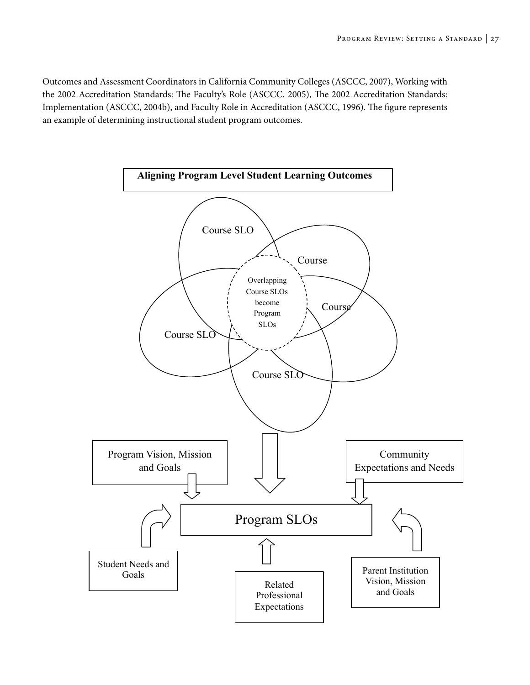Outcomes and Assessment Coordinators in California Community Colleges (ASCCC, 2007), Working with the 2002 Accreditation Standards: The Faculty's Role (ASCCC, 2005), The 2002 Accreditation Standards: Implementation (ASCCC, 2004b), and Faculty Role in Accreditation (ASCCC, 1996). The figure represents an example of determining instructional student program outcomes.

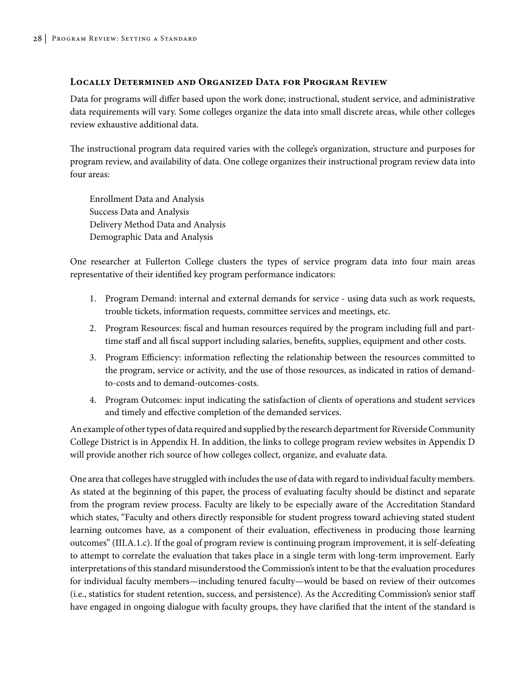#### **Locally Determined and Organized Data for Program Review**

Data for programs will differ based upon the work done; instructional, student service, and administrative data requirements will vary. Some colleges organize the data into small discrete areas, while other colleges review exhaustive additional data.

The instructional program data required varies with the college's organization, structure and purposes for program review, and availability of data. One college organizes their instructional program review data into four areas:

Enrollment Data and Analysis Success Data and Analysis Delivery Method Data and Analysis Demographic Data and Analysis

One researcher at Fullerton College clusters the types of service program data into four main areas representative of their identified key program performance indicators:

- 1. Program Demand: internal and external demands for service using data such as work requests, trouble tickets, information requests, committee services and meetings, etc.
- 2. Program Resources: fiscal and human resources required by the program including full and parttime staff and all fiscal support including salaries, benefits, supplies, equipment and other costs.
- 3. Program Efficiency: information reflecting the relationship between the resources committed to the program, service or activity, and the use of those resources, as indicated in ratios of demandto-costs and to demand-outcomes-costs.
- 4. Program Outcomes: input indicating the satisfaction of clients of operations and student services and timely and effective completion of the demanded services.

An example of other types of data required and supplied by the research department for Riverside Community College District is in Appendix H. In addition, the links to college program review websites in Appendix D will provide another rich source of how colleges collect, organize, and evaluate data.

One area that colleges have struggled with includes the use of data with regard to individual faculty members. As stated at the beginning of this paper, the process of evaluating faculty should be distinct and separate from the program review process. Faculty are likely to be especially aware of the Accreditation Standard which states, "Faculty and others directly responsible for student progress toward achieving stated student learning outcomes have, as a component of their evaluation, effectiveness in producing those learning outcomes" (III.A.1.c). If the goal of program review is continuing program improvement, it is self-defeating to attempt to correlate the evaluation that takes place in a single term with long-term improvement. Early interpretations of this standard misunderstood the Commission's intent to be that the evaluation procedures for individual faculty members—including tenured faculty—would be based on review of their outcomes (i.e., statistics for student retention, success, and persistence). As the Accrediting Commission's senior staff have engaged in ongoing dialogue with faculty groups, they have clarified that the intent of the standard is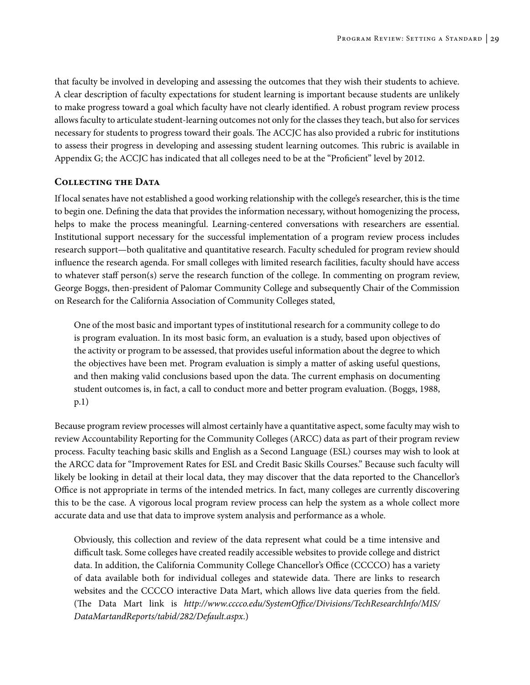that faculty be involved in developing and assessing the outcomes that they wish their students to achieve. A clear description of faculty expectations for student learning is important because students are unlikely to make progress toward a goal which faculty have not clearly identified. A robust program review process allows faculty to articulate student-learning outcomes not only for the classes they teach, but also for services necessary for students to progress toward their goals. The ACCJC has also provided a rubric for institutions to assess their progress in developing and assessing student learning outcomes. This rubric is available in Appendix G; the ACCJC has indicated that all colleges need to be at the "Proficient" level by 2012.

#### **Collecting the Data**

If local senates have not established a good working relationship with the college's researcher, this is the time to begin one. Defining the data that provides the information necessary, without homogenizing the process, helps to make the process meaningful. Learning-centered conversations with researchers are essential. Institutional support necessary for the successful implementation of a program review process includes research support—both qualitative and quantitative research. Faculty scheduled for program review should influence the research agenda. For small colleges with limited research facilities, faculty should have access to whatever staff person(s) serve the research function of the college. In commenting on program review, George Boggs, then-president of Palomar Community College and subsequently Chair of the Commission on Research for the California Association of Community Colleges stated,

One of the most basic and important types of institutional research for a community college to do is program evaluation. In its most basic form, an evaluation is a study, based upon objectives of the activity or program to be assessed, that provides useful information about the degree to which the objectives have been met. Program evaluation is simply a matter of asking useful questions, and then making valid conclusions based upon the data. The current emphasis on documenting student outcomes is, in fact, a call to conduct more and better program evaluation. (Boggs, 1988, p.1)

Because program review processes will almost certainly have a quantitative aspect, some faculty may wish to review Accountability Reporting for the Community Colleges (ARCC) data as part of their program review process. Faculty teaching basic skills and English as a Second Language (ESL) courses may wish to look at the ARCC data for "Improvement Rates for ESL and Credit Basic Skills Courses." Because such faculty will likely be looking in detail at their local data, they may discover that the data reported to the Chancellor's Office is not appropriate in terms of the intended metrics. In fact, many colleges are currently discovering this to be the case. A vigorous local program review process can help the system as a whole collect more accurate data and use that data to improve system analysis and performance as a whole.

Obviously, this collection and review of the data represent what could be a time intensive and difficult task. Some colleges have created readily accessible websites to provide college and district data. In addition, the California Community College Chancellor's Office (CCCCO) has a variety of data available both for individual colleges and statewide data. There are links to research websites and the CCCCO interactive Data Mart, which allows live data queries from the field. (The Data Mart link is *http://www.cccco.edu/SystemOffice/Divisions/TechResearchInfo/MIS/ DataMartandReports/tabid/282/Default.aspx*.)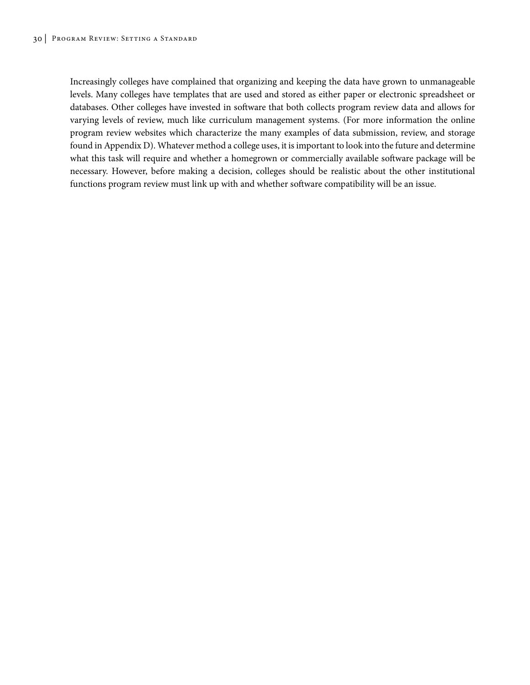Increasingly colleges have complained that organizing and keeping the data have grown to unmanageable levels. Many colleges have templates that are used and stored as either paper or electronic spreadsheet or databases. Other colleges have invested in software that both collects program review data and allows for varying levels of review, much like curriculum management systems. (For more information the online program review websites which characterize the many examples of data submission, review, and storage found in Appendix D). Whatever method a college uses, it is important to look into the future and determine what this task will require and whether a homegrown or commercially available software package will be necessary. However, before making a decision, colleges should be realistic about the other institutional functions program review must link up with and whether software compatibility will be an issue.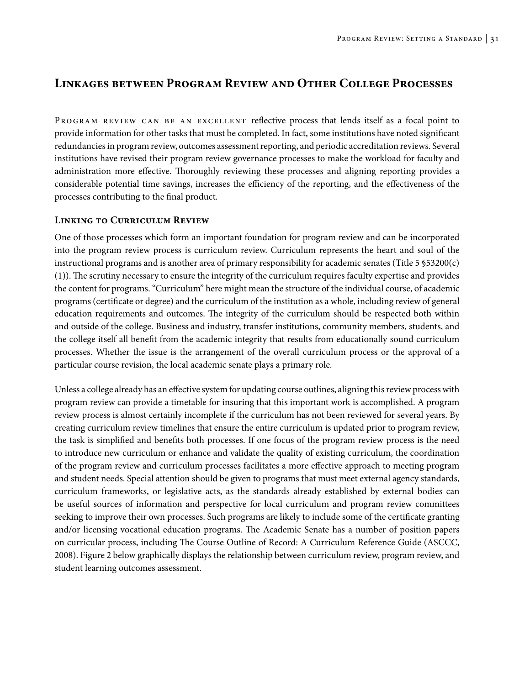## **Linkages between Program Review and Other College Processes**

PROGRAM REVIEW CAN BE AN EXCELLENT reflective process that lends itself as a focal point to provide information for other tasks that must be completed. In fact, some institutions have noted significant redundancies in program review, outcomes assessment reporting, and periodic accreditation reviews. Several institutions have revised their program review governance processes to make the workload for faculty and administration more effective. Thoroughly reviewing these processes and aligning reporting provides a considerable potential time savings, increases the efficiency of the reporting, and the effectiveness of the processes contributing to the final product.

### **Linking to Curriculum Review**

One of those processes which form an important foundation for program review and can be incorporated into the program review process is curriculum review. Curriculum represents the heart and soul of the instructional programs and is another area of primary responsibility for academic senates (Title 5 §53200(c) (1)). The scrutiny necessary to ensure the integrity of the curriculum requires faculty expertise and provides the content for programs. "Curriculum" here might mean the structure of the individual course, of academic programs (certificate or degree) and the curriculum of the institution as a whole, including review of general education requirements and outcomes. The integrity of the curriculum should be respected both within and outside of the college. Business and industry, transfer institutions, community members, students, and the college itself all benefit from the academic integrity that results from educationally sound curriculum processes. Whether the issue is the arrangement of the overall curriculum process or the approval of a particular course revision, the local academic senate plays a primary role.

Unless a college already has an effective system for updating course outlines, aligning this review process with program review can provide a timetable for insuring that this important work is accomplished. A program review process is almost certainly incomplete if the curriculum has not been reviewed for several years. By creating curriculum review timelines that ensure the entire curriculum is updated prior to program review, the task is simplified and benefits both processes. If one focus of the program review process is the need to introduce new curriculum or enhance and validate the quality of existing curriculum, the coordination of the program review and curriculum processes facilitates a more effective approach to meeting program and student needs. Special attention should be given to programs that must meet external agency standards, curriculum frameworks, or legislative acts, as the standards already established by external bodies can be useful sources of information and perspective for local curriculum and program review committees seeking to improve their own processes. Such programs are likely to include some of the certificate granting and/or licensing vocational education programs. The Academic Senate has a number of position papers on curricular process, including The Course Outline of Record: A Curriculum Reference Guide (ASCCC, 2008). Figure 2 below graphically displays the relationship between curriculum review, program review, and student learning outcomes assessment.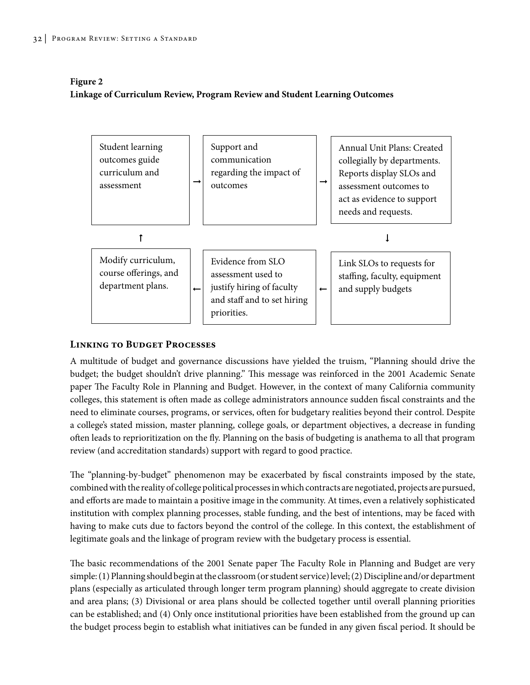### **Figure 2 Linkage of Curriculum Review, Program Review and Student Learning Outcomes**



### **Linking to Budget Processes**

A multitude of budget and governance discussions have yielded the truism, "Planning should drive the budget; the budget shouldn't drive planning." This message was reinforced in the 2001 Academic Senate paper The Faculty Role in Planning and Budget. However, in the context of many California community colleges, this statement is often made as college administrators announce sudden fiscal constraints and the need to eliminate courses, programs, or services, often for budgetary realities beyond their control. Despite a college's stated mission, master planning, college goals, or department objectives, a decrease in funding often leads to reprioritization on the fly. Planning on the basis of budgeting is anathema to all that program review (and accreditation standards) support with regard to good practice.

The "planning-by-budget" phenomenon may be exacerbated by fiscal constraints imposed by the state, combined with the reality of college political processes in which contracts are negotiated, projects are pursued, and efforts are made to maintain a positive image in the community. At times, even a relatively sophisticated institution with complex planning processes, stable funding, and the best of intentions, may be faced with having to make cuts due to factors beyond the control of the college. In this context, the establishment of legitimate goals and the linkage of program review with the budgetary process is essential.

The basic recommendations of the 2001 Senate paper The Faculty Role in Planning and Budget are very simple: (1) Planning should begin at the classroom (or student service) level; (2)Discipline and/or department plans (especially as articulated through longer term program planning) should aggregate to create division and area plans; (3) Divisional or area plans should be collected together until overall planning priorities can be established; and (4) Only once institutional priorities have been established from the ground up can the budget process begin to establish what initiatives can be funded in any given fiscal period. It should be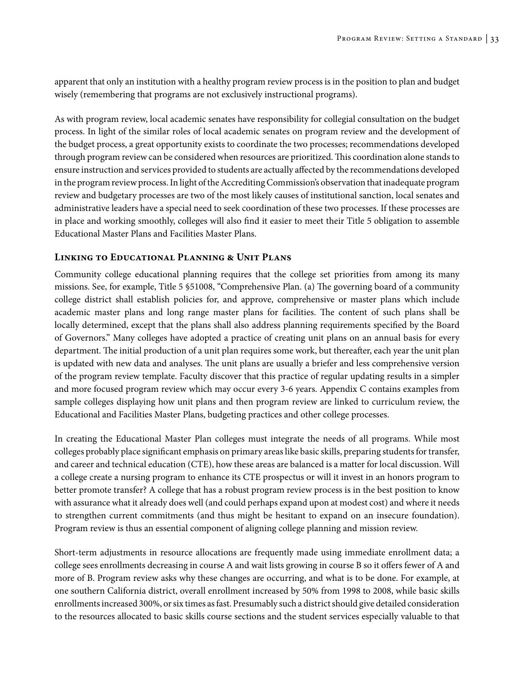apparent that only an institution with a healthy program review process is in the position to plan and budget wisely (remembering that programs are not exclusively instructional programs).

As with program review, local academic senates have responsibility for collegial consultation on the budget process. In light of the similar roles of local academic senates on program review and the development of the budget process, a great opportunity exists to coordinate the two processes; recommendations developed through program review can be considered when resources are prioritized. This coordination alone stands to ensure instruction and services provided to students are actually affected by the recommendations developed in the program review process. In light of the Accrediting Commission's observation that inadequate program review and budgetary processes are two of the most likely causes of institutional sanction, local senates and administrative leaders have a special need to seek coordination of these two processes. If these processes are in place and working smoothly, colleges will also find it easier to meet their Title 5 obligation to assemble Educational Master Plans and Facilities Master Plans.

## **Linking to Educational Planning & Unit Plans**

Community college educational planning requires that the college set priorities from among its many missions. See, for example, Title 5 §51008, "Comprehensive Plan. (a) The governing board of a community college district shall establish policies for, and approve, comprehensive or master plans which include academic master plans and long range master plans for facilities. The content of such plans shall be locally determined, except that the plans shall also address planning requirements specified by the Board of Governors." Many colleges have adopted a practice of creating unit plans on an annual basis for every department. The initial production of a unit plan requires some work, but thereafter, each year the unit plan is updated with new data and analyses. The unit plans are usually a briefer and less comprehensive version of the program review template. Faculty discover that this practice of regular updating results in a simpler and more focused program review which may occur every 3-6 years. Appendix C contains examples from sample colleges displaying how unit plans and then program review are linked to curriculum review, the Educational and Facilities Master Plans, budgeting practices and other college processes.

In creating the Educational Master Plan colleges must integrate the needs of all programs. While most colleges probably place significant emphasis on primary areas like basic skills, preparing students for transfer, and career and technical education (CTE), how these areas are balanced is a matter for local discussion. Will a college create a nursing program to enhance its CTE prospectus or will it invest in an honors program to better promote transfer? A college that has a robust program review process is in the best position to know with assurance what it already does well (and could perhaps expand upon at modest cost) and where it needs to strengthen current commitments (and thus might be hesitant to expand on an insecure foundation). Program review is thus an essential component of aligning college planning and mission review.

Short-term adjustments in resource allocations are frequently made using immediate enrollment data; a college sees enrollments decreasing in course A and wait lists growing in course B so it offers fewer of A and more of B. Program review asks why these changes are occurring, and what is to be done. For example, at one southern California district, overall enrollment increased by 50% from 1998 to 2008, while basic skills enrollments increased 300%, or six times as fast. Presumably such a district should give detailed consideration to the resources allocated to basic skills course sections and the student services especially valuable to that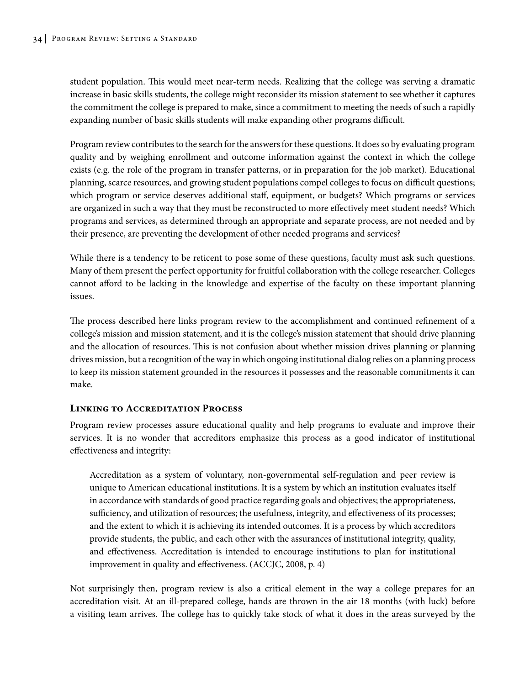student population. This would meet near-term needs. Realizing that the college was serving a dramatic increase in basic skills students, the college might reconsider its mission statement to see whether it captures the commitment the college is prepared to make, since a commitment to meeting the needs of such a rapidly expanding number of basic skills students will make expanding other programs difficult.

Program review contributes to the search for the answers for these questions. It does so by evaluating program quality and by weighing enrollment and outcome information against the context in which the college exists (e.g. the role of the program in transfer patterns, or in preparation for the job market). Educational planning, scarce resources, and growing student populations compel colleges to focus on difficult questions; which program or service deserves additional staff, equipment, or budgets? Which programs or services are organized in such a way that they must be reconstructed to more effectively meet student needs? Which programs and services, as determined through an appropriate and separate process, are not needed and by their presence, are preventing the development of other needed programs and services?

While there is a tendency to be reticent to pose some of these questions, faculty must ask such questions. Many of them present the perfect opportunity for fruitful collaboration with the college researcher. Colleges cannot afford to be lacking in the knowledge and expertise of the faculty on these important planning issues.

The process described here links program review to the accomplishment and continued refinement of a college's mission and mission statement, and it is the college's mission statement that should drive planning and the allocation of resources. This is not confusion about whether mission drives planning or planning drives mission, but a recognition of the way in which ongoing institutional dialog relies on a planning process to keep its mission statement grounded in the resources it possesses and the reasonable commitments it can make.

## **Linking to Accreditation Process**

Program review processes assure educational quality and help programs to evaluate and improve their services. It is no wonder that accreditors emphasize this process as a good indicator of institutional effectiveness and integrity:

Accreditation as a system of voluntary, non-governmental self-regulation and peer review is unique to American educational institutions. It is a system by which an institution evaluates itself in accordance with standards of good practice regarding goals and objectives; the appropriateness, sufficiency, and utilization of resources; the usefulness, integrity, and effectiveness of its processes; and the extent to which it is achieving its intended outcomes. It is a process by which accreditors provide students, the public, and each other with the assurances of institutional integrity, quality, and effectiveness. Accreditation is intended to encourage institutions to plan for institutional improvement in quality and effectiveness. (ACCJC, 2008, p. 4)

Not surprisingly then, program review is also a critical element in the way a college prepares for an accreditation visit. At an ill-prepared college, hands are thrown in the air 18 months (with luck) before a visiting team arrives. The college has to quickly take stock of what it does in the areas surveyed by the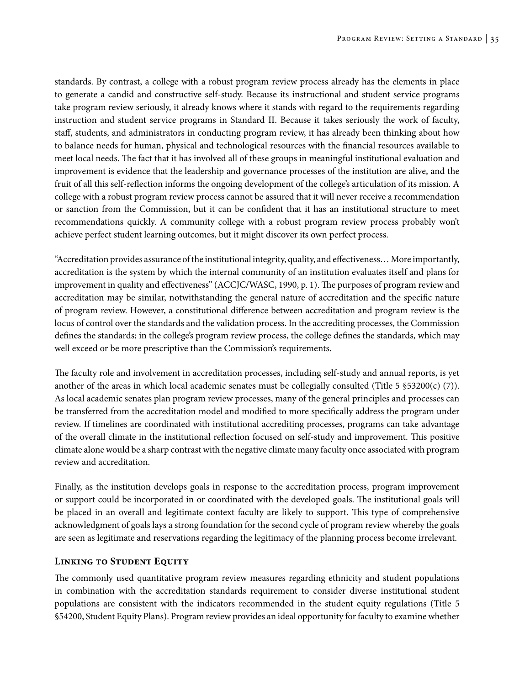standards. By contrast, a college with a robust program review process already has the elements in place to generate a candid and constructive self-study. Because its instructional and student service programs take program review seriously, it already knows where it stands with regard to the requirements regarding instruction and student service programs in Standard II. Because it takes seriously the work of faculty, staff, students, and administrators in conducting program review, it has already been thinking about how to balance needs for human, physical and technological resources with the financial resources available to meet local needs. The fact that it has involved all of these groups in meaningful institutional evaluation and improvement is evidence that the leadership and governance processes of the institution are alive, and the fruit of all this self-reflection informs the ongoing development of the college's articulation of its mission. A college with a robust program review process cannot be assured that it will never receive a recommendation or sanction from the Commission, but it can be confident that it has an institutional structure to meet recommendations quickly. A community college with a robust program review process probably won't achieve perfect student learning outcomes, but it might discover its own perfect process.

"Accreditation provides assurance of the institutional integrity, quality, and effectiveness… More importantly, accreditation is the system by which the internal community of an institution evaluates itself and plans for improvement in quality and effectiveness" (ACCJC/WASC, 1990, p. 1). The purposes of program review and accreditation may be similar, notwithstanding the general nature of accreditation and the specific nature of program review. However, a constitutional difference between accreditation and program review is the locus of control over the standards and the validation process. In the accrediting processes, the Commission defines the standards; in the college's program review process, the college defines the standards, which may well exceed or be more prescriptive than the Commission's requirements.

The faculty role and involvement in accreditation processes, including self-study and annual reports, is yet another of the areas in which local academic senates must be collegially consulted (Title 5 §53200(c) (7)). As local academic senates plan program review processes, many of the general principles and processes can be transferred from the accreditation model and modified to more specifically address the program under review. If timelines are coordinated with institutional accrediting processes, programs can take advantage of the overall climate in the institutional reflection focused on self-study and improvement. This positive climate alone would be a sharp contrast with the negative climate many faculty once associated with program review and accreditation.

Finally, as the institution develops goals in response to the accreditation process, program improvement or support could be incorporated in or coordinated with the developed goals. The institutional goals will be placed in an overall and legitimate context faculty are likely to support. This type of comprehensive acknowledgment of goals lays a strong foundation for the second cycle of program review whereby the goals are seen as legitimate and reservations regarding the legitimacy of the planning process become irrelevant.

### **Linking to Student Equity**

The commonly used quantitative program review measures regarding ethnicity and student populations in combination with the accreditation standards requirement to consider diverse institutional student populations are consistent with the indicators recommended in the student equity regulations (Title 5 §54200, Student Equity Plans). Program review provides an ideal opportunity for faculty to examine whether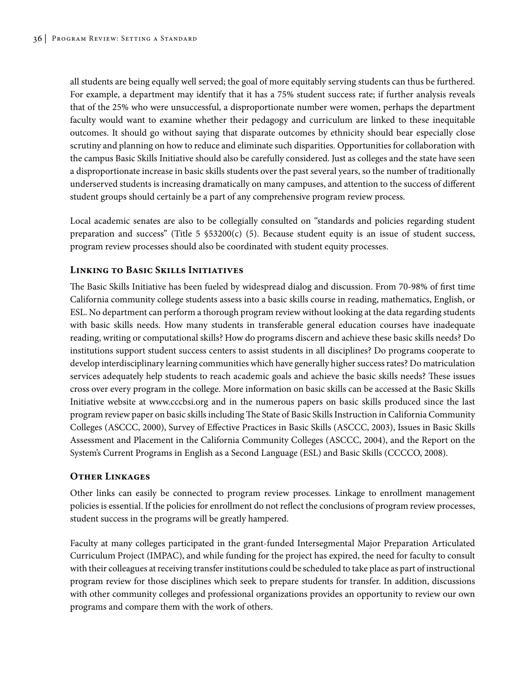all students are being equally well served; the goal of more equitably serving students can thus be furthered. For example, a department may identify that it has a 75% student success rate; if further analysis reveals that of the 25% who were unsuccessful, a disproportionate number were women, perhaps the department faculty would want to examine whether their pedagogy and curriculum are linked to these inequitable outcomes. It should go without saying that disparate outcomes by ethnicity should bear especially close scrutiny and planning on how to reduce and eliminate such disparities. Opportunities for collaboration with the campus Basic Skills Initiative should also be carefully considered. Just as colleges and the state have seen a disproportionate increase in basic skills students over the past several years, so the number of traditionally underserved students is increasing dramatically on many campuses, and attention to the success of different student groups should certainly be a part of any comprehensive program review process.

Local academic senates are also to be collegially consulted on "standards and policies regarding student preparation and success" (Title 5  $$53200(c)$  (5). Because student equity is an issue of student success, program review processes should also be coordinated with student equity processes.

## **Linking to Basic Skills Initiatives**

The Basic Skills Initiative has been fueled by widespread dialog and discussion. From 70-98% of first time California community college students assess into a basic skills course in reading, mathematics, English, or ESL. No department can perform a thorough program review without looking at the data regarding students with basic skills needs. How many students in transferable general education courses have inadequate reading, writing or computational skills? How do programs discern and achieve these basic skills needs? Do institutions support student success centers to assist students in all disciplines? Do programs cooperate to develop interdisciplinary learning communities which have generally higher success rates? Do matriculation services adequately help students to reach academic goals and achieve the basic skills needs? These issues cross over every program in the college. More information on basic skills can be accessed at the Basic Skills Initiative website at www.cccbsi.org and in the numerous papers on basic skills produced since the last program review paper on basic skills including The State of Basic Skills Instruction in California Community Colleges (ASCCC, 2000), Survey of Effective Practices in Basic Skills (ASCCC, 2003), Issues in Basic Skills Assessment and Placement in the California Community Colleges (ASCCC, 2004), and the Report on the System's Current Programs in English as a Second Language (ESL) and Basic Skills (CCCCO, 2008).

### **Other Linkages**

Other links can easily be connected to program review processes. Linkage to enrollment management policies is essential. If the policies for enrollment do not reflect the conclusions of program review processes, student success in the programs will be greatly hampered.

Faculty at many colleges participated in the grant-funded Intersegmental Major Preparation Articulated Curriculum Project (IMPAC), and while funding for the project has expired, the need for faculty to consult with their colleagues at receiving transfer institutions could be scheduled to take place as part of instructional program review for those disciplines which seek to prepare students for transfer. In addition, discussions with other community colleges and professional organizations provides an opportunity to review our own programs and compare them with the work of others.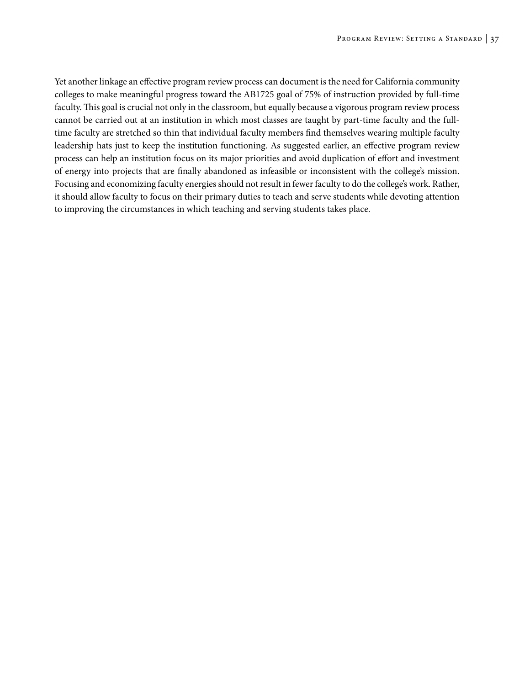Yet another linkage an effective program review process can document is the need for California community colleges to make meaningful progress toward the AB1725 goal of 75% of instruction provided by full-time faculty. This goal is crucial not only in the classroom, but equally because a vigorous program review process cannot be carried out at an institution in which most classes are taught by part-time faculty and the fulltime faculty are stretched so thin that individual faculty members find themselves wearing multiple faculty leadership hats just to keep the institution functioning. As suggested earlier, an effective program review process can help an institution focus on its major priorities and avoid duplication of effort and investment of energy into projects that are finally abandoned as infeasible or inconsistent with the college's mission. Focusing and economizing faculty energies should not result in fewer faculty to do the college's work. Rather, it should allow faculty to focus on their primary duties to teach and serve students while devoting attention to improving the circumstances in which teaching and serving students takes place.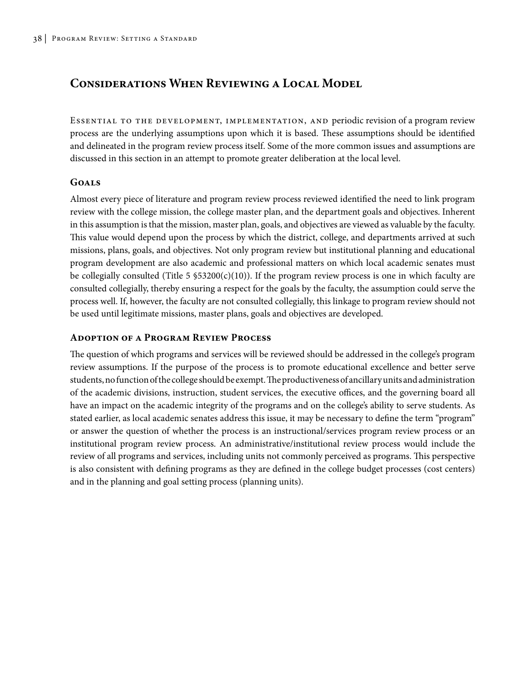# **Considerations When Reviewing a Local Model**

Essential to the development, implementation, and periodic revision of a program review process are the underlying assumptions upon which it is based. These assumptions should be identified and delineated in the program review process itself. Some of the more common issues and assumptions are discussed in this section in an attempt to promote greater deliberation at the local level.

## **Goals**

Almost every piece of literature and program review process reviewed identified the need to link program review with the college mission, the college master plan, and the department goals and objectives. Inherent in this assumption is that the mission, master plan, goals, and objectives are viewed as valuable by the faculty. This value would depend upon the process by which the district, college, and departments arrived at such missions, plans, goals, and objectives. Not only program review but institutional planning and educational program development are also academic and professional matters on which local academic senates must be collegially consulted (Title 5  $$53200(c)(10)$ ). If the program review process is one in which faculty are consulted collegially, thereby ensuring a respect for the goals by the faculty, the assumption could serve the process well. If, however, the faculty are not consulted collegially, this linkage to program review should not be used until legitimate missions, master plans, goals and objectives are developed.

## **Adoption of a Program Review Process**

The question of which programs and services will be reviewed should be addressed in the college's program review assumptions. If the purpose of the process is to promote educational excellence and better serve students, no function of the college should be exempt. The productiveness of ancillary units and administration of the academic divisions, instruction, student services, the executive offices, and the governing board all have an impact on the academic integrity of the programs and on the college's ability to serve students. As stated earlier, as local academic senates address this issue, it may be necessary to define the term "program" or answer the question of whether the process is an instructional/services program review process or an institutional program review process. An administrative/institutional review process would include the review of all programs and services, including units not commonly perceived as programs. This perspective is also consistent with defining programs as they are defined in the college budget processes (cost centers) and in the planning and goal setting process (planning units).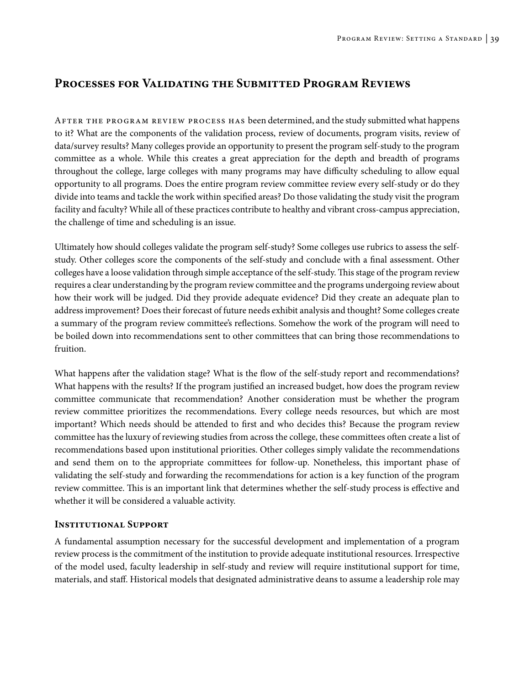## **Processes for Validating the Submitted Program Reviews**

After the program review process has been determined, and the study submitted what happens to it? What are the components of the validation process, review of documents, program visits, review of data/survey results? Many colleges provide an opportunity to present the program self-study to the program committee as a whole. While this creates a great appreciation for the depth and breadth of programs throughout the college, large colleges with many programs may have difficulty scheduling to allow equal opportunity to all programs. Does the entire program review committee review every self-study or do they divide into teams and tackle the work within specified areas? Do those validating the study visit the program facility and faculty? While all of these practices contribute to healthy and vibrant cross-campus appreciation, the challenge of time and scheduling is an issue.

Ultimately how should colleges validate the program self-study? Some colleges use rubrics to assess the selfstudy. Other colleges score the components of the self-study and conclude with a final assessment. Other colleges have a loose validation through simple acceptance of the self-study. This stage of the program review requires a clear understanding by the program review committee and the programs undergoing review about how their work will be judged. Did they provide adequate evidence? Did they create an adequate plan to address improvement? Does their forecast of future needs exhibit analysis and thought? Some colleges create a summary of the program review committee's reflections. Somehow the work of the program will need to be boiled down into recommendations sent to other committees that can bring those recommendations to fruition.

What happens after the validation stage? What is the flow of the self-study report and recommendations? What happens with the results? If the program justified an increased budget, how does the program review committee communicate that recommendation? Another consideration must be whether the program review committee prioritizes the recommendations. Every college needs resources, but which are most important? Which needs should be attended to first and who decides this? Because the program review committee has the luxury of reviewing studies from across the college, these committees often create a list of recommendations based upon institutional priorities. Other colleges simply validate the recommendations and send them on to the appropriate committees for follow-up. Nonetheless, this important phase of validating the self-study and forwarding the recommendations for action is a key function of the program review committee. This is an important link that determines whether the self-study process is effective and whether it will be considered a valuable activity.

#### **Institutional Support**

A fundamental assumption necessary for the successful development and implementation of a program review process is the commitment of the institution to provide adequate institutional resources. Irrespective of the model used, faculty leadership in self-study and review will require institutional support for time, materials, and staff. Historical models that designated administrative deans to assume a leadership role may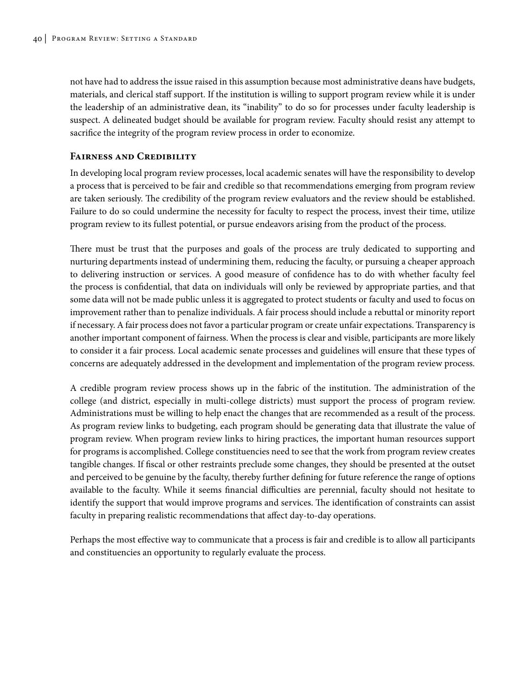not have had to address the issue raised in this assumption because most administrative deans have budgets, materials, and clerical staff support. If the institution is willing to support program review while it is under the leadership of an administrative dean, its "inability" to do so for processes under faculty leadership is suspect. A delineated budget should be available for program review. Faculty should resist any attempt to sacrifice the integrity of the program review process in order to economize.

#### **Fairness and Credibility**

In developing local program review processes, local academic senates will have the responsibility to develop a process that is perceived to be fair and credible so that recommendations emerging from program review are taken seriously. The credibility of the program review evaluators and the review should be established. Failure to do so could undermine the necessity for faculty to respect the process, invest their time, utilize program review to its fullest potential, or pursue endeavors arising from the product of the process.

There must be trust that the purposes and goals of the process are truly dedicated to supporting and nurturing departments instead of undermining them, reducing the faculty, or pursuing a cheaper approach to delivering instruction or services. A good measure of confidence has to do with whether faculty feel the process is confidential, that data on individuals will only be reviewed by appropriate parties, and that some data will not be made public unless it is aggregated to protect students or faculty and used to focus on improvement rather than to penalize individuals. A fair process should include a rebuttal or minority report if necessary. A fair process does not favor a particular program or create unfair expectations. Transparency is another important component of fairness. When the process is clear and visible, participants are more likely to consider it a fair process. Local academic senate processes and guidelines will ensure that these types of concerns are adequately addressed in the development and implementation of the program review process.

A credible program review process shows up in the fabric of the institution. The administration of the college (and district, especially in multi-college districts) must support the process of program review. Administrations must be willing to help enact the changes that are recommended as a result of the process. As program review links to budgeting, each program should be generating data that illustrate the value of program review. When program review links to hiring practices, the important human resources support for programs is accomplished. College constituencies need to see that the work from program review creates tangible changes. If fiscal or other restraints preclude some changes, they should be presented at the outset and perceived to be genuine by the faculty, thereby further defining for future reference the range of options available to the faculty. While it seems financial difficulties are perennial, faculty should not hesitate to identify the support that would improve programs and services. The identification of constraints can assist faculty in preparing realistic recommendations that affect day-to-day operations.

Perhaps the most effective way to communicate that a process is fair and credible is to allow all participants and constituencies an opportunity to regularly evaluate the process.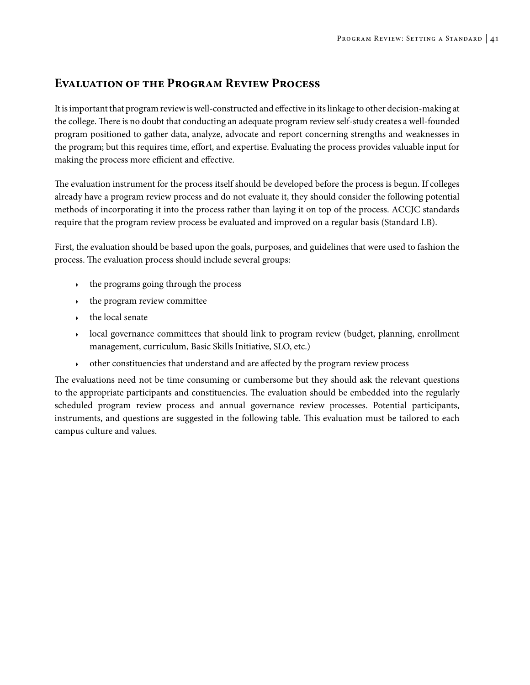# **Evaluation of the Program Review Process**

It is important that program review is well-constructed and effective in its linkage to other decision-making at the college. There is no doubt that conducting an adequate program review self-study creates a well-founded program positioned to gather data, analyze, advocate and report concerning strengths and weaknesses in the program; but this requires time, effort, and expertise. Evaluating the process provides valuable input for making the process more efficient and effective.

The evaluation instrument for the process itself should be developed before the process is begun. If colleges already have a program review process and do not evaluate it, they should consider the following potential methods of incorporating it into the process rather than laying it on top of the process. ACCJC standards require that the program review process be evaluated and improved on a regular basis (Standard I.B).

First, the evaluation should be based upon the goals, purposes, and guidelines that were used to fashion the process. The evaluation process should include several groups:

- $\cdot$  the programs going through the process
- the program review committee
- the local senate
- local governance committees that should link to program review (budget, planning, enrollment management, curriculum, Basic Skills Initiative, SLO, etc.)
- <sup>4</sup> other constituencies that understand and are affected by the program review process

The evaluations need not be time consuming or cumbersome but they should ask the relevant questions to the appropriate participants and constituencies. The evaluation should be embedded into the regularly scheduled program review process and annual governance review processes. Potential participants, instruments, and questions are suggested in the following table. This evaluation must be tailored to each campus culture and values.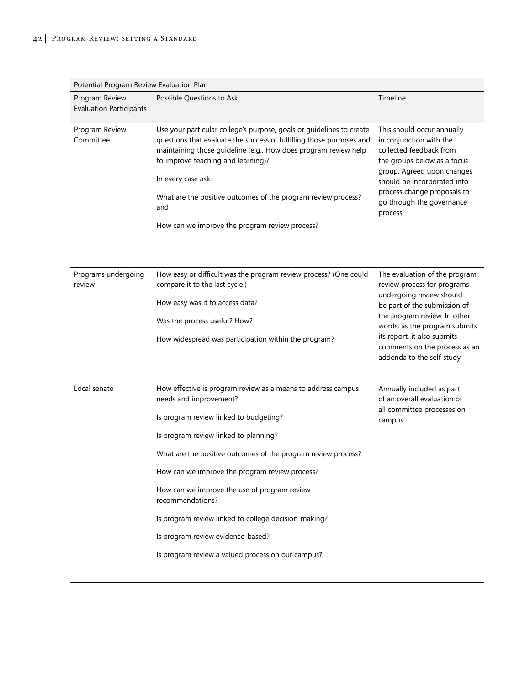| Potential Program Review Evaluation Plan         |                                                                                                                                                                                                                                                                                                                                                                                                                                                                                                                    |                                                                                                                                                                                                                                                                                         |  |  |
|--------------------------------------------------|--------------------------------------------------------------------------------------------------------------------------------------------------------------------------------------------------------------------------------------------------------------------------------------------------------------------------------------------------------------------------------------------------------------------------------------------------------------------------------------------------------------------|-----------------------------------------------------------------------------------------------------------------------------------------------------------------------------------------------------------------------------------------------------------------------------------------|--|--|
| Program Review<br><b>Evaluation Participants</b> | Possible Questions to Ask                                                                                                                                                                                                                                                                                                                                                                                                                                                                                          | Timeline                                                                                                                                                                                                                                                                                |  |  |
| Program Review<br>Committee                      | Use your particular college's purpose, goals or guidelines to create<br>questions that evaluate the success of fulfilling those purposes and<br>maintaining those guideline (e.g., How does program review help<br>to improve teaching and learning)?<br>In every case ask:<br>What are the positive outcomes of the program review process?<br>and<br>How can we improve the program review process?                                                                                                              | This should occur annually<br>in conjunction with the<br>collected feedback from<br>the groups below as a focus<br>group. Agreed upon changes<br>should be incorporated into<br>process change proposals to<br>go through the governance<br>process.                                    |  |  |
| Programs undergoing<br>review                    | How easy or difficult was the program review process? (One could<br>compare it to the last cycle.)<br>How easy was it to access data?<br>Was the process useful? How?<br>How widespread was participation within the program?                                                                                                                                                                                                                                                                                      | The evaluation of the program<br>review process for programs<br>undergoing review should<br>be part of the submission of<br>the program review. In other<br>words, as the program submits<br>its report, it also submits<br>comments on the process as an<br>addenda to the self-study. |  |  |
| Local senate                                     | How effective is program review as a means to address campus<br>needs and improvement?<br>Is program review linked to budgeting?<br>Is program review linked to planning?<br>What are the positive outcomes of the program review process?<br>How can we improve the program review process?<br>How can we improve the use of program review<br>recommendations?<br>Is program review linked to college decision-making?<br>Is program review evidence-based?<br>Is program review a valued process on our campus? | Annually included as part<br>of an overall evaluation of<br>all committee processes on<br>campus                                                                                                                                                                                        |  |  |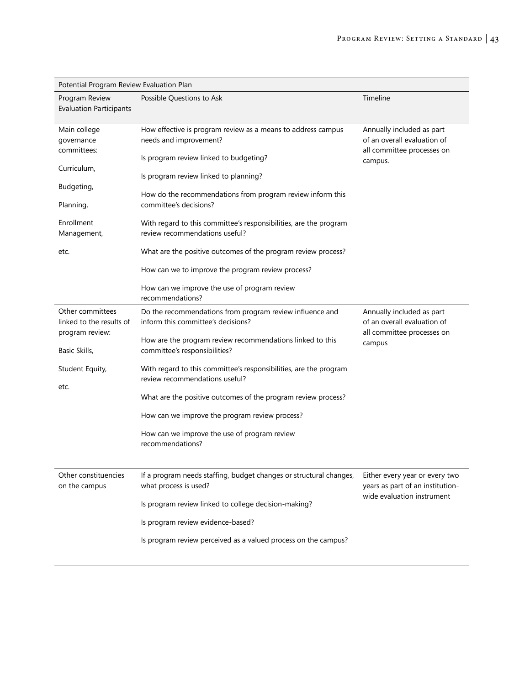| Potential Program Review Evaluation Plan                        |                                                                                                                                  |                                                                                                   |  |
|-----------------------------------------------------------------|----------------------------------------------------------------------------------------------------------------------------------|---------------------------------------------------------------------------------------------------|--|
| Program Review<br><b>Evaluation Participants</b>                | Possible Questions to Ask                                                                                                        | Timeline                                                                                          |  |
| Main college<br>governance<br>committees:                       | How effective is program review as a means to address campus<br>needs and improvement?<br>Is program review linked to budgeting? | Annually included as part<br>of an overall evaluation of<br>all committee processes on<br>campus. |  |
| Curriculum,                                                     | Is program review linked to planning?                                                                                            |                                                                                                   |  |
| Budgeting,<br>Planning,                                         | How do the recommendations from program review inform this<br>committee's decisions?                                             |                                                                                                   |  |
| Enrollment<br>Management,                                       | With regard to this committee's responsibilities, are the program<br>review recommendations useful?                              |                                                                                                   |  |
| etc.                                                            | What are the positive outcomes of the program review process?                                                                    |                                                                                                   |  |
|                                                                 | How can we to improve the program review process?                                                                                |                                                                                                   |  |
|                                                                 | How can we improve the use of program review<br>recommendations?                                                                 |                                                                                                   |  |
| Other committees<br>linked to the results of<br>program review: | Do the recommendations from program review influence and<br>inform this committee's decisions?                                   | Annually included as part<br>of an overall evaluation of<br>all committee processes on            |  |
| Basic Skills,                                                   | How are the program review recommendations linked to this<br>committee's responsibilities?                                       | campus                                                                                            |  |
| Student Equity,                                                 | With regard to this committee's responsibilities, are the program<br>review recommendations useful?                              |                                                                                                   |  |
| etc.                                                            | What are the positive outcomes of the program review process?                                                                    |                                                                                                   |  |
|                                                                 | How can we improve the program review process?                                                                                   |                                                                                                   |  |
|                                                                 | How can we improve the use of program review<br>recommendations?                                                                 |                                                                                                   |  |
| Other constituencies<br>on the campus                           | If a program needs staffing, budget changes or structural changes,<br>what process is used?                                      | Either every year or every two<br>years as part of an institution-                                |  |
|                                                                 | Is program review linked to college decision-making?                                                                             | wide evaluation instrument                                                                        |  |
|                                                                 | Is program review evidence-based?                                                                                                |                                                                                                   |  |
|                                                                 | Is program review perceived as a valued process on the campus?                                                                   |                                                                                                   |  |
|                                                                 |                                                                                                                                  |                                                                                                   |  |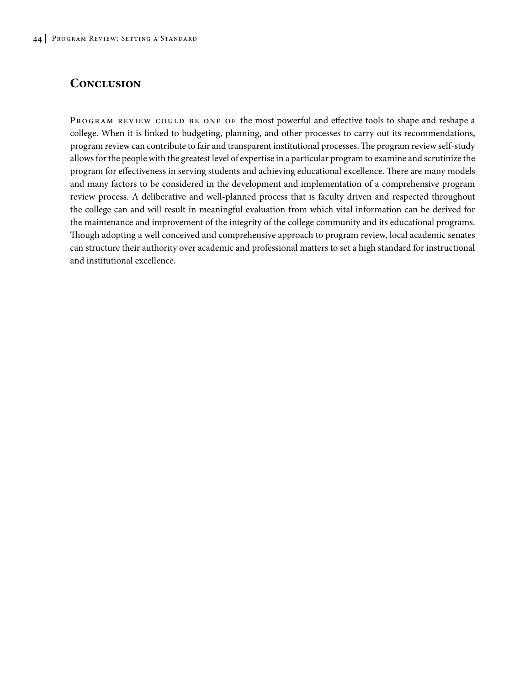## **Conclusion**

PROGRAM REVIEW COULD BE ONE OF the most powerful and effective tools to shape and reshape a college. When it is linked to budgeting, planning, and other processes to carry out its recommendations, program review can contribute to fair and transparent institutional processes. The program review self-study allows for the people with the greatest level of expertise in a particular program to examine and scrutinize the program for effectiveness in serving students and achieving educational excellence. There are many models and many factors to be considered in the development and implementation of a comprehensive program review process. A deliberative and well-planned process that is faculty driven and respected throughout the college can and will result in meaningful evaluation from which vital information can be derived for the maintenance and improvement of the integrity of the college community and its educational programs. Though adopting a well conceived and comprehensive approach to program review, local academic senates can structure their authority over academic and professional matters to set a high standard for instructional and institutional excellence.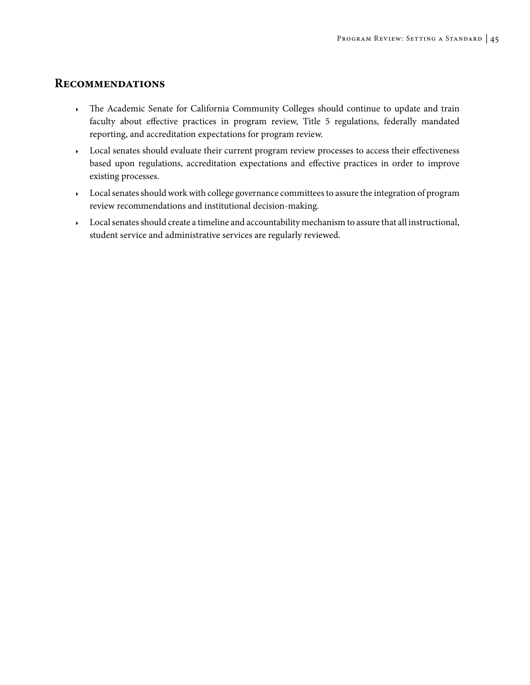## **Recommendations**

- <sup>4</sup> The Academic Senate for California Community Colleges should continue to update and train faculty about effective practices in program review, Title 5 regulations, federally mandated reporting, and accreditation expectations for program review.
- <sup>4</sup> Local senates should evaluate their current program review processes to access their effectiveness based upon regulations, accreditation expectations and effective practices in order to improve existing processes.
- <sup>4</sup> Local senates should work with college governance committees to assure the integration of program review recommendations and institutional decision-making.
- <sup>4</sup> Local senates should create a timeline and accountability mechanism to assure that all instructional, student service and administrative services are regularly reviewed.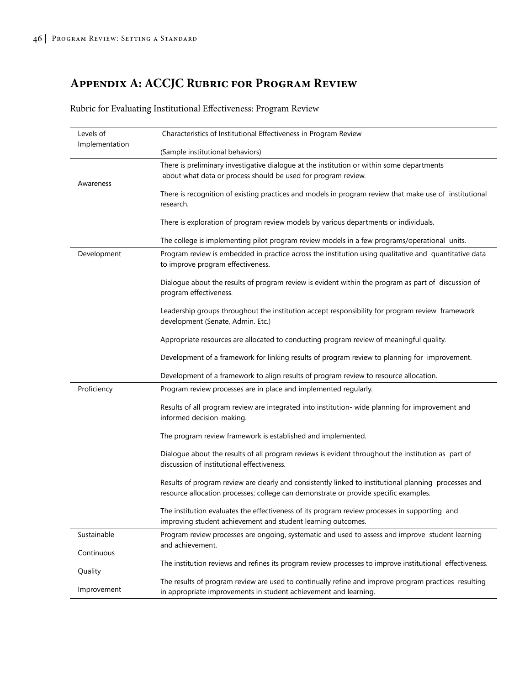# **Appendix A: ACCJC Rubric for Program Review**

Rubric for Evaluating Institutional Effectiveness: Program Review

| Levels of      | Characteristics of Institutional Effectiveness in Program Review                                                                                                                              |  |  |
|----------------|-----------------------------------------------------------------------------------------------------------------------------------------------------------------------------------------------|--|--|
| Implementation | (Sample institutional behaviors)                                                                                                                                                              |  |  |
|                | There is preliminary investigative dialogue at the institution or within some departments<br>about what data or process should be used for program review.                                    |  |  |
| Awareness      | There is recognition of existing practices and models in program review that make use of institutional<br>research.                                                                           |  |  |
|                | There is exploration of program review models by various departments or individuals.                                                                                                          |  |  |
|                | The college is implementing pilot program review models in a few programs/operational units.                                                                                                  |  |  |
| Development    | Program review is embedded in practice across the institution using qualitative and quantitative data<br>to improve program effectiveness.                                                    |  |  |
|                | Dialogue about the results of program review is evident within the program as part of discussion of<br>program effectiveness.                                                                 |  |  |
|                | Leadership groups throughout the institution accept responsibility for program review framework<br>development (Senate, Admin. Etc.)                                                          |  |  |
|                | Appropriate resources are allocated to conducting program review of meaningful quality.                                                                                                       |  |  |
|                | Development of a framework for linking results of program review to planning for improvement.                                                                                                 |  |  |
|                | Development of a framework to align results of program review to resource allocation.                                                                                                         |  |  |
| Proficiency    | Program review processes are in place and implemented regularly.                                                                                                                              |  |  |
|                | Results of all program review are integrated into institution- wide planning for improvement and<br>informed decision-making.                                                                 |  |  |
|                | The program review framework is established and implemented.                                                                                                                                  |  |  |
|                | Dialogue about the results of all program reviews is evident throughout the institution as part of<br>discussion of institutional effectiveness.                                              |  |  |
|                | Results of program review are clearly and consistently linked to institutional planning processes and<br>resource allocation processes; college can demonstrate or provide specific examples. |  |  |
|                | The institution evaluates the effectiveness of its program review processes in supporting and<br>improving student achievement and student learning outcomes.                                 |  |  |
| Sustainable    | Program review processes are ongoing, systematic and used to assess and improve student learning<br>and achievement.                                                                          |  |  |
| Continuous     |                                                                                                                                                                                               |  |  |
| Quality        | The institution reviews and refines its program review processes to improve institutional effectiveness.                                                                                      |  |  |
| Improvement    | The results of program review are used to continually refine and improve program practices resulting<br>in appropriate improvements in student achievement and learning.                      |  |  |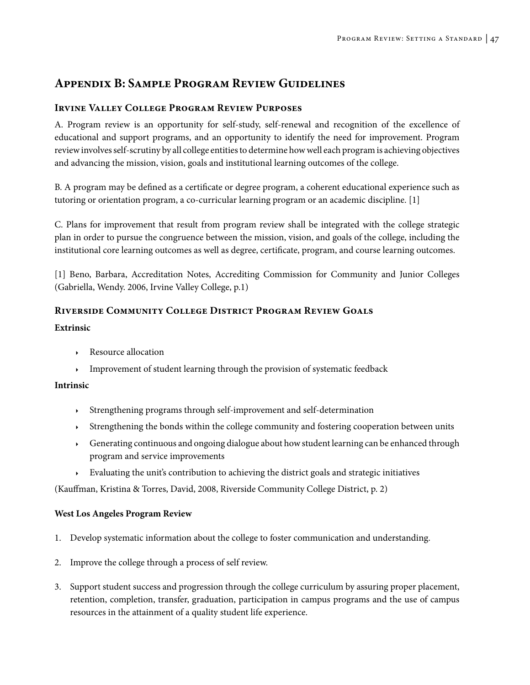# **Appendix B: Sample Program Review Guidelines**

## **Irvine Valley College Program Review Purposes**

A. Program review is an opportunity for self-study, self-renewal and recognition of the excellence of educational and support programs, and an opportunity to identify the need for improvement. Program review involves self-scrutiny by all college entities to determine how well each program is achieving objectives and advancing the mission, vision, goals and institutional learning outcomes of the college.

B. A program may be defined as a certificate or degree program, a coherent educational experience such as tutoring or orientation program, a co-curricular learning program or an academic discipline. [1]

C. Plans for improvement that result from program review shall be integrated with the college strategic plan in order to pursue the congruence between the mission, vision, and goals of the college, including the institutional core learning outcomes as well as degree, certificate, program, and course learning outcomes.

[1] Beno, Barbara, Accreditation Notes, Accrediting Commission for Community and Junior Colleges (Gabriella, Wendy. 2006, Irvine Valley College, p.1)

## **Riverside Community College District Program Review Goals**

### **Extrinsic**

- Resource allocation
- Improvement of student learning through the provision of systematic feedback

### **Intrinsic**

- <sup>4</sup> Strengthening programs through self-improvement and self-determination
- <sup>4</sup> Strengthening the bonds within the college community and fostering cooperation between units
- <sup>4</sup> Generating continuous and ongoing dialogue about how student learning can be enhanced through program and service improvements
- <sup>4</sup> Evaluating the unit's contribution to achieving the district goals and strategic initiatives

(Kauffman, Kristina & Torres, David, 2008, Riverside Community College District, p. 2)

### **West Los Angeles Program Review**

- 1. Develop systematic information about the college to foster communication and understanding.
- 2. Improve the college through a process of self review.
- 3. Support student success and progression through the college curriculum by assuring proper placement, retention, completion, transfer, graduation, participation in campus programs and the use of campus resources in the attainment of a quality student life experience.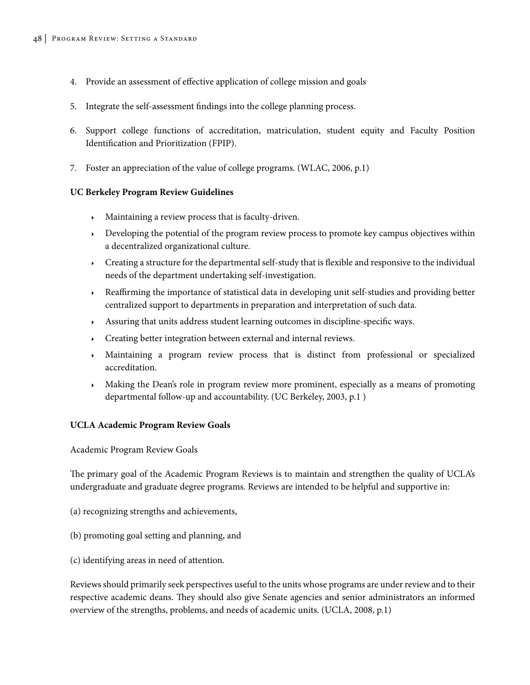- 4. Provide an assessment of effective application of college mission and goals
- 5. Integrate the self-assessment findings into the college planning process.
- 6. Support college functions of accreditation, matriculation, student equity and Faculty Position Identification and Prioritization (FPIP).
- 7. Foster an appreciation of the value of college programs. (WLAC, 2006, p.1)

#### **UC Berkeley Program Review Guidelines**

- <sup>4</sup> Maintaining a review process that is faculty-driven.
- $\rightarrow$  Developing the potential of the program review process to promote key campus objectives within a decentralized organizational culture.
- $\cdot$  Creating a structure for the departmental self-study that is flexible and responsive to the individual needs of the department undertaking self-investigation.
- <sup>4</sup> Reaffirming the importance of statistical data in developing unit self-studies and providing better centralized support to departments in preparation and interpretation of such data.
- $\rightarrow$  Assuring that units address student learning outcomes in discipline-specific ways.
- <sup>4</sup> Creating better integration between external and internal reviews.
- <sup>4</sup> Maintaining a program review process that is distinct from professional or specialized accreditation.
- Making the Dean's role in program review more prominent, especially as a means of promoting departmental follow-up and accountability. (UC Berkeley, 2003, p.1 )

#### **UCLA Academic Program Review Goals**

Academic Program Review Goals

The primary goal of the Academic Program Reviews is to maintain and strengthen the quality of UCLA's undergraduate and graduate degree programs. Reviews are intended to be helpful and supportive in:

- (a) recognizing strengths and achievements,
- (b) promoting goal setting and planning, and
- (c) identifying areas in need of attention.

Reviews should primarily seek perspectives useful to the units whose programs are under review and to their respective academic deans. They should also give Senate agencies and senior administrators an informed overview of the strengths, problems, and needs of academic units. (UCLA, 2008, p.1)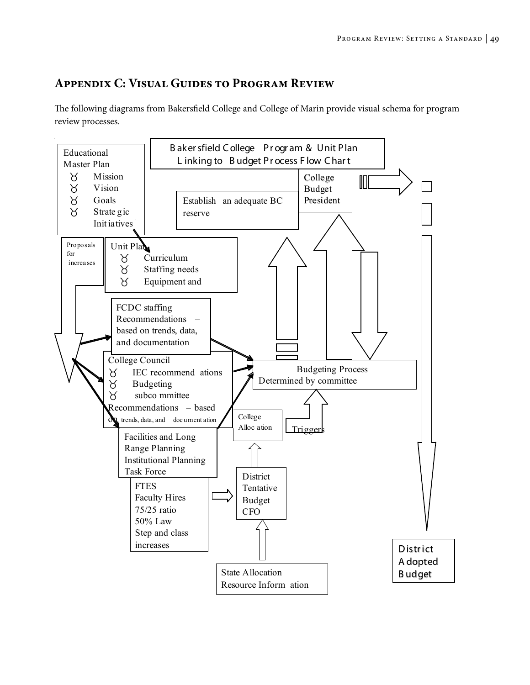# **Appendix C: Visual Guides to Program Review**

The following diagrams from Bakersfield College and College of Marin provide visual schema for program review processes.

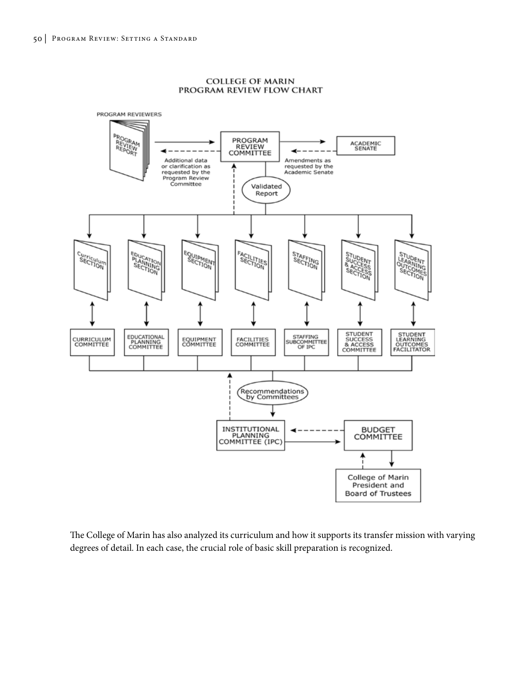

**COLLEGE OF MARIN** PROGRAM REVIEW FLOW CHART

The College of Marin has also analyzed its curriculum and how it supports its transfer mission with varying degrees of detail. In each case, the crucial role of basic skill preparation is recognized.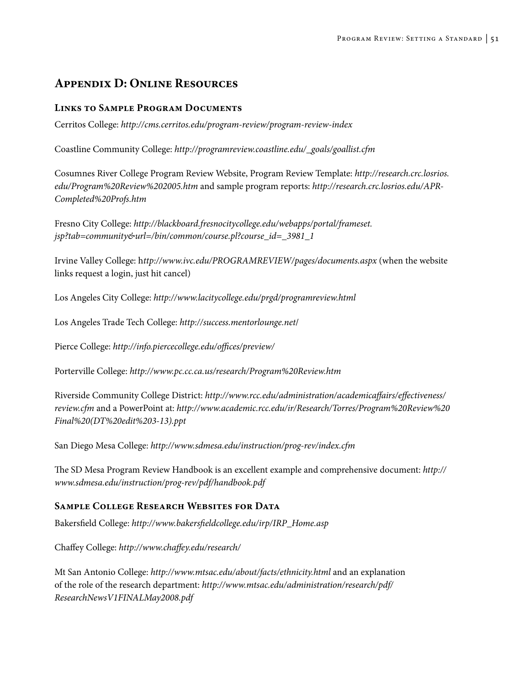# **Appendix D: Online Resources**

## **Links to Sample Program Documents**

Cerritos College: *http://cms.cerritos.edu/program-review/program-review-index*

Coastline Community College: *http://programreview.coastline.edu/\_goals/goallist.cfm*

Cosumnes River College Program Review Website, Program Review Template: *http://research.crc.losrios. edu/Program%20Review%202005.htm* and sample program reports: *http://research.crc.losrios.edu/APR-Completed%20Profs.htm*

Fresno City College: *http://blackboard.fresnocitycollege.edu/webapps/portal/frameset. jsp?tab=community&url=/bin/common/course.pl?course\_id=\_3981\_1*

Irvine Valley College: h*ttp://www.ivc.edu/PROGRAMREVIEW/pages/documents.aspx* (when the website links request a login, just hit cancel)

Los Angeles City College: *http://www.lacitycollege.edu/prgd/programreview.html*

Los Angeles Trade Tech College: *http://success.mentorlounge.net*/

Pierce College: *http://info.piercecollege.edu/offices/preview/*

Porterville College: *http://www.pc.cc.ca.us/research/Program%20Review.htm*

Riverside Community College District: *http://www.rcc.edu/administration/academicaffairs/effectiveness/ review.cfm* and a PowerPoint at: *http://www.academic.rcc.edu/ir/Research/Torres/Program%20Review%20 Final%20(DT%20edit%203-13).ppt*

San Diego Mesa College: *http://www.sdmesa.edu/instruction/prog-rev/index.cfm*

The SD Mesa Program Review Handbook is an excellent example and comprehensive document: *http:// www.sdmesa.edu/instruction/prog-rev/pdf/handbook.pdf*

### **Sample College Research Websites for Data**

Bakersfield College: *http://www.bakersfieldcollege.edu/irp/IRP\_Home.asp*

Chaffey College: *http://www.chaffey.edu/research/*

Mt San Antonio College: *http://www.mtsac.edu/about/facts/ethnicity.html* and an explanation of the role of the research department: *http://www.mtsac.edu/administration/research/pdf/ ResearchNewsV1FINALMay2008.pdf*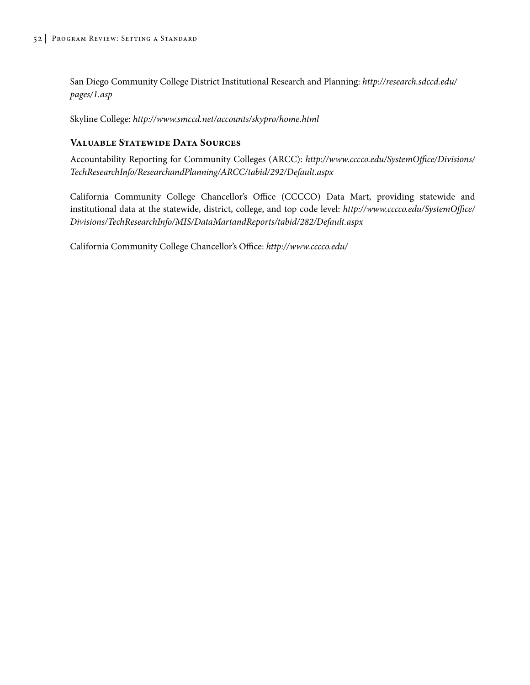San Diego Community College District Institutional Research and Planning: *http://research.sdccd.edu/ pages/1.asp*

Skyline College: *http://www.smccd.net/accounts/skypro/home.html*

## **Valuable Statewide Data Sources**

Accountability Reporting for Community Colleges (ARCC): *http://www.cccco.edu/SystemOffice/Divisions/ TechResearchInfo/ResearchandPlanning/ARCC/tabid/292/Default.aspx*

California Community College Chancellor's Office (CCCCO) Data Mart, providing statewide and institutional data at the statewide, district, college, and top code level: *http://www.cccco.edu/SystemOffice/ Divisions/TechResearchInfo/MIS/DataMartandReports/tabid/282/Default.aspx*

California Community College Chancellor's Office: *http://www.cccco.edu/*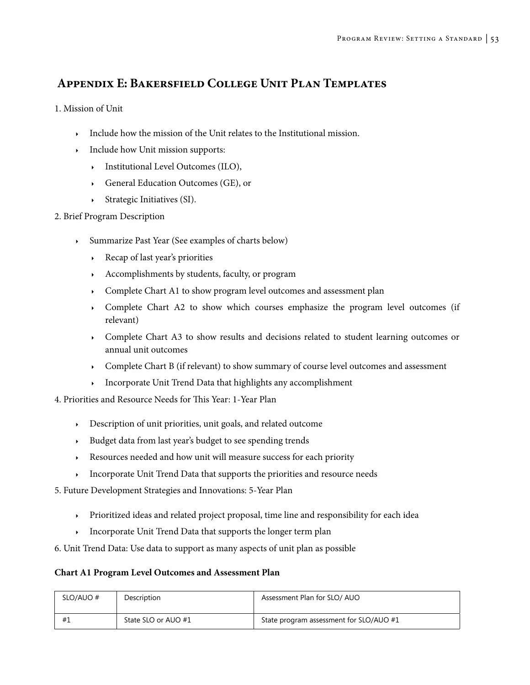# **Appendix E: Bakersfield College Unit Plan Templates**

1. Mission of Unit

- $\longrightarrow$  Include how the mission of the Unit relates to the Institutional mission.
- $\longrightarrow$  Include how Unit mission supports:
	- <sup>4</sup> Institutional Level Outcomes (ILO),
	- <sup>4</sup> General Education Outcomes (GE), or
	- $\rightarrow$  Strategic Initiatives (SI).

## 2. Brief Program Description

- <sup>4</sup> Summarize Past Year (See examples of charts below)
	- <sup>4</sup> Recap of last year's priorities
	- <sup>4</sup> Accomplishments by students, faculty, or program
	- **EXECOMPLEE Chart A1 to show program level outcomes and assessment plan**
	- <sup>4</sup> Complete Chart A2 to show which courses emphasize the program level outcomes (if relevant)
	- <sup>4</sup> Complete Chart A3 to show results and decisions related to student learning outcomes or annual unit outcomes
	- <sup>4</sup> Complete Chart B (if relevant) to show summary of course level outcomes and assessment
	- <sup>4</sup> Incorporate Unit Trend Data that highlights any accomplishment

4. Priorities and Resource Needs for This Year: 1-Year Plan

- <sup>4</sup> Description of unit priorities, unit goals, and related outcome
- <sup>4</sup> Budget data from last year's budget to see spending trends
- <sup>4</sup> Resources needed and how unit will measure success for each priority
- <sup>4</sup> Incorporate Unit Trend Data that supports the priorities and resource needs
- 5. Future Development Strategies and Innovations: 5-Year Plan
	- <sup>4</sup> Prioritized ideas and related project proposal, time line and responsibility for each idea
	- Incorporate Unit Trend Data that supports the longer term plan
- 6. Unit Trend Data: Use data to support as many aspects of unit plan as possible

## **Chart A1 Program Level Outcomes and Assessment Plan**

| SLO/AUO # | Description         | Assessment Plan for SLO/ AUO            |
|-----------|---------------------|-----------------------------------------|
| #         | State SLO or AUO #1 | State program assessment for SLO/AUO #1 |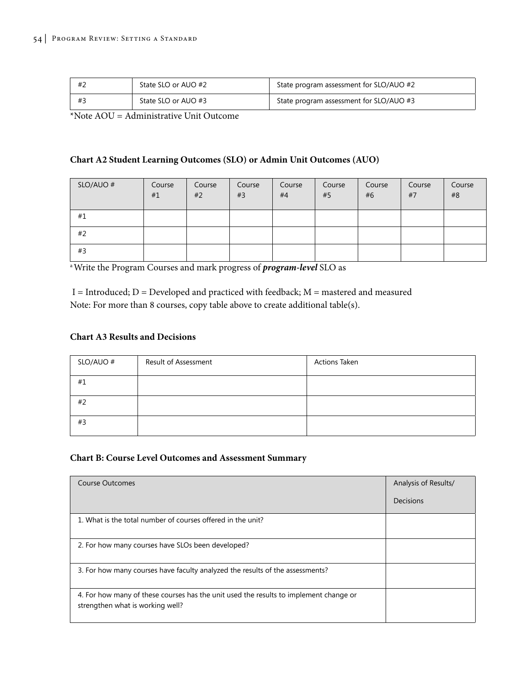| #2 | State SLO or AUO #2 | State program assessment for SLO/AUO #2 |
|----|---------------------|-----------------------------------------|
|    | State SLO or AUO #3 | State program assessment for SLO/AUO #3 |

\*Note AOU = Administrative Unit Outcome

## **Chart A2 Student Learning Outcomes (SLO) or Admin Unit Outcomes (AUO)**

| SLO/AUO # | Course<br>#1 | Course<br>#2 | Course<br>#3 | Course<br>#4 | Course<br>#5 | Course<br>#6 | Course<br>#7 | Course<br>#8 |
|-----------|--------------|--------------|--------------|--------------|--------------|--------------|--------------|--------------|
| #1        |              |              |              |              |              |              |              |              |
| #2        |              |              |              |              |              |              |              |              |
| #3        |              |              |              |              |              |              |              |              |

a Write the Program Courses and mark progress of *program-level* SLO as

| I = Introduced; $D$ = Developed and practiced with feedback; $M$ = mastered and measured |
|------------------------------------------------------------------------------------------|
| Note: For more than 8 courses, copy table above to create additional table(s).           |

#### **Chart A3 Results and Decisions**

| SLO/AUO # | Result of Assessment | <b>Actions Taken</b> |
|-----------|----------------------|----------------------|
| #1        |                      |                      |
| #2        |                      |                      |
| #3        |                      |                      |

#### **Chart B: Course Level Outcomes and Assessment Summary**

| Course Outcomes                                                                                                           | Analysis of Results/ |
|---------------------------------------------------------------------------------------------------------------------------|----------------------|
|                                                                                                                           | Decisions            |
| 1. What is the total number of courses offered in the unit?                                                               |                      |
| 2. For how many courses have SLOs been developed?                                                                         |                      |
| 3. For how many courses have faculty analyzed the results of the assessments?                                             |                      |
| 4. For how many of these courses has the unit used the results to implement change or<br>strengthen what is working well? |                      |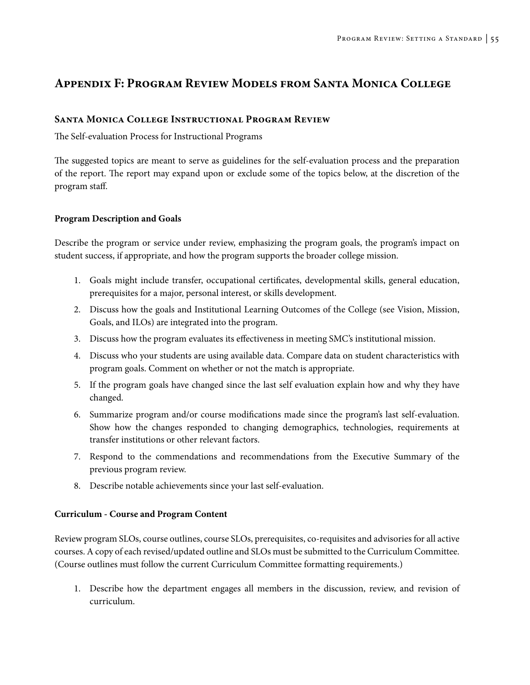# **Appendix F: Program Review Models from Santa Monica College**

## **Santa Monica College Instructional Program Review**

The Self-evaluation Process for Instructional Programs

The suggested topics are meant to serve as guidelines for the self-evaluation process and the preparation of the report. The report may expand upon or exclude some of the topics below, at the discretion of the program staff.

### **Program Description and Goals**

Describe the program or service under review, emphasizing the program goals, the program's impact on student success, if appropriate, and how the program supports the broader college mission.

- 1. Goals might include transfer, occupational certificates, developmental skills, general education, prerequisites for a major, personal interest, or skills development.
- 2. Discuss how the goals and Institutional Learning Outcomes of the College (see Vision, Mission, Goals, and ILOs) are integrated into the program.
- 3. Discuss how the program evaluates its effectiveness in meeting SMC's institutional mission.
- 4. Discuss who your students are using available data. Compare data on student characteristics with program goals. Comment on whether or not the match is appropriate.
- 5. If the program goals have changed since the last self evaluation explain how and why they have changed.
- 6. Summarize program and/or course modifications made since the program's last self-evaluation. Show how the changes responded to changing demographics, technologies, requirements at transfer institutions or other relevant factors.
- 7. Respond to the commendations and recommendations from the Executive Summary of the previous program review.
- 8. Describe notable achievements since your last self-evaluation.

### **Curriculum - Course and Program Content**

Review program SLOs, course outlines, course SLOs, prerequisites, co-requisites and advisories for all active courses. A copy of each revised/updated outline and SLOs must be submitted to the Curriculum Committee. (Course outlines must follow the current Curriculum Committee formatting requirements.)

1. Describe how the department engages all members in the discussion, review, and revision of curriculum.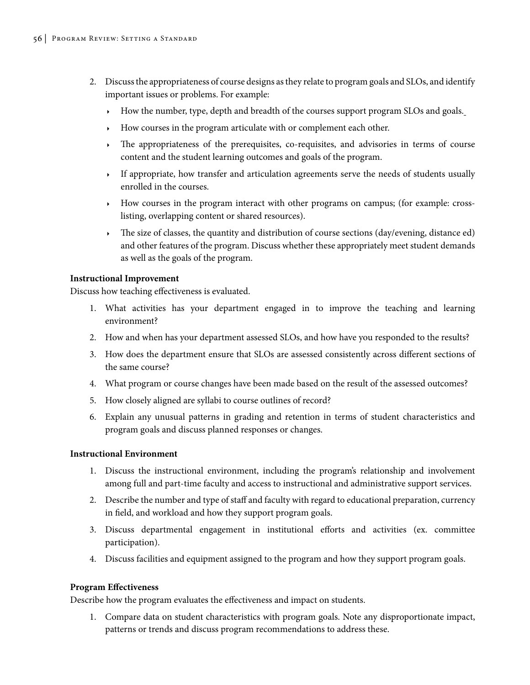- 2. Discuss the appropriateness of course designs as they relate to program goals and SLOs, and identify important issues or problems. For example:
	- $\rightarrow$  How the number, type, depth and breadth of the courses support program SLOs and goals.
	- <sup>4</sup> How courses in the program articulate with or complement each other.
	- <sup>4</sup> The appropriateness of the prerequisites, co-requisites, and advisories in terms of course content and the student learning outcomes and goals of the program.
	- <sup>4</sup> If appropriate, how transfer and articulation agreements serve the needs of students usually enrolled in the courses.
	- <sup>4</sup> How courses in the program interact with other programs on campus; (for example: crosslisting, overlapping content or shared resources).
	- $\rightarrow$  The size of classes, the quantity and distribution of course sections (day/evening, distance ed) and other features of the program. Discuss whether these appropriately meet student demands as well as the goals of the program.

#### **Instructional Improvement**

Discuss how teaching effectiveness is evaluated.

- 1. What activities has your department engaged in to improve the teaching and learning environment?
- 2. How and when has your department assessed SLOs, and how have you responded to the results?
- 3. How does the department ensure that SLOs are assessed consistently across different sections of the same course?
- 4. What program or course changes have been made based on the result of the assessed outcomes?
- 5. How closely aligned are syllabi to course outlines of record?
- 6. Explain any unusual patterns in grading and retention in terms of student characteristics and program goals and discuss planned responses or changes.

### **Instructional Environment**

- 1. Discuss the instructional environment, including the program's relationship and involvement among full and part-time faculty and access to instructional and administrative support services.
- 2. Describe the number and type of staff and faculty with regard to educational preparation, currency in field, and workload and how they support program goals.
- 3. Discuss departmental engagement in institutional efforts and activities (ex. committee participation).
- 4. Discuss facilities and equipment assigned to the program and how they support program goals.

### **Program Effectiveness**

Describe how the program evaluates the effectiveness and impact on students.

1. Compare data on student characteristics with program goals. Note any disproportionate impact, patterns or trends and discuss program recommendations to address these.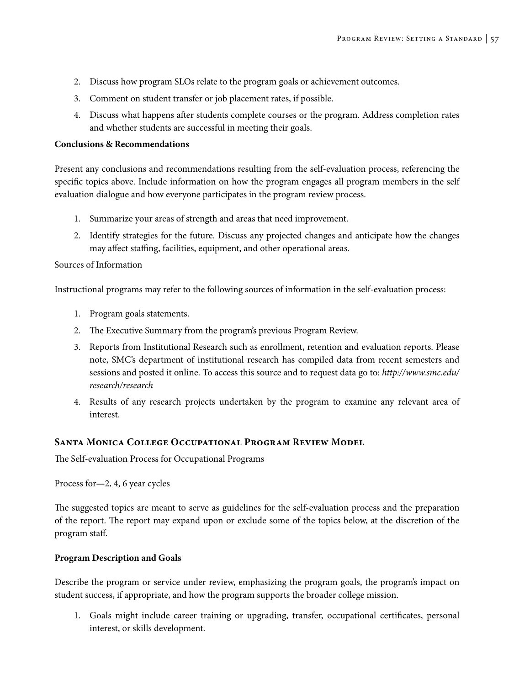- 2. Discuss how program SLOs relate to the program goals or achievement outcomes.
- 3. Comment on student transfer or job placement rates, if possible.
- 4. Discuss what happens after students complete courses or the program. Address completion rates and whether students are successful in meeting their goals.

#### **Conclusions & Recommendations**

Present any conclusions and recommendations resulting from the self-evaluation process, referencing the specific topics above. Include information on how the program engages all program members in the self evaluation dialogue and how everyone participates in the program review process.

- 1. Summarize your areas of strength and areas that need improvement.
- 2. Identify strategies for the future. Discuss any projected changes and anticipate how the changes may affect staffing, facilities, equipment, and other operational areas.

### Sources of Information

Instructional programs may refer to the following sources of information in the self-evaluation process:

- 1. Program goals statements.
- 2. The Executive Summary from the program's previous Program Review.
- 3. Reports from Institutional Research such as enrollment, retention and evaluation reports. Please note, SMC's department of institutional research has compiled data from recent semesters and sessions and posted it online. To access this source and to request data go to: *http://www.smc.edu/ research/research*
- 4. Results of any research projects undertaken by the program to examine any relevant area of interest.

## **Santa Monica College Occupational Program Review Model**

The Self-evaluation Process for Occupational Programs

Process for—2, 4, 6 year cycles

The suggested topics are meant to serve as guidelines for the self-evaluation process and the preparation of the report. The report may expand upon or exclude some of the topics below, at the discretion of the program staff.

### **Program Description and Goals**

Describe the program or service under review, emphasizing the program goals, the program's impact on student success, if appropriate, and how the program supports the broader college mission.

1. Goals might include career training or upgrading, transfer, occupational certificates, personal interest, or skills development.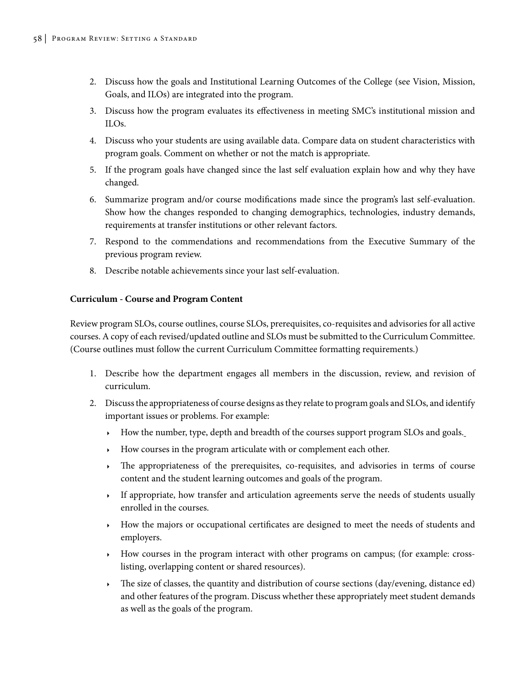- 2. Discuss how the goals and Institutional Learning Outcomes of the College (see Vision, Mission, Goals, and ILOs) are integrated into the program.
- 3. Discuss how the program evaluates its effectiveness in meeting SMC's institutional mission and ILOs.
- 4. Discuss who your students are using available data. Compare data on student characteristics with program goals. Comment on whether or not the match is appropriate.
- 5. If the program goals have changed since the last self evaluation explain how and why they have changed.
- 6. Summarize program and/or course modifications made since the program's last self-evaluation. Show how the changes responded to changing demographics, technologies, industry demands, requirements at transfer institutions or other relevant factors.
- 7. Respond to the commendations and recommendations from the Executive Summary of the previous program review.
- 8. Describe notable achievements since your last self-evaluation.

## **Curriculum - Course and Program Content**

Review program SLOs, course outlines, course SLOs, prerequisites, co-requisites and advisories for all active courses. A copy of each revised/updated outline and SLOs must be submitted to the Curriculum Committee. (Course outlines must follow the current Curriculum Committee formatting requirements.)

- 1. Describe how the department engages all members in the discussion, review, and revision of curriculum.
- 2. Discuss the appropriateness of course designs as they relate to program goals and SLOs, and identify important issues or problems. For example:
	- $\rightarrow$  How the number, type, depth and breadth of the courses support program SLOs and goals.
	- <sup>4</sup> How courses in the program articulate with or complement each other.
	- <sup>4</sup> The appropriateness of the prerequisites, co-requisites, and advisories in terms of course content and the student learning outcomes and goals of the program.
	- <sup>4</sup> If appropriate, how transfer and articulation agreements serve the needs of students usually enrolled in the courses.
	- <sup>4</sup> How the majors or occupational certificates are designed to meet the needs of students and employers.
	- $\rightarrow$  How courses in the program interact with other programs on campus; (for example: crosslisting, overlapping content or shared resources).
	- The size of classes, the quantity and distribution of course sections (day/evening, distance ed) and other features of the program. Discuss whether these appropriately meet student demands as well as the goals of the program.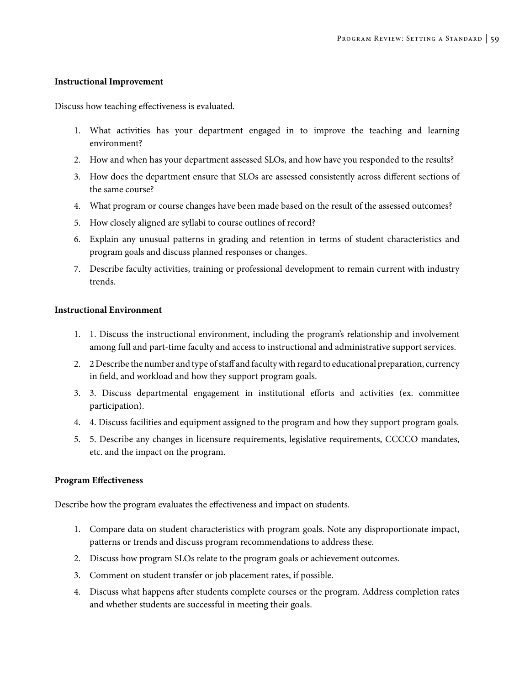#### **Instructional Improvement**

Discuss how teaching effectiveness is evaluated.

- 1. What activities has your department engaged in to improve the teaching and learning environment?
- 2. How and when has your department assessed SLOs, and how have you responded to the results?
- 3. How does the department ensure that SLOs are assessed consistently across different sections of the same course?
- 4. What program or course changes have been made based on the result of the assessed outcomes?
- 5. How closely aligned are syllabi to course outlines of record?
- 6. Explain any unusual patterns in grading and retention in terms of student characteristics and program goals and discuss planned responses or changes.
- 7. Describe faculty activities, training or professional development to remain current with industry trends.

#### **Instructional Environment**

- 1. 1. Discuss the instructional environment, including the program's relationship and involvement among full and part-time faculty and access to instructional and administrative support services.
- 2. 2 Describe the number and type of staff and faculty with regard to educational preparation, currency in field, and workload and how they support program goals.
- 3. 3. Discuss departmental engagement in institutional efforts and activities (ex. committee participation).
- 4. 4. Discuss facilities and equipment assigned to the program and how they support program goals.
- 5. 5. Describe any changes in licensure requirements, legislative requirements, CCCCO mandates, etc. and the impact on the program.

#### **Program Effectiveness**

Describe how the program evaluates the effectiveness and impact on students.

- 1. Compare data on student characteristics with program goals. Note any disproportionate impact, patterns or trends and discuss program recommendations to address these.
- 2. Discuss how program SLOs relate to the program goals or achievement outcomes.
- 3. Comment on student transfer or job placement rates, if possible.
- 4. Discuss what happens after students complete courses or the program. Address completion rates and whether students are successful in meeting their goals.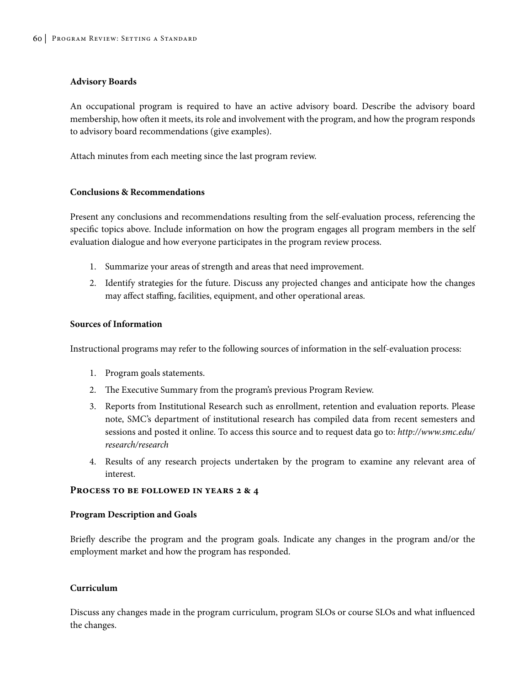#### **Advisory Boards**

An occupational program is required to have an active advisory board. Describe the advisory board membership, how often it meets, its role and involvement with the program, and how the program responds to advisory board recommendations (give examples).

Attach minutes from each meeting since the last program review.

#### **Conclusions & Recommendations**

Present any conclusions and recommendations resulting from the self-evaluation process, referencing the specific topics above. Include information on how the program engages all program members in the self evaluation dialogue and how everyone participates in the program review process.

- 1. Summarize your areas of strength and areas that need improvement.
- 2. Identify strategies for the future. Discuss any projected changes and anticipate how the changes may affect staffing, facilities, equipment, and other operational areas.

#### **Sources of Information**

Instructional programs may refer to the following sources of information in the self-evaluation process:

- 1. Program goals statements.
- 2. The Executive Summary from the program's previous Program Review.
- 3. Reports from Institutional Research such as enrollment, retention and evaluation reports. Please note, SMC's department of institutional research has compiled data from recent semesters and sessions and posted it online. To access this source and to request data go to: *http://www.smc.edu/ research/research*
- 4. Results of any research projects undertaken by the program to examine any relevant area of interest.

#### **Process to be followed in years 2 & 4**

#### **Program Description and Goals**

Briefly describe the program and the program goals. Indicate any changes in the program and/or the employment market and how the program has responded.

### **Curriculum**

Discuss any changes made in the program curriculum, program SLOs or course SLOs and what influenced the changes.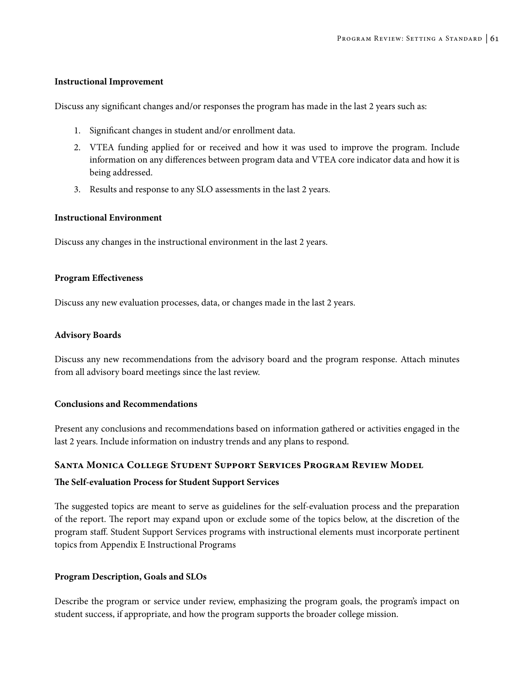#### **Instructional Improvement**

Discuss any significant changes and/or responses the program has made in the last 2 years such as:

- 1. Significant changes in student and/or enrollment data.
- 2. VTEA funding applied for or received and how it was used to improve the program. Include information on any differences between program data and VTEA core indicator data and how it is being addressed.
- 3. Results and response to any SLO assessments in the last 2 years.

### **Instructional Environment**

Discuss any changes in the instructional environment in the last 2 years.

### **Program Effectiveness**

Discuss any new evaluation processes, data, or changes made in the last 2 years.

#### **Advisory Boards**

Discuss any new recommendations from the advisory board and the program response. Attach minutes from all advisory board meetings since the last review.

### **Conclusions and Recommendations**

Present any conclusions and recommendations based on information gathered or activities engaged in the last 2 years. Include information on industry trends and any plans to respond.

### **Santa Monica College Student Support Services Program Review Model**

### **The Self-evaluation Process for Student Support Services**

The suggested topics are meant to serve as guidelines for the self-evaluation process and the preparation of the report. The report may expand upon or exclude some of the topics below, at the discretion of the program staff. Student Support Services programs with instructional elements must incorporate pertinent topics from Appendix E Instructional Programs

### **Program Description, Goals and SLOs**

Describe the program or service under review, emphasizing the program goals, the program's impact on student success, if appropriate, and how the program supports the broader college mission.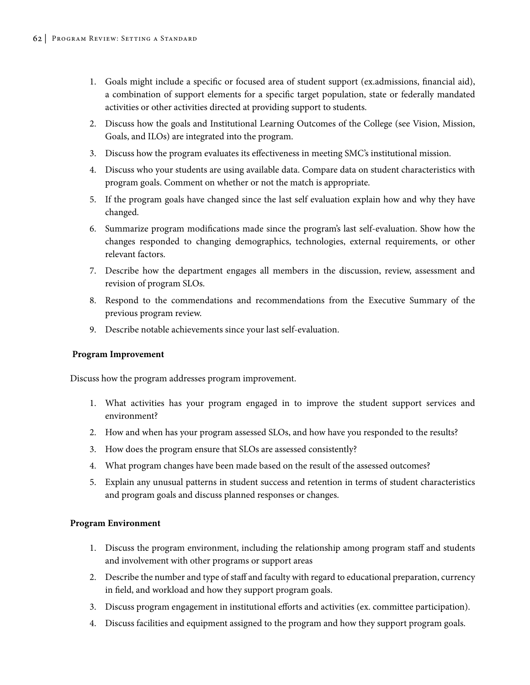- 1. Goals might include a specific or focused area of student support (ex.admissions, financial aid), a combination of support elements for a specific target population, state or federally mandated activities or other activities directed at providing support to students.
- 2. Discuss how the goals and Institutional Learning Outcomes of the College (see Vision, Mission, Goals, and ILOs) are integrated into the program.
- 3. Discuss how the program evaluates its effectiveness in meeting SMC's institutional mission.
- 4. Discuss who your students are using available data. Compare data on student characteristics with program goals. Comment on whether or not the match is appropriate.
- 5. If the program goals have changed since the last self evaluation explain how and why they have changed.
- 6. Summarize program modifications made since the program's last self-evaluation. Show how the changes responded to changing demographics, technologies, external requirements, or other relevant factors.
- 7. Describe how the department engages all members in the discussion, review, assessment and revision of program SLOs.
- 8. Respond to the commendations and recommendations from the Executive Summary of the previous program review.
- 9. Describe notable achievements since your last self-evaluation.

### **Program Improvement**

Discuss how the program addresses program improvement.

- 1. What activities has your program engaged in to improve the student support services and environment?
- 2. How and when has your program assessed SLOs, and how have you responded to the results?
- 3. How does the program ensure that SLOs are assessed consistently?
- 4. What program changes have been made based on the result of the assessed outcomes?
- 5. Explain any unusual patterns in student success and retention in terms of student characteristics and program goals and discuss planned responses or changes.

### **Program Environment**

- 1. Discuss the program environment, including the relationship among program staff and students and involvement with other programs or support areas
- 2. Describe the number and type of staff and faculty with regard to educational preparation, currency in field, and workload and how they support program goals.
- 3. Discuss program engagement in institutional efforts and activities (ex. committee participation).
- 4. Discuss facilities and equipment assigned to the program and how they support program goals.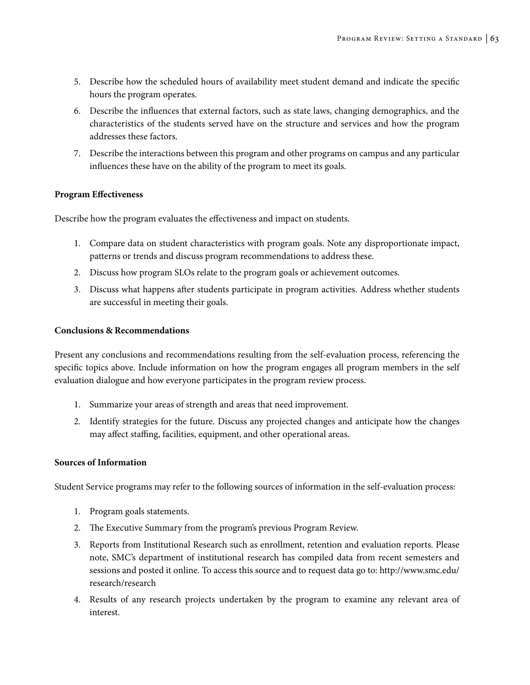- 5. Describe how the scheduled hours of availability meet student demand and indicate the specific hours the program operates.
- 6. Describe the influences that external factors, such as state laws, changing demographics, and the characteristics of the students served have on the structure and services and how the program addresses these factors.
- 7. Describe the interactions between this program and other programs on campus and any particular influences these have on the ability of the program to meet its goals.

### **Program Effectiveness**

Describe how the program evaluates the effectiveness and impact on students.

- 1. Compare data on student characteristics with program goals. Note any disproportionate impact, patterns or trends and discuss program recommendations to address these.
- 2. Discuss how program SLOs relate to the program goals or achievement outcomes.
- 3. Discuss what happens after students participate in program activities. Address whether students are successful in meeting their goals.

#### **Conclusions & Recommendations**

Present any conclusions and recommendations resulting from the self-evaluation process, referencing the specific topics above. Include information on how the program engages all program members in the self evaluation dialogue and how everyone participates in the program review process.

- 1. Summarize your areas of strength and areas that need improvement.
- 2. Identify strategies for the future. Discuss any projected changes and anticipate how the changes may affect staffing, facilities, equipment, and other operational areas.

## **Sources of Information**

Student Service programs may refer to the following sources of information in the self-evaluation process:

- 1. Program goals statements.
- 2. The Executive Summary from the program's previous Program Review.
- 3. Reports from Institutional Research such as enrollment, retention and evaluation reports. Please note, SMC's department of institutional research has compiled data from recent semesters and sessions and posted it online. To access this source and to request data go to: http://www.smc.edu/ research/research
- 4. Results of any research projects undertaken by the program to examine any relevant area of interest.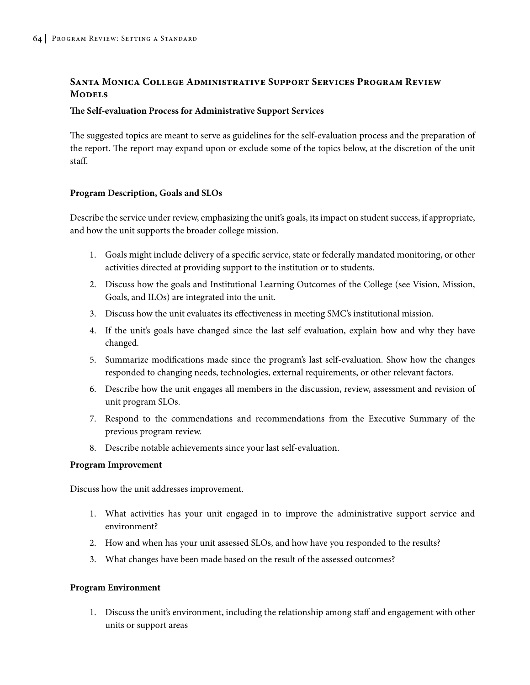## **Santa Monica College Administrative Support Services Program Review Models**

#### **The Self-evaluation Process for Administrative Support Services**

The suggested topics are meant to serve as guidelines for the self-evaluation process and the preparation of the report. The report may expand upon or exclude some of the topics below, at the discretion of the unit staff.

### **Program Description, Goals and SLOs**

Describe the service under review, emphasizing the unit's goals, its impact on student success, if appropriate, and how the unit supports the broader college mission.

- 1. Goals might include delivery of a specific service, state or federally mandated monitoring, or other activities directed at providing support to the institution or to students.
- 2. Discuss how the goals and Institutional Learning Outcomes of the College (see Vision, Mission, Goals, and ILOs) are integrated into the unit.
- 3. Discuss how the unit evaluates its effectiveness in meeting SMC's institutional mission.
- 4. If the unit's goals have changed since the last self evaluation, explain how and why they have changed.
- 5. Summarize modifications made since the program's last self-evaluation. Show how the changes responded to changing needs, technologies, external requirements, or other relevant factors.
- 6. Describe how the unit engages all members in the discussion, review, assessment and revision of unit program SLOs.
- 7. Respond to the commendations and recommendations from the Executive Summary of the previous program review.
- 8. Describe notable achievements since your last self-evaluation.

### **Program Improvement**

Discuss how the unit addresses improvement.

- 1. What activities has your unit engaged in to improve the administrative support service and environment?
- 2. How and when has your unit assessed SLOs, and how have you responded to the results?
- 3. What changes have been made based on the result of the assessed outcomes?

### **Program Environment**

1. Discuss the unit's environment, including the relationship among staff and engagement with other units or support areas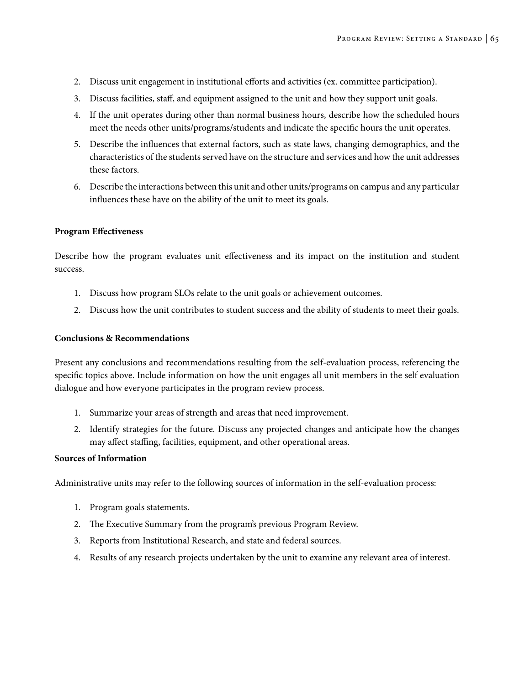- 2. Discuss unit engagement in institutional efforts and activities (ex. committee participation).
- 3. Discuss facilities, staff, and equipment assigned to the unit and how they support unit goals.
- 4. If the unit operates during other than normal business hours, describe how the scheduled hours meet the needs other units/programs/students and indicate the specific hours the unit operates.
- 5. Describe the influences that external factors, such as state laws, changing demographics, and the characteristics of the students served have on the structure and services and how the unit addresses these factors.
- 6. Describe the interactions between this unit and other units/programs on campus and any particular influences these have on the ability of the unit to meet its goals.

#### **Program Effectiveness**

Describe how the program evaluates unit effectiveness and its impact on the institution and student success.

- 1. Discuss how program SLOs relate to the unit goals or achievement outcomes.
- 2. Discuss how the unit contributes to student success and the ability of students to meet their goals.

#### **Conclusions & Recommendations**

Present any conclusions and recommendations resulting from the self-evaluation process, referencing the specific topics above. Include information on how the unit engages all unit members in the self evaluation dialogue and how everyone participates in the program review process.

- 1. Summarize your areas of strength and areas that need improvement.
- 2. Identify strategies for the future. Discuss any projected changes and anticipate how the changes may affect staffing, facilities, equipment, and other operational areas.

#### **Sources of Information**

Administrative units may refer to the following sources of information in the self-evaluation process:

- 1. Program goals statements.
- 2. The Executive Summary from the program's previous Program Review.
- 3. Reports from Institutional Research, and state and federal sources.
- 4. Results of any research projects undertaken by the unit to examine any relevant area of interest.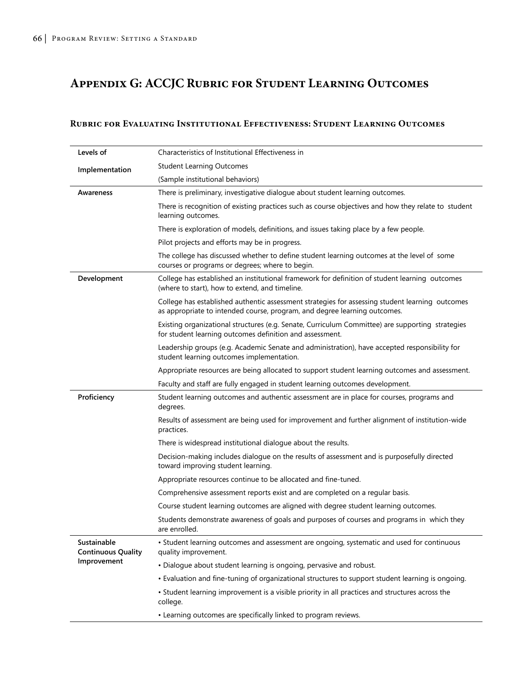# **Appendix G: ACCJC Rubric for Student Learning Outcomes**

### **Rubric for Evaluating Institutional Effectiveness: Student Learning Outcomes**

| Levels of                                | Characteristics of Institutional Effectiveness in                                                                                                                            |  |  |
|------------------------------------------|------------------------------------------------------------------------------------------------------------------------------------------------------------------------------|--|--|
| Implementation                           | <b>Student Learning Outcomes</b>                                                                                                                                             |  |  |
|                                          | (Sample institutional behaviors)                                                                                                                                             |  |  |
| Awareness                                | There is preliminary, investigative dialogue about student learning outcomes.                                                                                                |  |  |
|                                          | There is recognition of existing practices such as course objectives and how they relate to student<br>learning outcomes.                                                    |  |  |
|                                          | There is exploration of models, definitions, and issues taking place by a few people.                                                                                        |  |  |
|                                          | Pilot projects and efforts may be in progress.                                                                                                                               |  |  |
|                                          | The college has discussed whether to define student learning outcomes at the level of some<br>courses or programs or degrees; where to begin.                                |  |  |
| Development                              | College has established an institutional framework for definition of student learning outcomes<br>(where to start), how to extend, and timeline.                             |  |  |
|                                          | College has established authentic assessment strategies for assessing student learning outcomes<br>as appropriate to intended course, program, and degree learning outcomes. |  |  |
|                                          | Existing organizational structures (e.g. Senate, Curriculum Committee) are supporting strategies<br>for student learning outcomes definition and assessment.                 |  |  |
|                                          | Leadership groups (e.g. Academic Senate and administration), have accepted responsibility for<br>student learning outcomes implementation.                                   |  |  |
|                                          | Appropriate resources are being allocated to support student learning outcomes and assessment.                                                                               |  |  |
|                                          | Faculty and staff are fully engaged in student learning outcomes development.                                                                                                |  |  |
| Proficiency                              | Student learning outcomes and authentic assessment are in place for courses, programs and<br>degrees.                                                                        |  |  |
|                                          | Results of assessment are being used for improvement and further alignment of institution-wide<br>practices.                                                                 |  |  |
|                                          | There is widespread institutional dialogue about the results.                                                                                                                |  |  |
|                                          | Decision-making includes dialogue on the results of assessment and is purposefully directed<br>toward improving student learning.                                            |  |  |
|                                          | Appropriate resources continue to be allocated and fine-tuned.                                                                                                               |  |  |
|                                          | Comprehensive assessment reports exist and are completed on a regular basis.                                                                                                 |  |  |
|                                          | Course student learning outcomes are aligned with degree student learning outcomes.                                                                                          |  |  |
|                                          | Students demonstrate awareness of goals and purposes of courses and programs in which they<br>are enrolled.                                                                  |  |  |
| Sustainable<br><b>Continuous Quality</b> | • Student learning outcomes and assessment are ongoing, systematic and used for continuous<br>quality improvement.                                                           |  |  |
| Improvement                              | • Dialogue about student learning is ongoing, pervasive and robust.                                                                                                          |  |  |
|                                          | • Evaluation and fine-tuning of organizational structures to support student learning is ongoing.                                                                            |  |  |
|                                          | • Student learning improvement is a visible priority in all practices and structures across the<br>college.                                                                  |  |  |
|                                          | • Learning outcomes are specifically linked to program reviews.                                                                                                              |  |  |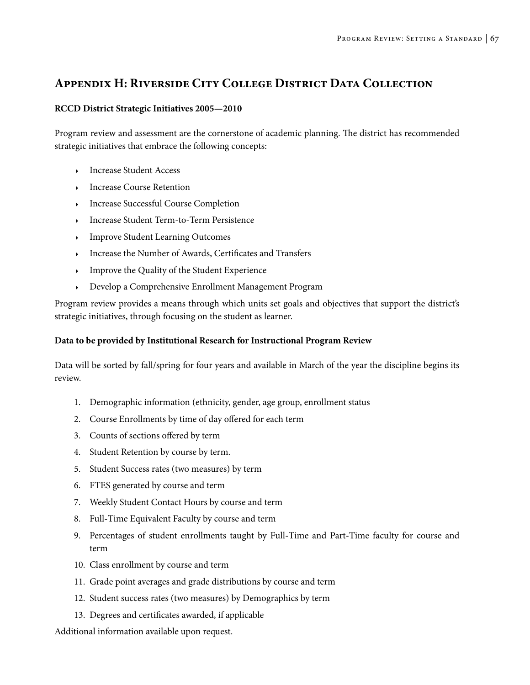# **Appendix H: Riverside City College District Data Collection**

## **RCCD District Strategic Initiatives 2005—2010**

Program review and assessment are the cornerstone of academic planning. The district has recommended strategic initiatives that embrace the following concepts:

- <sup>4</sup> Increase Student Access
- <sup>4</sup> Increase Course Retention
- <sup>4</sup> Increase Successful Course Completion
- <sup>4</sup> Increase Student Term-to-Term Persistence
- **Improve Student Learning Outcomes**
- <sup>4</sup> Increase the Number of Awards, Certificates and Transfers
- <sup>4</sup> Improve the Quality of the Student Experience
- <sup>4</sup> Develop a Comprehensive Enrollment Management Program

Program review provides a means through which units set goals and objectives that support the district's strategic initiatives, through focusing on the student as learner.

## **Data to be provided by Institutional Research for Instructional Program Review**

Data will be sorted by fall/spring for four years and available in March of the year the discipline begins its review.

- 1. Demographic information (ethnicity, gender, age group, enrollment status
- 2. Course Enrollments by time of day offered for each term
- 3. Counts of sections offered by term
- 4. Student Retention by course by term.
- 5. Student Success rates (two measures) by term
- 6. FTES generated by course and term
- 7. Weekly Student Contact Hours by course and term
- 8. Full-Time Equivalent Faculty by course and term
- 9. Percentages of student enrollments taught by Full-Time and Part-Time faculty for course and term
- 10. Class enrollment by course and term
- 11. Grade point averages and grade distributions by course and term
- 12. Student success rates (two measures) by Demographics by term
- 13. Degrees and certificates awarded, if applicable

Additional information available upon request.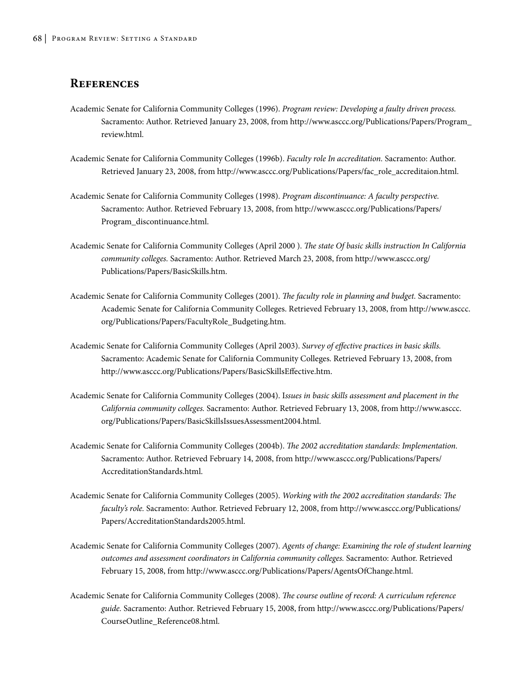## **References**

- Academic Senate for California Community Colleges (1996). *Program review: Developing a faulty driven process.*  Sacramento: Author. Retrieved January 23, 2008, from http://www.asccc.org/Publications/Papers/Program\_ review.html.
- Academic Senate for California Community Colleges (1996b). *Faculty role In accreditation.* Sacramento: Author. Retrieved January 23, 2008, from http://www.asccc.org/Publications/Papers/fac\_role\_accreditaion.html.
- Academic Senate for California Community Colleges (1998). *Program discontinuance: A faculty perspective.* Sacramento: Author. Retrieved February 13, 2008, from http://www.asccc.org/Publications/Papers/ Program\_discontinuance.html.
- Academic Senate for California Community Colleges (April 2000 ). *The state Of basic skills instruction In California community colleges.* Sacramento: Author. Retrieved March 23, 2008, from http://www.asccc.org/ Publications/Papers/BasicSkills.htm.
- Academic Senate for California Community Colleges (2001). *The faculty role in planning and budget.* Sacramento: Academic Senate for California Community Colleges. Retrieved February 13, 2008, from http://www.asccc. org/Publications/Papers/FacultyRole\_Budgeting.htm.
- Academic Senate for California Community Colleges (April 2003). *Survey of effective practices in basic skills.*  Sacramento: Academic Senate for California Community Colleges. Retrieved February 13, 2008, from http://www.asccc.org/Publications/Papers/BasicSkillsEffective.htm.
- Academic Senate for California Community Colleges (2004). I*ssues in basic skills assessment and placement in the California community colleges.* Sacramento: Author. Retrieved February 13, 2008, from http://www.asccc. org/Publications/Papers/BasicSkillsIssuesAssessment2004.html.
- Academic Senate for California Community Colleges (2004b). *The 2002 accreditation standards: Implementation.* Sacramento: Author. Retrieved February 14, 2008, from http://www.asccc.org/Publications/Papers/ AccreditationStandards.html.
- Academic Senate for California Community Colleges (2005). *Working with the 2002 accreditation standards: The faculty's role.* Sacramento: Author. Retrieved February 12, 2008, from http://www.asccc.org/Publications/ Papers/AccreditationStandards2005.html.
- Academic Senate for California Community Colleges (2007). *Agents of change: Examining the role of student learning outcomes and assessment coordinators in California community colleges.* Sacramento: Author. Retrieved February 15, 2008, from http://www.asccc.org/Publications/Papers/AgentsOfChange.html.
- Academic Senate for California Community Colleges (2008). *The course outline of record: A curriculum reference guide.* Sacramento: Author. Retrieved February 15, 2008, from http://www.asccc.org/Publications/Papers/ CourseOutline\_Reference08.html.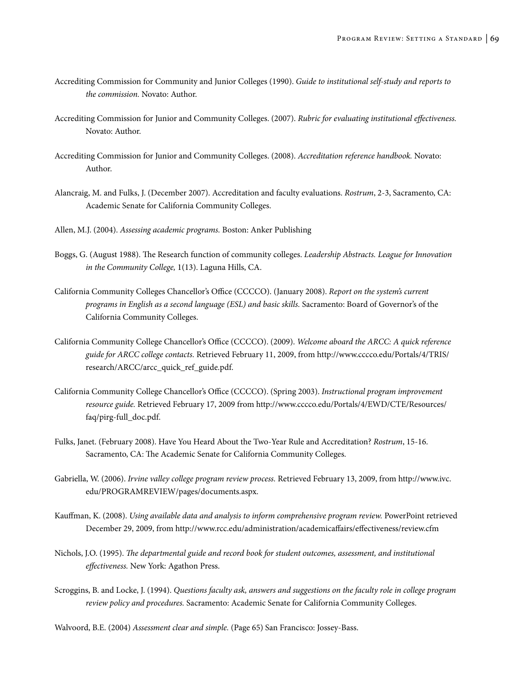- Accrediting Commission for Community and Junior Colleges (1990). *Guide to institutional self-study and reports to the commission.* Novato: Author.
- Accrediting Commission for Junior and Community Colleges. (2007). *Rubric for evaluating institutional effectiveness.* Novato: Author.
- Accrediting Commission for Junior and Community Colleges. (2008). *Accreditation reference handbook.* Novato: Author.
- Alancraig, M. and Fulks, J. (December 2007). Accreditation and faculty evaluations. *Rostrum*, 2-3, Sacramento, CA: Academic Senate for California Community Colleges.
- Allen, M.J. (2004). *Assessing academic programs.* Boston: Anker Publishing
- Boggs, G. (August 1988). The Research function of community colleges. *Leadership Abstracts. League for Innovation in the Community College,* 1(13). Laguna Hills, CA.
- California Community Colleges Chancellor's Office (CCCCO). (January 2008). *Report on the system's current programs in English as a second language (ESL) and basic skills.* Sacramento: Board of Governor's of the California Community Colleges.
- California Community College Chancellor's Office (CCCCO). (2009). *Welcome aboard the ARCC: A quick reference guide for ARCC college contacts.* Retrieved February 11, 2009, from http://www.cccco.edu/Portals/4/TRIS/ research/ARCC/arcc\_quick\_ref\_guide.pdf.
- California Community College Chancellor's Office (CCCCO). (Spring 2003). *Instructional program improvement resource guide.* Retrieved February 17, 2009 from http://www.cccco.edu/Portals/4/EWD/CTE/Resources/ faq/pirg-full\_doc.pdf.
- Fulks, Janet. (February 2008). Have You Heard About the Two-Year Rule and Accreditation? *Rostrum*, 15-16. Sacramento, CA: The Academic Senate for California Community Colleges.
- Gabriella, W. (2006). *Irvine valley college program review process.* Retrieved February 13, 2009, from http://www.ivc. edu/PROGRAMREVIEW/pages/documents.aspx.
- Kauffman, K. (2008). *Using available data and analysis to inform comprehensive program review.* PowerPoint retrieved December 29, 2009, from http://www.rcc.edu/administration/academicaffairs/effectiveness/review.cfm
- Nichols, J.O. (1995). *The departmental guide and record book for student outcomes, assessment, and institutional effectiveness.* New York: Agathon Press.
- Scroggins, B. and Locke, J. (1994). *Questions faculty ask, answers and suggestions on the faculty role in college program review policy and procedures.* Sacramento: Academic Senate for California Community Colleges.

Walvoord, B.E. (2004) *Assessment clear and simple.* (Page 65) San Francisco: Jossey-Bass.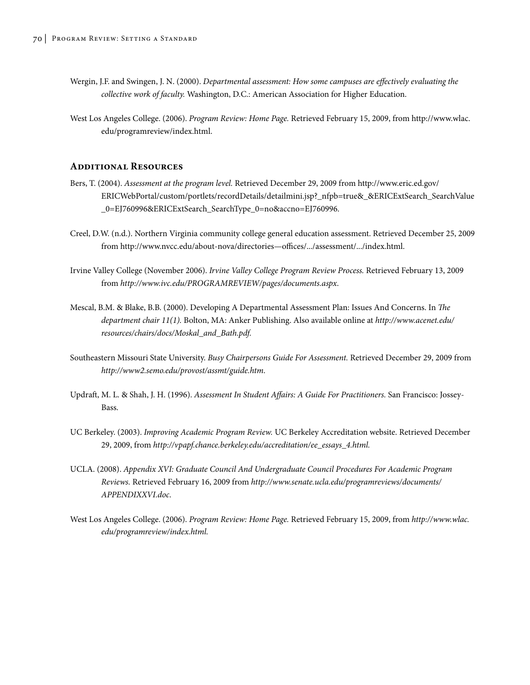- Wergin, J.F. and Swingen, J. N. (2000). *Departmental assessment: How some campuses are effectively evaluating the collective work of faculty.* Washington, D.C.: American Association for Higher Education.
- West Los Angeles College. (2006). *Program Review: Home Page.* Retrieved February 15, 2009, from http://www.wlac. edu/programreview/index.html.

## **Additional Resources**

- Bers, T. (2004). *Assessment at the program level.* Retrieved December 29, 2009 from http://www.eric.ed.gov/ ERICWebPortal/custom/portlets/recordDetails/detailmini.jsp?\_nfpb=true&\_&ERICExtSearch\_SearchValue \_0=EJ760996&ERICExtSearch\_SearchType\_0=no&accno=EJ760996.
- Creel, D.W. (n.d.). Northern Virginia community college general education assessment. Retrieved December 25, 2009 from http://www.nvcc.edu/about-nova/directories—offices/.../assessment/.../index.html.
- Irvine Valley College (November 2006). *Irvine Valley College Program Review Process.* Retrieved February 13, 2009 from *http://www.ivc.edu/PROGRAMREVIEW/pages/documents.aspx*.
- Mescal, B.M. & Blake, B.B. (2000). Developing A Departmental Assessment Plan: Issues And Concerns. In *The department chair 11(1).* Bolton, MA: Anker Publishing. Also available online at *http://www.acenet.edu/ resources/chairs/docs/Moskal\_and\_Bath.pdf.*
- Southeastern Missouri State University. *Busy Chairpersons Guide For Assessment.* Retrieved December 29, 2009 from *http://www2.semo.edu/provost/assmt/guide.htm*.
- Updraft, M. L. & Shah, J. H. (1996). *Assessment In Student Affairs: A Guide For Practitioners.* San Francisco: Jossey-Bass.
- UC Berkeley. (2003). *Improving Academic Program Review.* UC Berkeley Accreditation website. Retrieved December 29, 2009, from *http://vpapf.chance.berkeley.edu/accreditation/ee\_essays\_4.html.*
- UCLA. (2008). *Appendix XVI: Graduate Council And Undergraduate Council Procedures For Academic Program Reviews.* Retrieved February 16, 2009 from *http://www.senate.ucla.edu/programreviews/documents/ APPENDIXXVI.doc*.
- West Los Angeles College. (2006). *Program Review: Home Page.* Retrieved February 15, 2009, from *http://www.wlac. edu/programreview/index.html.*